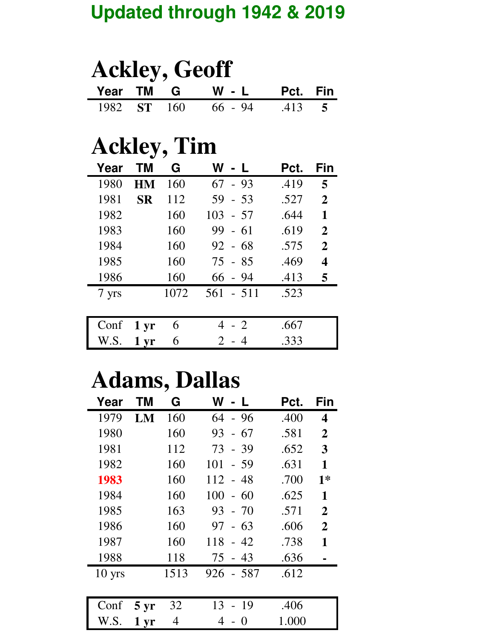#### **Updated through 1942 & 2019**

| <b>Ackley, Geoff</b> |  |  |                            |  |  |  |  |
|----------------------|--|--|----------------------------|--|--|--|--|
|                      |  |  | Year TM G W - L Pct. Fin   |  |  |  |  |
|                      |  |  | 1982 ST 160 66 - 94 .413 5 |  |  |  |  |

## **Ackley, Tim**

| Year  | ΤM                | G    | W             | Pct. | Fin                     |
|-------|-------------------|------|---------------|------|-------------------------|
| 1980  | HM                | 160  | $-93$<br>67   | .419 | 5                       |
| 1981  | <b>SR</b>         | 112  | $59 - 53$     | .527 | $\mathbf{2}$            |
| 1982  |                   | 160  | $103 - 57$    | .644 | 1                       |
| 1983  |                   | 160  | $99 - 61$     | .619 | $\overline{2}$          |
| 1984  |                   | 160  | $92 - 68$     | .575 | $\mathbf 2$             |
| 1985  |                   | 160  | $75 - 85$     | .469 | $\overline{\mathbf{4}}$ |
| 1986  |                   | 160  | $66 - 94$     | .413 | 5                       |
| 7 yrs |                   | 1072 | 561<br>$-511$ | .523 |                         |
|       |                   |      |               |      |                         |
| Conf  | $1 \,\mathrm{yr}$ | 6    | 4 - 2         | .667 |                         |
| W.S.  | 1 <sub>vr</sub>   | 6    | $2 -$         | .333 |                         |

## **Adams, Dallas**

| Year     | ΤM                | G    | W - L             | Pct.  | Fin            |
|----------|-------------------|------|-------------------|-------|----------------|
| 1979     | LM                | 160  | 64<br>- 96        | .400  | 4              |
| 1980     |                   | 160  | - 67<br>93        | .581  | $\overline{2}$ |
| 1981     |                   | 112  | 73<br>$-39$       | .652  | 3              |
| 1982     |                   | 160  | 101<br>$-59$      | .631  | 1              |
| 1983     |                   | 160  | 112<br>- 48       | .700  | $1*$           |
| 1984     |                   | 160  | 100<br>$-60$      | .625  | 1              |
| 1985     |                   | 163  | 93<br>$-70$       | .571  | $\overline{2}$ |
| 1986     |                   | 160  | 97<br>- 63        | .606  | $\overline{2}$ |
| 1987     |                   | 160  | 118<br>$-42$      | .738  | 1              |
| 1988     |                   | 118  | 75<br>$-43$       | .636  |                |
| $10$ yrs |                   | 1513 | - 587<br>926      | .612  |                |
|          |                   |      |                   |       |                |
| Conf     | $5 \,\mathrm{yr}$ | 32   | 13<br>- 19        | .406  |                |
| W.S.     | $1 \,\mathrm{yr}$ | 4    | $\mathbf{\Omega}$ | 1.000 |                |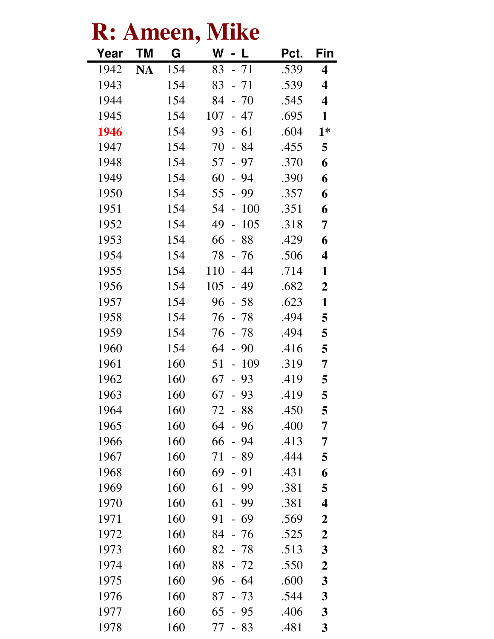| <b>Mike</b><br>Ameen, |           |     |                                       |      |                         |  |  |
|-----------------------|-----------|-----|---------------------------------------|------|-------------------------|--|--|
| Year                  | <b>TM</b> | G   | W                                     | Pct. | Fin                     |  |  |
| 1942                  | <b>NA</b> | 154 | 83<br>$-71$                           | .539 | 4                       |  |  |
| 1943                  |           | 154 | 83<br>$-71$                           | .539 | 4                       |  |  |
| 1944                  |           | 154 | $-70$<br>84                           | .545 | $\overline{\mathbf{4}}$ |  |  |
| 1945                  |           | 154 | 107<br>- 47                           | .695 | $\mathbf{1}$            |  |  |
| 1946                  |           | 154 | 93<br>$-61$                           | .604 | $1*$                    |  |  |
| 1947                  |           | 154 | 70<br>84<br>$\mathbb{L}^{\mathbb{N}}$ | .455 | 5                       |  |  |
| 1948                  |           | 154 | 57<br>97<br>$\overline{\phantom{a}}$  | .370 | 6                       |  |  |
| 1949                  |           | 154 | 60<br>94<br>$\equiv$                  | .390 | 6                       |  |  |
| 1950                  |           | 154 | 55<br>$-99$                           | .357 | 6                       |  |  |
| 1951                  |           | 154 | 100<br>54<br>$\frac{1}{2}$            | .351 | 6                       |  |  |
| 1952                  |           | 154 | 49<br>105<br>$\frac{1}{2}$            | .318 | 7                       |  |  |
| 1953                  |           | 154 | 66<br>88<br>$\frac{1}{2}$             | .429 | 6                       |  |  |
| 1954                  |           | 154 | 78<br>- 76                            | .506 | $\overline{\mathbf{4}}$ |  |  |
| 1955                  |           | 154 | 110<br>$-44$                          | .714 | 1                       |  |  |
| 1956                  |           | 154 | 105<br>49<br>$\overline{a}$           | .682 | $\boldsymbol{2}$        |  |  |
| 1957                  |           | 154 | 96<br>- 58                            | .623 | $\mathbf{1}$            |  |  |
| 1958                  |           | 154 | 76<br>78<br>$\frac{1}{2}$             | .494 | 5                       |  |  |
| 1959                  |           | 154 | 76<br>$-78$                           | .494 | 5                       |  |  |
| 1960                  |           | 154 | 64<br>$-90$                           | .416 | 5                       |  |  |
| 1961                  |           | 160 | 51<br>109<br>$\overline{\phantom{0}}$ | .319 | 7                       |  |  |
| 1962                  |           | 160 | 93<br>67<br>$\overline{\phantom{a}}$  | 419  | 5                       |  |  |
| 1963                  |           | 160 | 67 - 93                               | .419 | 5                       |  |  |
| 1964                  |           | 160 | 72 - 88                               | .450 | 5                       |  |  |
| 1965                  |           | 160 | 64<br>$-96$                           | .400 | 7                       |  |  |
| 1966                  |           | 160 | 66<br>$-94$                           | .413 | 7                       |  |  |
| 1967                  |           | 160 | 71<br>- 89                            | .444 | 5                       |  |  |
| 1968                  |           | 160 | $69 - 91$                             | .431 | 6                       |  |  |
| 1969                  |           | 160 | 61<br>$-99$                           | .381 | 5                       |  |  |
| 1970                  |           | 160 | 61<br>- 99                            | .381 | $\overline{\mathbf{4}}$ |  |  |
| 1971                  |           | 160 | 91<br>$-69$                           | .569 | $\boldsymbol{2}$        |  |  |
| 1972                  |           | 160 | 84<br>- 76                            | .525 | $\boldsymbol{2}$        |  |  |
| 1973                  |           | 160 | 82 - 78                               | .513 | 3                       |  |  |
| 1974                  |           | 160 | 88 - 72                               | .550 | $\boldsymbol{2}$        |  |  |
| 1975                  |           | 160 | 96<br>$-64$                           | .600 | $\boldsymbol{3}$        |  |  |
| 1976                  |           | 160 | $87 - 73$                             | .544 | $\mathbf{3}$            |  |  |
| 1977                  |           | 160 | $65 - 95$                             | .406 | $\mathbf{3}$            |  |  |
| 1978                  |           | 160 | 77 - 83                               | .481 | $\mathbf{3}$            |  |  |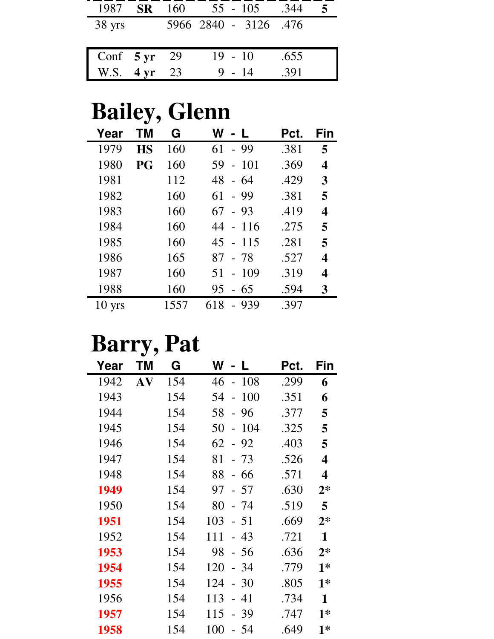| 1987                   | <b>SR</b> | 160 | $55 - 105$            | .344 |  |
|------------------------|-----------|-----|-----------------------|------|--|
| $38 \text{ yrs}$       |           |     | 5966 2840 - 3126 .476 |      |  |
|                        |           |     |                       |      |  |
| Conf $5 \text{ yr}$ 29 |           |     | $19 - 10$             | .655 |  |
| W.S. $4 \text{ yr}$    |           | 23  | 9 - 14                | .391 |  |

## **Bailey, Glenn**

| Year             | ΤM        | G    | W<br>$\mathbf{I}$                     | Pct. | Fin |
|------------------|-----------|------|---------------------------------------|------|-----|
| 1979             | <b>HS</b> | 160  | 61<br>- 99                            | .381 | 5   |
| 1980             | PG        | 160  | 59<br><b>101</b><br>$\overline{a}$    | .369 | 4   |
| 1981             |           | 112  | 48<br>- 64                            | .429 | 3   |
| 1982             |           | 160  | 61<br>- 99                            | .381 | 5   |
| 1983             |           | 160  | 67<br>$-93$                           | .419 | 4   |
| 1984             |           | 160  | 44 - 116                              | .275 | 5   |
| 1985             |           | 160  | $45 - 115$                            | .281 | 5   |
| 1986             |           | 165  | 87<br>- 78                            | .527 | 4   |
| 1987             |           | 160  | 51<br>-109<br>$\overline{a}$          | .319 | 4   |
| 1988             |           | 160  | 95<br>-65<br>$\overline{\phantom{a}}$ | .594 | 3   |
| $10 \text{ yrs}$ |           | 1557 | 618<br>-939                           | .397 |     |

### **Barry, Pat**

| Year | ΤM | G   | W<br>L                      | Pct. | Fin          |
|------|----|-----|-----------------------------|------|--------------|
| 1942 | AV | 154 | $-108$<br>46                | .299 | 6            |
| 1943 |    | 154 | 100<br>54<br>$\overline{a}$ | .351 | 6            |
| 1944 |    | 154 | 58<br>96<br>$\equiv$        | .377 | 5            |
| 1945 |    | 154 | 50<br>104<br>$\overline{a}$ | .325 | 5            |
| 1946 |    | 154 | 62<br>-92<br>$\overline{a}$ | .403 | 5            |
| 1947 |    | 154 | 81<br>- 73                  | .526 | 4            |
| 1948 |    | 154 | 88<br>- 66                  | .571 | 4            |
| 1949 |    | 154 | 97<br>$-57$                 | .630 | $2*$         |
| 1950 |    | 154 | 80<br>- 74                  | .519 | 5            |
| 1951 |    | 154 | 103<br>$-51$                | .669 | $2*$         |
| 1952 |    | 154 | 111<br>43<br>$\overline{a}$ | .721 | 1            |
| 1953 |    | 154 | 98<br>- 56                  | .636 | $2*$         |
| 1954 |    | 154 | 120<br>-34<br>$\equiv$      | .779 | $1*$         |
| 1955 |    | 154 | 124<br>30<br>$\overline{a}$ | .805 | $1*$         |
| 1956 |    | 154 | 113<br>41<br>$\overline{a}$ | .734 | $\mathbf{1}$ |
| 1957 |    | 154 | 115<br>39                   | .747 | $1*$         |
| 1958 |    | 154 | 100<br>-54                  | .649 | $1*$         |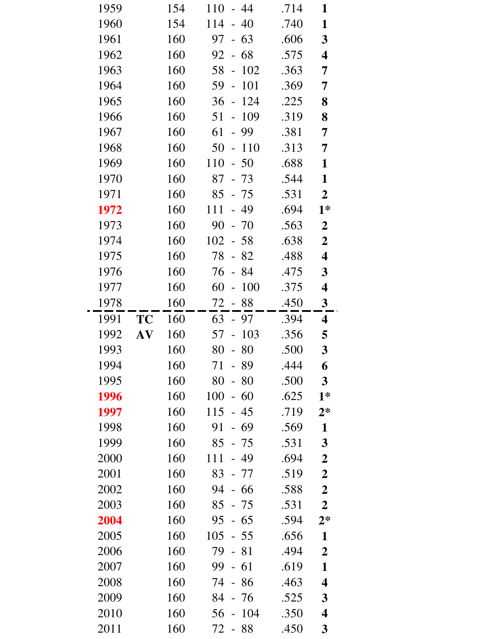| 1959 |                  | 154 | 110<br>44<br>$\overline{\phantom{0}}$ | .714 | 1                       |
|------|------------------|-----|---------------------------------------|------|-------------------------|
| 1960 |                  | 154 | 114<br>40<br>$\overline{\phantom{0}}$ | .740 | $\mathbf{1}$            |
| 1961 |                  | 160 | $-63$<br>97                           | .606 | $\mathbf{3}$            |
| 1962 |                  | 160 | 68<br>92<br>$\frac{1}{2}$             | .575 | 4                       |
| 1963 |                  | 160 | 58<br>102<br>$\overline{a}$           | .363 | 7                       |
| 1964 |                  | 160 | 59<br>101<br>$\overline{a}$           | .369 | $\overline{7}$          |
| 1965 |                  | 160 | 124<br>36<br>$\blacksquare$           | .225 | 8                       |
| 1966 |                  | 160 | 109<br>51<br>$\qquad \qquad -$        | .319 | 8                       |
| 1967 |                  | 160 | 61<br>99<br>$\frac{1}{2}$             | .381 | 7                       |
| 1968 |                  | 160 | 50<br>110<br>$\Box$                   | .313 | 7                       |
| 1969 |                  | 160 | 50<br>110<br>$\overline{a}$           | .688 | $\mathbf{1}$            |
| 1970 |                  | 160 | 87<br>$-73$                           | .544 | $\mathbf{1}$            |
| 1971 |                  | 160 | 85<br>- 75                            | .531 | $\overline{2}$          |
| 1972 |                  | 160 | 111<br>49<br>$\overline{\phantom{0}}$ | .694 | $1*$                    |
| 1973 |                  | 160 | 90<br>$-70$                           | .563 | $\overline{2}$          |
| 1974 |                  | 160 | 102<br>$-58$                          | .638 | $\boldsymbol{2}$        |
| 1975 |                  | 160 | 78<br>$-82$                           | .488 | 4                       |
| 1976 |                  | 160 | 76<br>- 84                            | .475 | 3                       |
| 1977 |                  | 160 | 60<br>100<br>$\overline{a}$           | .375 | $\overline{\mathbf{4}}$ |
| 1978 |                  | 160 | 72<br>$-88$                           | .450 | $\mathbf{3}$            |
| 1991 | <b>TC</b>        | 160 | 63<br>- 97                            | .394 | $\overline{\mathbf{4}}$ |
| 1992 | ${\bf A}{\bf V}$ | 160 | 57<br>103<br>$\overline{a}$           | .356 | 5                       |
| 1993 |                  | 160 | 80<br>$-80$                           | .500 | $\mathbf{3}$            |
| 1994 |                  | 160 | 71<br>89                              | .444 | 6                       |
| 1995 |                  | 160 | 80<br>$-80$                           | .500 | $\mathbf{3}$            |
| 1996 |                  | 160 | 100<br>60<br>$\overline{a}$           | .625 | $1*$                    |
| 1997 |                  | 160 | 115<br>$-45$                          | .719 | $2*$                    |
| 1998 |                  | 160 | 91<br>- 69                            | .569 | $\mathbf{1}$            |
| 1999 |                  | 160 | $85 - 75$                             | .531 | $\mathbf{3}$            |
| 2000 |                  | 160 | 111<br>49                             | .694 | $\boldsymbol{2}$        |
| 2001 |                  | 160 | 83<br>- 77                            | .519 | $\boldsymbol{2}$        |
| 2002 |                  | 160 | 94<br>- 66                            | .588 | $\boldsymbol{2}$        |
| 2003 |                  | 160 | 85<br>- 75                            | .531 | $\boldsymbol{2}$        |
| 2004 |                  | 160 | $-65$<br>95                           | .594 | $2*$                    |
| 2005 |                  | 160 | 105<br>- 55                           | .656 | $\mathbf{1}$            |
| 2006 |                  | 160 | 79<br>$-81$                           | .494 | $\boldsymbol{2}$        |
| 2007 |                  | 160 | 99<br>$-61$                           | .619 | 1                       |
| 2008 |                  | 160 | 74<br>- 86                            | .463 | 4                       |
| 2009 |                  | 160 | 84<br>- 76                            | .525 | $\mathbf{3}$            |
| 2010 |                  | 160 | 104<br>56                             | .350 | $\overline{\mathbf{4}}$ |
| 2011 |                  | 160 | 72 - 88                               | .450 | 3                       |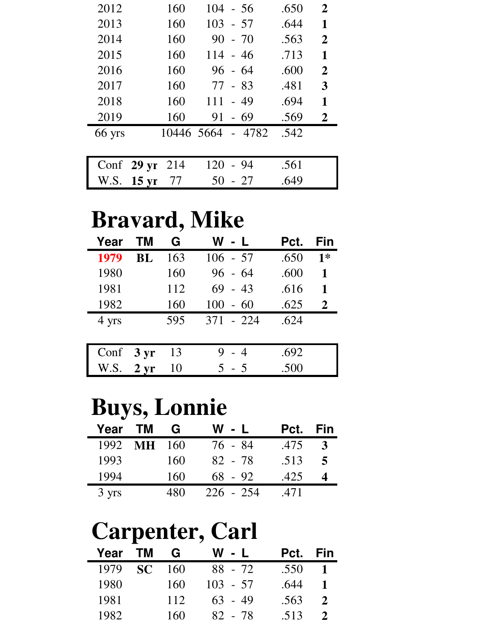| 2012                 | 160        | $104 - 56$   | .650 | $\overline{2}$ |
|----------------------|------------|--------------|------|----------------|
| 2013                 | 160        | $103 - 57$   | .644 | 1              |
| 2014                 | 160        | $90 - 70$    | .563 | $\overline{2}$ |
| 2015                 | 160        | $114 - 46$   | .713 | 1              |
| 2016                 | 160        | $96 - 64$    | .600 | $\mathbf{2}$   |
| 2017                 | 160        | 77 - 83      | .481 | 3              |
| 2018                 | 160        | 111<br>$-49$ | .694 | 1              |
| 2019                 | 160        | 91<br>$-69$  | .569 | $\mathbf{2}$   |
| 66 yrs               | 10446 5664 | $-4782$      | .542 |                |
|                      |            |              |      |                |
| Conf $29 \text{ yr}$ | 214        | 120<br>- 94  | .561 |                |
| W.S. 15 yr           | 77         | 50<br>$-27$  | .649 |                |

## **Bravard, Mike**

| Year                | TМ | G   | W - L      | Pct. | Fin         |
|---------------------|----|-----|------------|------|-------------|
| 1979                | BL | 163 | $106 - 57$ | .650 | $1*$        |
| 1980                |    | 160 | $96 - 64$  | .600 | 1           |
| 1981                |    | 112 | $69 - 43$  | .616 | $\mathbf 1$ |
| 1982                |    | 160 | $100 - 60$ | .625 | 2           |
| 4 yrs               |    | 595 | 371 - 224  | .624 |             |
|                     |    |     |            |      |             |
| Conf $3 \text{ yr}$ |    | 13  | $9 - 4$    | .692 |             |
| W.S. $2 \text{ yr}$ |    | 10  | $5 - 5$    | .500 |             |
|                     |    |     |            |      |             |

## **Buys, Lonnie**

| Year TM |           | G   | W - L       | Pct. | Fin |
|---------|-----------|-----|-------------|------|-----|
| 1992    | <b>MH</b> | 160 | 76 - 84     | .475 |     |
| 1993    |           | 160 | $82 - 78$   | .513 | 5   |
| 1994    |           | 160 | $68 - 92$   | .425 |     |
| 3 yrs   |           | 480 | $226 - 254$ | .471 |     |

### **Carpenter, Carl**

| Year | <b>TM</b>       | G   | W - L      | Pct. | Fin |
|------|-----------------|-----|------------|------|-----|
| 1979 | SC <sup>.</sup> | 160 | $88 - 72$  | .550 | 1   |
| 1980 |                 | 160 | $103 - 57$ | .644 | 1   |
| 1981 |                 | 112 | $63 - 49$  | .563 | 2   |
| 1982 |                 | 160 | 82 - 78    | .513 | 2   |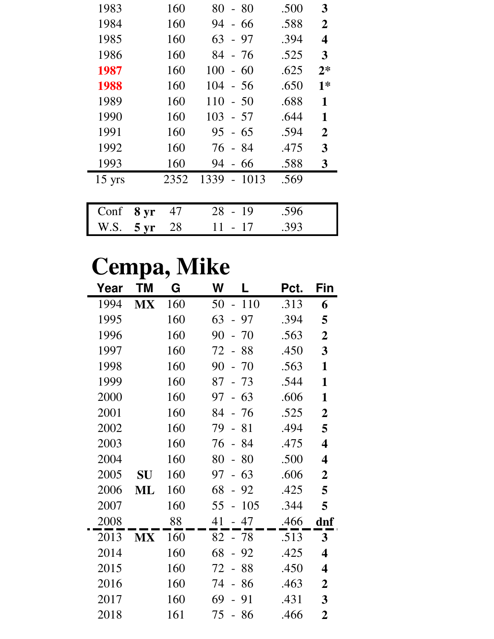| 1983             |                 | 160  | 80<br>- 80                            | .500 | 3              |
|------------------|-----------------|------|---------------------------------------|------|----------------|
| 1984             |                 | 160  | 94<br>66<br>$\overline{\phantom{0}}$  | .588 | $\overline{2}$ |
| 1985             |                 | 160  | 63<br>- 97                            | .394 | 4              |
| 1986             |                 | 160  | 84<br>- 76                            | .525 | 3              |
| 1987             |                 | 160  | 100<br>60<br>$\overline{\phantom{0}}$ | .625 | $2*$           |
| 1988             |                 | 160  | 104<br>- 56                           | .650 | $1*$           |
| 1989             |                 | 160  | 110<br>$-50$                          | .688 | 1              |
| 1990             |                 | 160  | 103<br>- 57                           | .644 | 1              |
| 1991             |                 | 160  | 95<br>$-65$                           | .594 | $\overline{2}$ |
| 1992             |                 | 160  | - 84<br>76                            | .475 | 3              |
| 1993             |                 | 160  | 94<br>66<br>$\overline{a}$            | .588 | 3              |
| $15 \text{ yrs}$ |                 | 2352 | 1339<br>1013                          | .569 |                |
|                  |                 |      |                                       |      |                |
| Conf             | 8 yr            | 47   | 28<br>19                              | .596 |                |
| W.S.             | $5 \mathrm{yr}$ | 28   | 11<br>17                              | .393 |                |

## **Cempa, Mike**

| Year | ΤM        | G   | W<br>L                                | Pct. | Fin                     |
|------|-----------|-----|---------------------------------------|------|-------------------------|
| 1994 | MX        | 160 | 110<br>50<br>$\overline{\phantom{a}}$ | .313 | 6                       |
| 1995 |           | 160 | 63<br>97                              | .394 | 5                       |
| 1996 |           | 160 | 90<br>70                              | .563 | $\overline{2}$          |
| 1997 |           | 160 | 72<br>-88                             | .450 | 3                       |
| 1998 |           | 160 | 90<br>70                              | .563 | $\mathbf{1}$            |
| 1999 |           | 160 | 87<br>73                              | .544 | $\mathbf{1}$            |
| 2000 |           | 160 | 63<br>97                              | .606 | 1                       |
| 2001 |           | 160 | 84<br>76                              | .525 | $\overline{2}$          |
| 2002 |           | 160 | 79<br>81                              | .494 | 5                       |
| 2003 |           | 160 | 76<br>$-84$                           | .475 | $\overline{\mathbf{4}}$ |
| 2004 |           | 160 | 80<br>80                              | .500 | 4                       |
| 2005 | <b>SU</b> | 160 | 97<br>63                              | .606 | $\overline{2}$          |
| 2006 | ML        | 160 | 68<br>92                              | .425 | 5                       |
| 2007 |           | 160 | 105<br>55                             | .344 | 5                       |
| 2008 |           | 88  | 41<br>47                              | .466 | dnf                     |
| 2013 | <b>MX</b> | 160 | 82<br>- 78                            | .513 | 3                       |
| 2014 |           | 160 | 68<br>$-92$                           | .425 | $\overline{\mathbf{4}}$ |
| 2015 |           | 160 | 88<br>72                              | .450 | 4                       |
| 2016 |           | 160 | 74<br>86                              | .463 | $\overline{2}$          |
| 2017 |           | 160 | 69<br>91                              | .431 | 3                       |
| 2018 |           | 161 | 75<br>-86                             | .466 | $\overline{2}$          |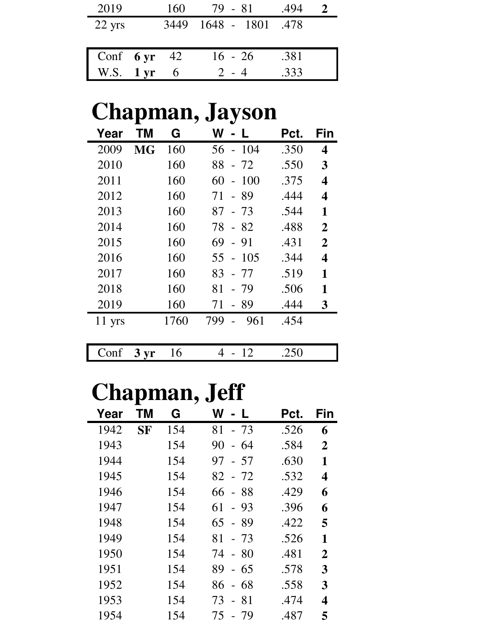| 2019                   | 160 | 79 - 81          | .494 |  |
|------------------------|-----|------------------|------|--|
| $22 \text{ yrs}$       |     | 3449 1648 - 1801 | .478 |  |
|                        |     |                  |      |  |
| Conf $6 \text{ yr}$ 42 |     | $16 - 26$        | .381 |  |
| W.S. $1 \text{ yr}$    |     | $2 - 4$          | .333 |  |

## **Chapman, Jayson**

| Year     | ΤM        | G    | W<br><b>L</b>               | Pct. | Fin            |
|----------|-----------|------|-----------------------------|------|----------------|
| 2009     | <b>MG</b> | 160  | 104<br>56<br>$\blacksquare$ | .350 | 4              |
| 2010     |           | 160  | 88<br>$-72$                 | .550 | 3              |
| 2011     |           | 160  | 100<br>60<br>$\overline{a}$ | .375 | 4              |
| 2012     |           | 160  | - 89<br>71                  | .444 | 4              |
| 2013     |           | 160  | 87<br>- 73                  | .544 | 1              |
| 2014     |           | 160  | 78<br>- 82                  | .488 | $\overline{2}$ |
| 2015     |           | 160  | 69<br>- 91                  | .431 | $\overline{2}$ |
| 2016     |           | 160  | $-105$<br>55                | .344 | 4              |
| 2017     |           | 160  | 83<br>- 77                  | .519 | 1              |
| 2018     |           | 160  | 81<br>$-79$                 | .506 | 1              |
| 2019     |           | 160  | - 89<br>71                  | .444 | 3              |
| $11$ yrs |           | 1760 | 799<br>961                  | .454 |                |
|          |           |      |                             |      |                |
| Conf     | $3 \, yr$ | 16   | 4<br>12                     | .250 |                |

# **Chapman, Jeff**

| Year | ΤM        | G   | W<br>- 11                   | Pct. | Fin            |
|------|-----------|-----|-----------------------------|------|----------------|
| 1942 | <b>SF</b> | 154 | $-73$<br>81                 | .526 | 6              |
| 1943 |           | 154 | 90<br>-64<br>$\blacksquare$ | .584 | $\overline{2}$ |
| 1944 |           | 154 | 97<br>- 57                  | .630 | 1              |
| 1945 |           | 154 | 82<br>$-72$                 | .532 | 4              |
| 1946 |           | 154 | 66<br>- 88                  | .429 | 6              |
| 1947 |           | 154 | 61<br>$-93$                 | .396 | 6              |
| 1948 |           | 154 | 65<br>- 89                  | .422 | 5              |
| 1949 |           | 154 | 81<br>- 73                  | .526 | 1              |
| 1950 |           | 154 | $-80$<br>74                 | .481 | $\overline{2}$ |
| 1951 |           | 154 | 89<br>$-65$                 | .578 | 3              |
| 1952 |           | 154 | - 68<br>86                  | .558 | 3              |
| 1953 |           | 154 | $-81$<br>73                 | .474 | 4              |
| 1954 |           | 154 | 75<br>- 79                  | .487 | 5              |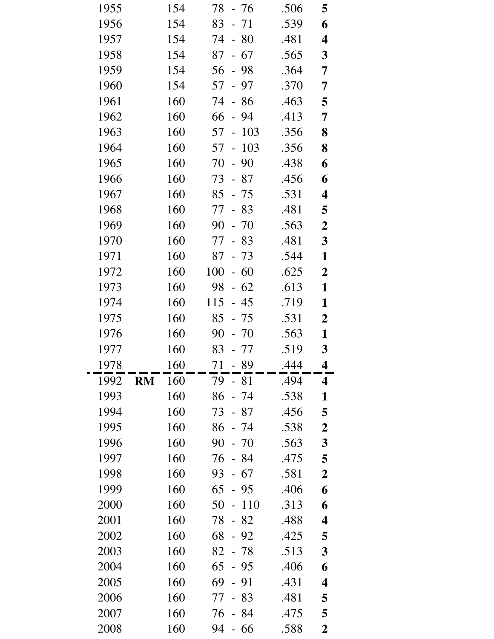| 1955         |           | 154        | 78<br>- 76                           | .506 | 5                |
|--------------|-----------|------------|--------------------------------------|------|------------------|
| 1956         |           | 154        | 83<br>- 71                           | .539 | 6                |
| 1957         |           | 154        | 74<br>$-80$                          | .481 | 4                |
| 1958         |           | 154        | 87<br>$-67$                          | .565 | 3                |
| 1959         |           | 154        | 56<br>$-98$                          | .364 | 7                |
| 1960         |           | 154        | 57<br>97                             | .370 | 7                |
| 1961         |           | 160        | 74<br>86<br>$\overline{a}$           | .463 | 5                |
| 1962         |           | 160        | 66<br>94<br>$\overline{\phantom{0}}$ | .413 | 7                |
| 1963         |           | 160        | 57<br>103<br>$\frac{1}{2}$           | .356 | 8                |
| 1964         |           | 160        | 103<br>57<br>$\equiv$                | .356 | 8                |
| 1965         |           | 160        | 70<br>90<br>$\frac{1}{2}$            | .438 | 6                |
| 1966         |           | 160        | 73<br>- 87                           | .456 | 6                |
| 1967         |           | 160        | 85<br>$-75$                          | .531 | 4                |
| 1968         |           | 160        | 77<br>$-83$                          | .481 | 5                |
| 1969         |           | 160        | 90<br>$-70$                          | .563 | $\boldsymbol{2}$ |
| 1970         |           | 160        | 77<br>83                             | .481 | $\mathbf{3}$     |
| 1971         |           | 160        | $-73$<br>87                          | .544 | 1                |
| 1972         |           | 160        | 100<br>$-60$                         | .625 | $\boldsymbol{2}$ |
| 1973         |           | 160        | $-62$<br>98                          | .613 | $\mathbf{1}$     |
| 1974         |           | 160        | 115<br>$-45$                         | .719 | $\mathbf{1}$     |
| 1975         |           | 160        | 85<br>- 75                           | .531 | $\boldsymbol{2}$ |
| 1976         |           | 160        | 90<br>$-70$                          | .563 | 1                |
| 1977         |           | 160        | 83<br>- 77                           | .519 | $\mathbf{3}$     |
| 1978         |           | 160        | 71<br>89                             | .444 | 4                |
| 1992         | <b>RM</b> | 160        | 79<br>-81                            | .494 | 4                |
| 1993         |           | 160        | 86<br>- 74                           | .538 | $\mathbf{1}$     |
| 1994         |           | 160        | 73<br>- 87                           | .456 | 5                |
| 1995         |           | 160        | 86<br>- 74                           | .538 | $\boldsymbol{2}$ |
| 1996         |           | 160        | 90<br>$-70$                          | .563 | 3                |
| 1997         |           | 160        | 76<br>-84                            | .475 | 5                |
| 1998         |           | 160        | 93<br>- 67                           | .581 | $\boldsymbol{2}$ |
| 1999         |           | 160        | 65<br>- 95                           | .406 | 6                |
|              |           |            |                                      |      |                  |
| 2000         |           | 160        | 50<br>110                            | .313 | 6                |
| 2001         |           | 160        | $-82$<br>78                          | .488 | 4                |
| 2002         |           | 160        | 68<br>92                             | .425 | 5                |
| 2003         |           | 160        | 82<br>- 78                           | .513 | 3                |
| 2004         |           | 160        | 65<br>$-95$                          | .406 | 6                |
| 2005         |           | 160        | 69<br>-91<br>$\overline{a}$          | .431 | 4                |
| 2006         |           | 160        | 83<br>77                             | .481 | 5                |
| 2007<br>2008 |           | 160<br>160 | 76<br>84                             | .475 | 5                |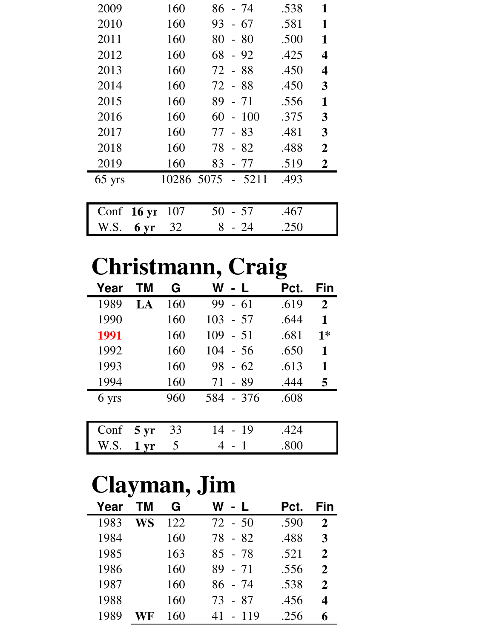| 2009     | 160                    |                   | 86 - 74   | .538 | 1              |
|----------|------------------------|-------------------|-----------|------|----------------|
| 2010     | 160                    | 93                | - 67      | .581 | 1              |
| 2011     | 160                    | 80                | - 80      | .500 | $\mathbf{1}$   |
| 2012     | 160                    |                   | $68 - 92$ | .425 | 4              |
| 2013     | 160                    | 72 - 88           |           | .450 | 4              |
| 2014     | 160                    | 72 - 88           |           | .450 | 3              |
| 2015     | 160                    | 89                | $-71$     | .556 | 1              |
| 2016     | 160                    | 60                | $-100$    | .375 | 3              |
| 2017     | 160                    | 77 - 83           |           | .481 | 3              |
| 2018     | 160                    | 78 - 82           |           | .488 | $\overline{2}$ |
| 2019     | 160                    | 83                | - 77      | .519 | $\overline{2}$ |
| $65$ yrs |                        | 10286 5075 - 5211 |           | .493 |                |
|          |                        |                   |           |      |                |
| Conf     | 107<br>$16 \text{ yr}$ | 50                | - 57      | .467 |                |
| W.S.     | 32<br>6 yr             | 8                 | - 24      | .250 |                |

## **Christmann, Craig**

| Year  | <b>TM</b>       | G   | W - L       | Pct. | Fin            |
|-------|-----------------|-----|-------------|------|----------------|
| 1989  | $L$ $A$         | 160 | 99<br>$-61$ | .619 | $\overline{2}$ |
| 1990  |                 | 160 | $103 - 57$  | .644 | 1              |
| 1991  |                 | 160 | $109 - 51$  | .681 | $1*$           |
| 1992  |                 | 160 | $104 - 56$  | .650 | 1              |
| 1993  |                 | 160 | 98<br>$-62$ | .613 | 1              |
| 1994  |                 | 160 | 71<br>- 89  | .444 | 5              |
| 6 yrs |                 | 960 | 584 - 376   | .608 |                |
|       |                 |     |             |      |                |
| Conf  | $5 \mathrm{yr}$ | 33  | $14 - 19$   | .424 |                |
| W.S.  | 1 <sub>yr</sub> | 5   |             | .800 |                |

## **Clayman, Jim**

| Year | TМ | G   | W - L        | Pct. | Fin                         |
|------|----|-----|--------------|------|-----------------------------|
| 1983 | WS | 122 | $72 - 50$    | .590 | 2                           |
| 1984 |    | 160 | 78 - 82      | .488 | 3                           |
| 1985 |    | 163 | $85 - 78$    | .521 | 2                           |
| 1986 |    | 160 | $89 - 71$    | .556 | 2                           |
| 1987 |    | 160 | 86 - 74      | .538 | $\mathcal{D}_{\mathcal{L}}$ |
| 1988 |    | 160 | 73 - 87      | .456 | 4                           |
| 1989 |    | 160 | 41<br>$-119$ | .256 |                             |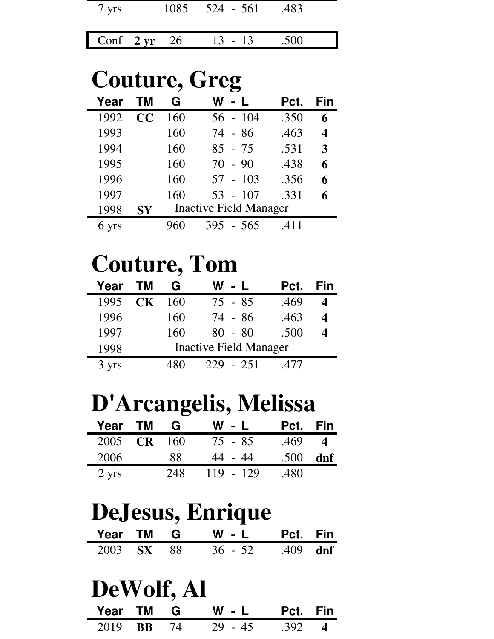| 7 yrs                  |  | $1085$ $524 - 561$ | .483 |  |
|------------------------|--|--------------------|------|--|
| Conf $2 \text{ yr}$ 26 |  | $13 - 13$          | .500 |  |

#### **Couture, Greg Year TM G W - L Pct. Fin** 1992 **CC** 160 56 - 104 .350 **6** 1993 160 74 - 86 .463 **4** 1994 160 85 - 75 .531 **3** 1995 160 70 - 90 .438 **6**

| 1996  |           | 160 | $57 - 103$                    | .356 | 6 |
|-------|-----------|-----|-------------------------------|------|---|
| 1997  |           | 160 | $53 - 107$                    | .331 | 6 |
| 1998  | <b>SY</b> |     | <b>Inactive Field Manager</b> |      |   |
| 6 yrs |           | 960 | $395 - 565$                   | .411 |   |

## **Couture, Tom**

| Year  | <b>TM</b> | G   | W - L                         | Pct. | Fin |
|-------|-----------|-----|-------------------------------|------|-----|
| 1995  | CK        | 160 | $75 - 85$                     | .469 |     |
| 1996  |           | 160 | 74 - 86                       | .463 | 4   |
| 1997  |           | 160 | $80 - 80$                     | .500 |     |
| 1998  |           |     | <b>Inactive Field Manager</b> |      |     |
| 3 yrs |           |     | $-251$<br>229                 |      |     |

### **D'Arcangelis, Melissa**

| Year TM         | G               | W - L       | Pct. Fin |     |
|-----------------|-----------------|-------------|----------|-----|
| 2005 CR         | 16 <sub>0</sub> | 75 - 85     | .469     |     |
| 2006            | 88              | 44 - 44     | .500     | dnf |
| $2 \text{ yrs}$ | 248             | $119 - 129$ | .480     |     |

# **DeJesus, Enrique**

|            |  | Year TM G W - L Pct. Fin |                 |  |
|------------|--|--------------------------|-----------------|--|
| 2003 SX 88 |  | $36 - 52$                | .409 <b>dnf</b> |  |

# **DeWolf, Al**

| Year TM G         |  | $W - L$   | Pct. Fin       |  |
|-------------------|--|-----------|----------------|--|
| 2019 <b>BB</b> 74 |  | $29 - 45$ | $.392 \quad 4$ |  |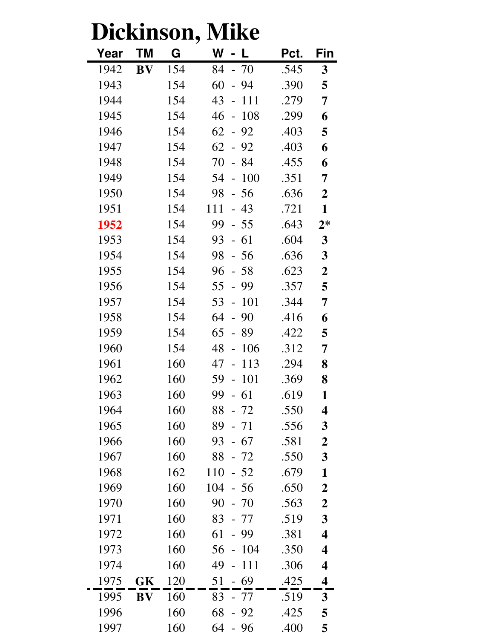| like<br>Dickinson, |                         |     |                                      |      |                         |  |
|--------------------|-------------------------|-----|--------------------------------------|------|-------------------------|--|
| Year               | ΤM                      | G   | W                                    | Pct. | Fin                     |  |
| 1942               | $\mathbf{B} \mathbf{V}$ | 154 | 84<br>$-70$                          | .545 | 3                       |  |
| 1943               |                         | 154 | 60<br>94<br>$\overline{\phantom{0}}$ | .390 | 5                       |  |
| 1944               |                         | 154 | 43<br>111<br>$\overline{a}$          | .279 | 7                       |  |
| 1945               |                         | 154 | 46<br>108<br>$\overline{a}$          | .299 | 6                       |  |
| 1946               |                         | 154 | 62<br>92<br>$\overline{a}$           | .403 | 5                       |  |
| 1947               |                         | 154 | 62<br>92<br>$\omega_{\rm c}$         | .403 | 6                       |  |
| 1948               |                         | 154 | 70<br>84<br>$\overline{a}$           | .455 | 6                       |  |
| 1949               |                         | 154 | 100<br>54<br>$\overline{a}$          | .351 | 7                       |  |
| 1950               |                         | 154 | 98<br>$-56$                          | .636 | $\overline{2}$          |  |
| 1951               |                         | 154 | 111<br>43<br>$\overline{a}$          | .721 | $\mathbf{1}$            |  |
| 1952               |                         | 154 | 99<br>$-55$                          | .643 | $2*$                    |  |
| 1953               |                         | 154 | 93<br>61<br>$\overline{a}$           | .604 | $\mathbf{3}$            |  |
| 1954               |                         | 154 | 98<br>$-56$                          | .636 | $\mathbf{3}$            |  |
| 1955               |                         | 154 | 96<br>$-58$                          | .623 | $\boldsymbol{2}$        |  |
| 1956               |                         | 154 | 55<br>99<br>$\overline{a}$           | .357 | 5                       |  |
| 1957               |                         | 154 | 53<br>101<br>$\overline{a}$          | .344 | 7                       |  |
| 1958               |                         | 154 | 64<br>90<br>$\overline{\phantom{0}}$ | .416 | 6                       |  |
| 1959               |                         | 154 | 65<br>89<br>$\overline{a}$           | .422 | 5                       |  |
| 1960               |                         | 154 | 48<br>106<br>$\overline{a}$          | .312 | 7                       |  |
| 1961               |                         | 160 | 47<br>113                            | .294 | 8                       |  |
| 1962               |                         | 160 | 59<br>101<br>$\overline{a}$          | .369 | 8                       |  |
| 1963               |                         | 160 | 99<br>61                             | .619 | 1                       |  |
| 1964               |                         | 160 | 88<br>$-72$                          | .550 | $\overline{\mathbf{4}}$ |  |
| 1965               |                         | 160 | 89<br>- 71                           | .556 | 3                       |  |
| 1966               |                         | 160 | 93<br>$-67$                          | .581 | $\overline{2}$          |  |
| 1967               |                         | 160 | 88<br>- 72                           | .550 | 3                       |  |
| 1968               |                         | 162 | 110<br>$-52$                         | .679 | $\mathbf{1}$            |  |
| 1969               |                         | 160 | 104<br>- 56                          | .650 | $\boldsymbol{2}$        |  |
| 1970               |                         | 160 | 90<br>-70                            | .563 | $\boldsymbol{2}$        |  |
| 1971               |                         | 160 | 83<br>- 77                           | .519 | 3                       |  |
| 1972               |                         | 160 | 61<br>99                             | .381 | $\overline{\mathbf{4}}$ |  |
| 1973               |                         | 160 | 56<br>104                            | .350 | 4                       |  |
| 1974               |                         | 160 | 49<br>111                            | .306 | $\overline{\mathbf{4}}$ |  |
| 1975               | GK                      | 120 | 51<br>69                             | .425 | 4                       |  |
| 1995               | <b>BV</b>               | 160 | 83<br>- 77                           | .519 | 3                       |  |
| 1996               |                         | 160 | 68<br>92                             | .425 | 5                       |  |
| 1997               |                         | 160 | 64<br>-96                            | .400 | 5                       |  |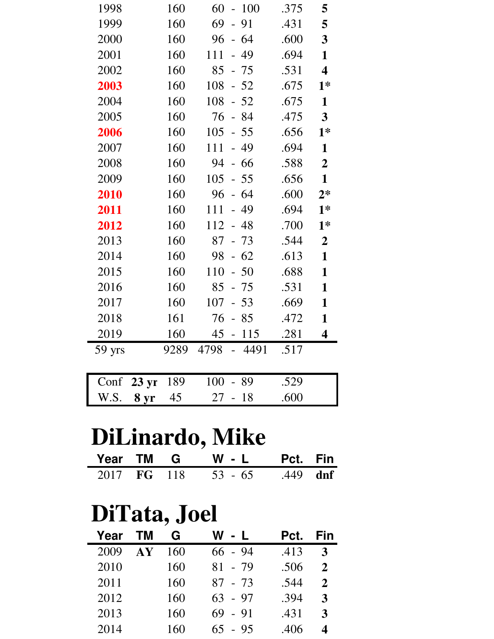| 1998   |                 | 160  | 60<br>$-100$               | .375 | 5                       |
|--------|-----------------|------|----------------------------|------|-------------------------|
| 1999   |                 | 160  | 69<br>91<br>$\overline{a}$ | .431 | 5                       |
| 2000   |                 | 160  | 96<br>$-64$                | .600 | 3                       |
| 2001   |                 | 160  | $-49$<br>111               | .694 | $\mathbf{1}$            |
| 2002   |                 | 160  | 85<br>$-75$                | .531 | $\overline{\mathbf{4}}$ |
| 2003   |                 | 160  | 108<br>$-52$               | .675 | $1*$                    |
| 2004   |                 | 160  | $-52$<br>108               | .675 | $\mathbf{1}$            |
| 2005   |                 | 160  | 76<br>$-84$                | .475 | $\overline{3}$          |
| 2006   |                 | 160  | 105<br>$-55$               | .656 | $1*$                    |
| 2007   |                 | 160  | 111<br>49<br>$\equiv$      | .694 | $\mathbf{1}$            |
| 2008   |                 | 160  | 94<br>$-66$                | .588 | $\overline{2}$          |
| 2009   |                 | 160  | 105<br>$-55$               | .656 | $\mathbf{1}$            |
| 2010   |                 | 160  | 96<br>$-64$                | .600 | $2*$                    |
| 2011   |                 | 160  | 111<br>$-49$               | .694 | $1*$                    |
| 2012   |                 | 160  | $112 - 48$                 | .700 | $1*$                    |
| 2013   |                 | 160  | 87<br>$-73$                | .544 | $\overline{2}$          |
| 2014   |                 | 160  | $-62$<br>98                | .613 | $\mathbf{1}$            |
| 2015   |                 | 160  | 110<br>$-50$               | .688 | $\mathbf{1}$            |
| 2016   |                 | 160  | $-75$<br>85                | .531 | 1                       |
| 2017   |                 | 160  | $107 - 53$                 | .669 | $\mathbf{1}$            |
| 2018   |                 | 161  | 76<br>85                   | .472 | $\mathbf{1}$            |
| 2019   |                 | 160  | 45 - 115                   | .281 | 4                       |
| 59 yrs |                 | 9289 | 4798<br>$-4491$            | .517 |                         |
|        |                 |      |                            |      |                         |
| Conf   | $23 \text{ yr}$ | 189  | 100<br>-89                 | .529 |                         |
| W.S.   | 8 yr            | 45   | 27<br>$-18$                | .600 |                         |

## **DiLinardo, Mike**

|  |  | Year TM G W - L Pct. Fin     |  |
|--|--|------------------------------|--|
|  |  | 2017 FG 118 53 - 65 .449 dnf |  |

## **DiTata, Joel**

| Year | <b>TM</b>         | G   | W<br>$-L$  | Pct. | Fin |
|------|-------------------|-----|------------|------|-----|
| 2009 | ${\bf A} {\bf Y}$ | 160 | $66 - 94$  | .413 | 3   |
| 2010 |                   | 160 | 81<br>- 79 | .506 | 2   |
| 2011 |                   | 160 | $87 - 73$  | .544 | 2   |
| 2012 |                   | 160 | $63 - 97$  | .394 | 3   |
| 2013 |                   | 160 | $69 - 91$  | .431 | 3   |
| 2014 |                   | 160 | $65 - 95$  | .406 | 4   |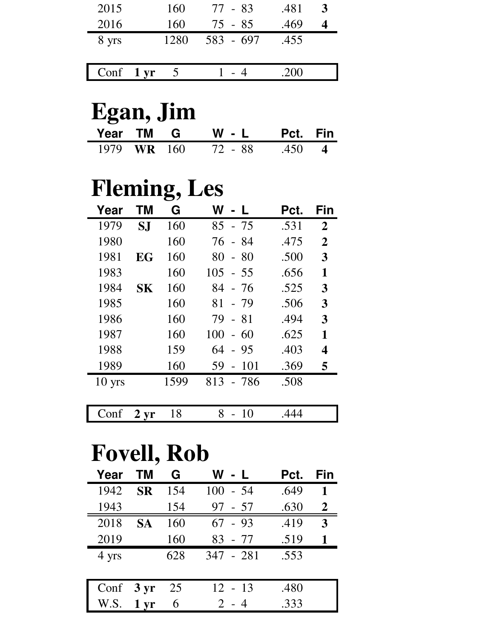| 2015                | 160  | 77 - 83   | .481 |  |
|---------------------|------|-----------|------|--|
| 2016                | 160  | 75 - 85   | .469 |  |
| 8 yrs               | 1280 | 583 - 697 | .455 |  |
|                     |      |           |      |  |
| Conf $1 \text{ yr}$ |      |           | 200  |  |

## **Egan, Jim**

|             | Year TM G W - L Pct. Fin |  |
|-------------|--------------------------|--|
| 1979 WR 160 | 72 - 88 - 450 - 4        |  |

### **Fleming, Les**

| Year             | тм  | G    | W - L                       | Pct. | Fin            |
|------------------|-----|------|-----------------------------|------|----------------|
| 1979             | S.I | 160  | 85<br>$-75$                 | .531 | $\overline{2}$ |
| 1980             |     | 160  | 76<br>- 84                  | .475 | $\overline{2}$ |
| 1981             | EG  | 160  | 80<br>$-80$                 | .500 | 3              |
| 1983             |     | 160  | 105<br>$-55$                | .656 | 1              |
| 1984             | SK  | 160  | 84<br>- 76                  | .525 | 3              |
| 1985             |     | 160  | 81<br>- 79                  | .506 | 3              |
| 1986             |     | 160  | 79 - 81                     | .494 | 3              |
| 1987             |     | 160  | 100<br>$-60$                | .625 | 1              |
| 1988             |     | 159  | 64<br>$-95$                 | .403 | 4              |
| 1989             |     | 160  | 59<br>101<br>$\overline{a}$ | .369 | 5              |
| $10 \text{ yrs}$ |     | 1599 | 813<br>- 786                | .508 |                |
|                  |     |      |                             |      |                |

| $\epsilon$ | <b>TTM</b><br>_ |  |  |
|------------|-----------------|--|--|
|            |                 |  |  |

### **Fovell, Rob**

| Year  | <b>TM</b>         | G   | W - L       | Pct. | Fin |
|-------|-------------------|-----|-------------|------|-----|
| 1942  | <b>SR</b>         | 154 | $100 - 54$  | .649 | 1   |
| 1943  |                   | 154 | 97<br>- 57  | .630 | 2   |
| 2018  | <b>SA</b>         | 160 | $-93$<br>67 | .419 | 3   |
| 2019  |                   | 160 | $83 - 77$   | .519 |     |
| 4 yrs |                   | 628 | 347 - 281   | .553 |     |
|       |                   |     |             |      |     |
| Conf  | $3 \text{ yr}$    | 25  | $12 - 13$   | .480 |     |
| W.S.  | $1 \,\mathrm{yr}$ | 6   | $2 - 4$     | .333 |     |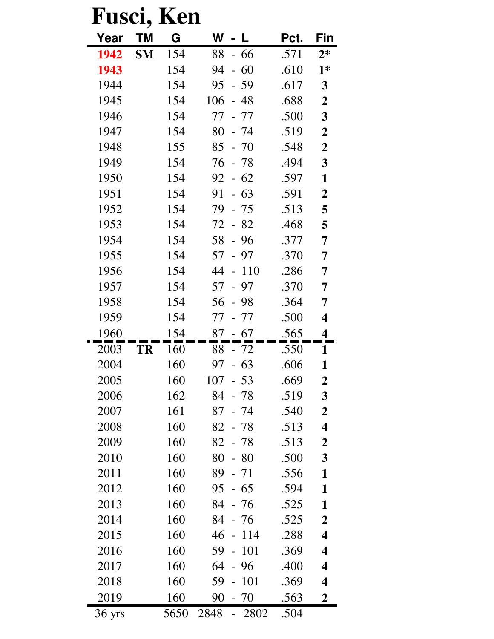| Fusci, |           | Ken  |                             |      |                         |
|--------|-----------|------|-----------------------------|------|-------------------------|
| Year   | ΤM        | G    | W                           | Pct. | Fin                     |
| 1942   | <b>SM</b> | 154  | 88<br>- 66                  | .571 | $2*$                    |
| 1943   |           | 154  | 94<br>60<br>$\overline{a}$  | .610 | $1*$                    |
| 1944   |           | 154  | 95<br>59<br>$\overline{a}$  | .617 | $\mathbf{3}$            |
| 1945   |           | 154  | 106<br>48<br>$\overline{a}$ | .688 | $\boldsymbol{2}$        |
| 1946   |           | 154  | 77<br>77                    | .500 | $\mathbf{3}$            |
| 1947   |           | 154  | 80<br>- 74                  | .519 | $\boldsymbol{2}$        |
| 1948   |           | 155  | 85<br>- 70                  | .548 | $\boldsymbol{2}$        |
| 1949   |           | 154  | 76<br>- 78                  | .494 | $\mathbf{3}$            |
| 1950   |           | 154  | $-62$<br>92                 | .597 | 1                       |
| 1951   |           | 154  | 91<br>63                    | .591 | $\boldsymbol{2}$        |
| 1952   |           | 154  | 79<br>- 75                  | .513 | 5                       |
| 1953   |           | 154  | 72<br>$-82$                 | .468 | 5                       |
| 1954   |           | 154  | 58<br>96<br>$\equiv$        | .377 | 7                       |
| 1955   |           | 154  | 57<br>$-97$                 | .370 | 7                       |
| 1956   |           | 154  | 44<br>110                   | .286 | 7                       |
| 1957   |           | 154  | 57<br>97<br>$\frac{1}{2}$   | .370 | 7                       |
| 1958   |           | 154  | 56<br>- 98                  | .364 | 7                       |
| 1959   |           | 154  | 77<br>77                    | .500 | $\overline{\mathbf{4}}$ |
| 1960   |           | 154  | 87<br>$-67$                 | .565 | 4                       |
| 2003   | TR        | 160  | 88<br>- 72                  | .550 | 1                       |
| 2004   |           | 160  | 97 - 63                     | .606 | 1                       |
| 2005   |           | 160  | 107<br>$-53$                | .669 | $\boldsymbol{2}$        |
| 2006   |           | 162  | 84<br>- 78                  | .519 | $\mathbf{3}$            |
| 2007   |           | 161  | $87 - 74$                   | .540 | $\boldsymbol{2}$        |
| 2008   |           | 160  | 82 - 78                     | .513 | 4                       |
| 2009   |           | 160  | $82 - 78$                   | .513 | $\boldsymbol{2}$        |
| 2010   |           | 160  | 80<br>$-80$                 | .500 | $\overline{\mathbf{3}}$ |
| 2011   |           | 160  | $89 - 71$                   | .556 | 1                       |
| 2012   |           | 160  | $95 - 65$                   | .594 | 1                       |
| 2013   |           | 160  | - 76<br>84                  | .525 | $\mathbf{1}$            |
| 2014   |           | 160  | 84 - 76                     | .525 | $\boldsymbol{2}$        |
| 2015   |           | 160  | 46<br>114<br>$\frac{1}{2}$  | .288 | $\overline{\mathbf{4}}$ |
| 2016   |           | 160  | 59<br>101<br>$\Box$         | .369 | 4                       |
| 2017   |           | 160  | 64<br>$-96$                 | .400 | $\overline{\mathbf{4}}$ |
| 2018   |           | 160  | 59<br>101<br>$\frac{1}{2}$  | .369 | $\overline{\mathbf{4}}$ |
| 2019   |           | 160  | 90<br>$-70$                 | .563 | $\boldsymbol{2}$        |
| 36 yrs |           | 5650 | 2848<br>2802                | .504 |                         |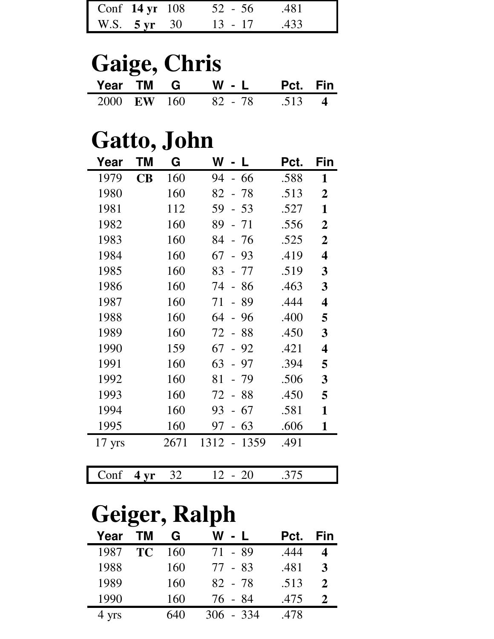|              | Conf 14 yr 108 52 - 56 .481 |  |
|--------------|-----------------------------|--|
| W.S. 5 yr 30 | $13 - 17$ $.433$            |  |

#### **Gaige, Chris**<br>
Year TM **G W - L**<br>
2000 EW 160 82 - 78 **Year TM G W - L Pct. Fin**<br>2000 EW 160 82 - 78 .513 4 2000 **EW** 160 82 - 78 .513 **4**

### **Gatto, John**

| Year             | ΤM                       | G    | W                                    | Pct. | Fin                     |
|------------------|--------------------------|------|--------------------------------------|------|-------------------------|
| 1979             | $\overline{\mathbf{CB}}$ | 160  | - 66<br>94                           | .588 | 1                       |
| 1980             |                          | 160  | 82<br>-78                            | .513 | $\overline{2}$          |
| 1981             |                          | 112  | 59<br>- 53                           | .527 | 1                       |
| 1982             |                          | 160  | 89<br>71                             | .556 | $\overline{2}$          |
| 1983             |                          | 160  | 84<br>-76                            | .525 | $\overline{2}$          |
| 1984             |                          | 160  | 67<br>93<br>$\overline{a}$           | .419 | $\overline{\mathbf{4}}$ |
| 1985             |                          | 160  | 83<br>77                             | .519 | 3                       |
| 1986             |                          | 160  | 74<br>86<br>$\overline{a}$           | .463 | 3                       |
| 1987             |                          | 160  | 71<br>89<br>$\equiv$                 | .444 | $\overline{\mathbf{4}}$ |
| 1988             |                          | 160  | 64<br>96<br>$\overline{\phantom{0}}$ | .400 | 5                       |
| 1989             |                          | 160  | 72<br>88                             | .450 | 3                       |
| 1990             |                          | 159  | 67<br>92                             | .421 | $\overline{\mathbf{4}}$ |
| 1991             |                          | 160  | 63<br>97                             | .394 | 5                       |
| 1992             |                          | 160  | 81<br>79                             | .506 | 3                       |
| 1993             |                          | 160  | 88<br>72<br>$\overline{a}$           | .450 | 5                       |
| 1994             |                          | 160  | 93<br>67                             | .581 | 1                       |
| 1995             |                          | 160  | 63<br>97<br>$\overline{\phantom{0}}$ | .606 | 1                       |
| $17 \text{ yrs}$ |                          | 2671 | 1312<br>1359<br>$\frac{1}{2}$        | .491 |                         |
|                  |                          |      |                                      |      |                         |

|--|

## **Geiger, Ralph**

| TМ        | G   | W - L       | Pct. | Fin |
|-----------|-----|-------------|------|-----|
| <b>TC</b> | 160 | 71 - 89     | .444 |     |
|           | 160 | 77 - 83     | .481 |     |
|           | 160 | 82 - 78     | .513 |     |
|           | 160 | 76 - 84     | .475 |     |
|           | 640 | $306 - 334$ | .478 |     |
|           |     |             |      |     |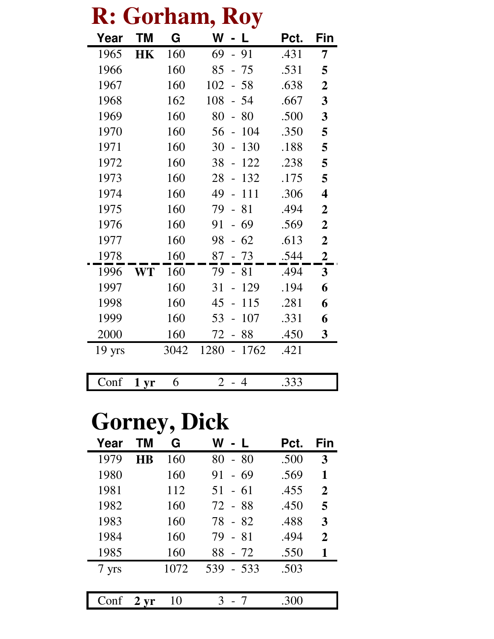| K:               |      | rornan | KOY<br>L,                      |      |                         |
|------------------|------|--------|--------------------------------|------|-------------------------|
| Year             | ΤM   | G      | W<br>$\blacksquare$            | Pct. | Fin                     |
| 1965             | HK   | 160    | 69<br>- 91                     | .431 | 7                       |
| 1966             |      | 160    | 85<br>75                       | .531 | 5                       |
| 1967             |      | 160    | 102<br>58                      | .638 | $\boldsymbol{2}$        |
| 1968             |      | 162    | 108<br>54                      | .667 | 3                       |
| 1969             |      | 160    | 80<br>80                       | .500 | 3                       |
| 1970             |      | 160    | 104<br>56                      | .350 | 5                       |
| 1971             |      | 160    | 30<br>130                      | .188 | 5                       |
| 1972             |      | 160    | 38<br>122                      | .238 | 5                       |
| 1973             |      | 160    | 28<br>132                      | .175 | 5                       |
| 1974             |      | 160    | 111<br>49                      | .306 | $\overline{\mathbf{4}}$ |
| 1975             |      | 160    | 81<br>79                       | .494 | $\boldsymbol{2}$        |
| 1976             |      | 160    | 69<br>91                       | .569 | $\boldsymbol{2}$        |
| 1977             |      | 160    | 62<br>98                       | .613 | $\boldsymbol{2}$        |
| 1978             |      | 160    | 87<br>$-73$                    | .544 | $\boldsymbol{2}$        |
| 1996             | WT   | 160    | 79<br>81                       | .494 | $\mathbf{3}$            |
| 1997             |      | 160    | 31<br>129                      | .194 | 6                       |
| 1998             |      | 160    | 45<br>115                      | .281 | 6                       |
| 1999             |      | 160    | 53<br>107                      | .331 | 6                       |
| 2000             |      | 160    | 88<br>72                       | .450 | $\mathbf{3}$            |
| $19 \text{ yrs}$ |      | 3042   | 1280<br>1762<br>$\overline{a}$ | .421 |                         |
|                  |      |        |                                |      |                         |
| Conf             | 1 yr | 6      | $\overline{2}$<br>- 4          | .333 |                         |

## **R: Gorham, Roy**

## **Gorney, Dick**

| Year  | ΤM        | G    | W<br>- L    | Pct. | Fin          |
|-------|-----------|------|-------------|------|--------------|
| 1979  | <b>HB</b> | 160  | 80<br>$-80$ | .500 | 3            |
| 1980  |           | 160  | $-69$<br>91 | .569 | 1            |
| 1981  |           | 112  | $51 - 61$   | .455 | $\mathbf{2}$ |
| 1982  |           | 160  | 72 - 88     | .450 | 5            |
| 1983  |           | 160  | 78 - 82     | .488 | 3            |
| 1984  |           | 160  | 79 - 81     | .494 | $\mathbf{2}$ |
| 1985  |           | 160  | 88 - 72     | .550 | 1            |
| 7 yrs |           | 1072 | 539 - 533   | .503 |              |
|       |           |      |             |      |              |
| Conf  | $2 \, yr$ | 10   |             | .300 |              |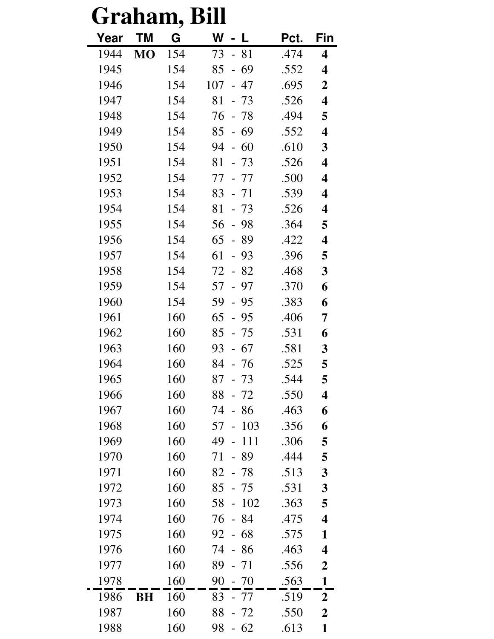| Graham, |           |     | Bill                                  |      |                         |
|---------|-----------|-----|---------------------------------------|------|-------------------------|
| Year    | ΤM        | G   | W<br>- L                              | Pct. | Fin                     |
| 1944    | <b>MO</b> | 154 | 73<br>81<br>$\equiv$                  | .474 | 4                       |
| 1945    |           | 154 | 69<br>85<br>$\overline{\phantom{0}}$  | .552 | 4                       |
| 1946    |           | 154 | 107<br>- 47                           | .695 | $\boldsymbol{2}$        |
| 1947    |           | 154 | 81<br>$-73$                           | .526 | $\overline{\mathbf{4}}$ |
| 1948    |           | 154 | 76<br>- 78                            | .494 | 5                       |
| 1949    |           | 154 | 85<br>$-69$                           | .552 | $\overline{\mathbf{4}}$ |
| 1950    |           | 154 | 94<br>$-60$                           | .610 | 3                       |
| 1951    |           | 154 | 81<br>- 73                            | .526 | $\overline{\mathbf{4}}$ |
| 1952    |           | 154 | 77<br>- 77                            | .500 | 4                       |
| 1953    |           | 154 | 83<br>- 71                            | .539 | 4                       |
| 1954    |           | 154 | 81<br>$-73$                           | .526 | 4                       |
| 1955    |           | 154 | 98<br>56<br>$\mathbb{L}^{\mathbb{N}}$ | .364 | 5                       |
| 1956    |           | 154 | 65<br>89<br>$\overline{\phantom{0}}$  | .422 | $\overline{\mathbf{4}}$ |
| 1957    |           | 154 | 61<br>93<br>$\overline{a}$            | .396 | 5                       |
| 1958    |           | 154 | 72<br>82                              | .468 | 3                       |
| 1959    |           | 154 | 57<br>97<br>$\overline{\phantom{0}}$  | .370 | 6                       |
| 1960    |           | 154 | 59<br>95<br>$\overline{a}$            | .383 | 6                       |
| 1961    |           | 160 | 65<br>- 95                            | .406 | 7                       |
| 1962    |           | 160 | 85<br>$-75$                           | .531 | 6                       |
| 1963    |           | 160 | 93<br>$-67$                           | .581 | 3                       |
| 1964    |           | 160 | 84<br>- 76                            | 525  | 5                       |
| 1965    |           | 160 | 87<br>$-73$                           | .544 | 5                       |
| 1966    |           | 160 | 88<br>- 72                            | .550 | 4                       |
| 1967    |           | 160 | 74<br>86                              | .463 | 6                       |
| 1968    |           | 160 | 103<br>57                             | .356 | 6                       |
| 1969    |           | 160 | 49<br>111<br>$\overline{\phantom{0}}$ | .306 | 5                       |
| 1970    |           | 160 | 89<br>71<br>$\overline{a}$            | .444 | 5                       |
| 1971    |           | 160 | $82 - 78$                             | .513 | 3                       |
| 1972    |           | 160 | 85<br>- 75                            | .531 | 3                       |
| 1973    |           | 160 | 102<br>58<br>$\equiv$                 | .363 | 5                       |
| 1974    |           | 160 | 76<br>- 84                            | .475 | 4                       |
| 1975    |           | 160 | 68<br>92<br>$\equiv$                  | .575 | $\mathbf{1}$            |
| 1976    |           | 160 | 74<br>- 86                            | .463 | 4                       |
| 1977    |           | 160 | 89<br>- 71                            | .556 | $\boldsymbol{2}$        |
| 1978    |           | 160 | 90<br>$-70$                           | .563 | $\mathbf{1}$            |
| 1986    | BH        | 160 | 83<br>- 77                            | .519 | $\overline{2}$          |
| 1987    |           | 160 | 88<br>- 72                            | .550 | $\boldsymbol{2}$        |
| 1988    |           | 160 | 98<br>$-62$                           | .613 | $\mathbf{1}$            |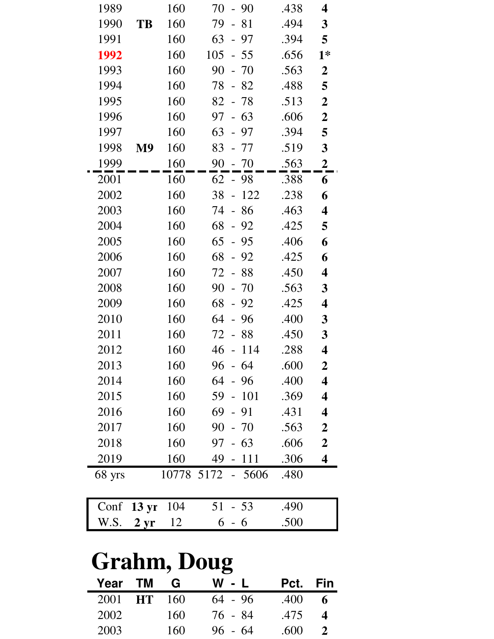| 1989               |                   | 160 | 70<br>$-90$                | .438 | 4                       |  |  |
|--------------------|-------------------|-----|----------------------------|------|-------------------------|--|--|
| 1990               | TB                | 160 | 79<br>81<br>$\overline{a}$ | .494 | $\mathbf{3}$            |  |  |
| 1991               |                   | 160 | 63<br>- 97                 | .394 | 5                       |  |  |
| 1992               |                   | 160 | 105<br>$-55$               | .656 | $1*$                    |  |  |
| 1993               |                   | 160 | 90<br>$-70$                | .563 | $\boldsymbol{2}$        |  |  |
| 1994               |                   | 160 | 78<br>$-82$                | .488 | 5                       |  |  |
| 1995               |                   | 160 | 82<br>- 78                 | .513 | $\boldsymbol{2}$        |  |  |
| 1996               |                   | 160 | 97<br>$-63$                | .606 | $\boldsymbol{2}$        |  |  |
| 1997               |                   | 160 | 63<br>97<br>$\frac{1}{2}$  | .394 | 5                       |  |  |
| 1998               | M <sub>9</sub>    | 160 | 83<br>- 77                 | .519 | 3                       |  |  |
| 1999               |                   | 160 | 90<br>$-70$                | .563 | $\overline{2}$          |  |  |
| 2001               |                   | 160 | 62<br>$-98$                | .388 | 6                       |  |  |
| 2002               |                   | 160 | 38<br>$-122$               | .238 | 6                       |  |  |
| 2003               |                   | 160 | $-86$<br>74                | .463 | 4                       |  |  |
| 2004               |                   | 160 | 68<br>$-92$                | .425 | 5                       |  |  |
| 2005               |                   | 160 | 65<br>$-95$                | .406 | 6                       |  |  |
| 2006               |                   | 160 | 68<br>$-92$                | .425 | 6                       |  |  |
| 2007               |                   | 160 | 72<br>$-88$                | .450 | 4                       |  |  |
| 2008               |                   | 160 | 90<br>$-70$                | .563 | 3                       |  |  |
| 2009               |                   | 160 | 68<br>$-92$                | .425 | 4                       |  |  |
| 2010               |                   | 160 | 64<br>- 96                 | .400 | 3                       |  |  |
| 2011               |                   | 160 | 72<br>88                   | .450 | 3                       |  |  |
| 2012               |                   | 160 | 46<br>$-114$               | .288 | 4                       |  |  |
| 2013               |                   | 160 | 96<br>$-64$                | .600 | $\boldsymbol{2}$        |  |  |
| 2014               |                   | 160 | 64<br>- 96                 | .400 | $\overline{\mathbf{4}}$ |  |  |
| 2015               |                   | 160 | $-101$<br>59               | .369 | $\overline{\mathbf{4}}$ |  |  |
| 2016               |                   | 160 | 69<br>$-91$                | .431 | 4                       |  |  |
| 2017               |                   | 160 | 90<br>- 70                 | .563 | $\boldsymbol{2}$        |  |  |
| 2018               |                   | 160 | 97<br>$-63$                | .606 | $\boldsymbol{2}$        |  |  |
| 2019               |                   | 160 | 49<br>111                  | .306 | $\overline{\mathbf{4}}$ |  |  |
| 68 yrs             |                   |     | 10778 5172 - 5606          | .480 |                         |  |  |
| Conf               | $13 \mathrm{yr}$  | 104 | 51<br>$-53$                | .490 |                         |  |  |
| W.S.               | $2 \,\mathrm{yr}$ | 12  | 6<br>- 6                   | .500 |                         |  |  |
| <b>Grahm, Doug</b> |                   |     |                            |      |                         |  |  |

|         |           |     | $\overline{\phantom{a}}$ |          |   |
|---------|-----------|-----|--------------------------|----------|---|
| Year TM |           | G   | W - L                    | Pct. Fin |   |
| 2001    | <b>HT</b> | 160 | $64 - 96$                | .400     | 6 |
| 2002    |           | 160 | 76 - 84                  | .475     | 4 |
| 2003    |           | 160 | $96 - 64$                | .600     |   |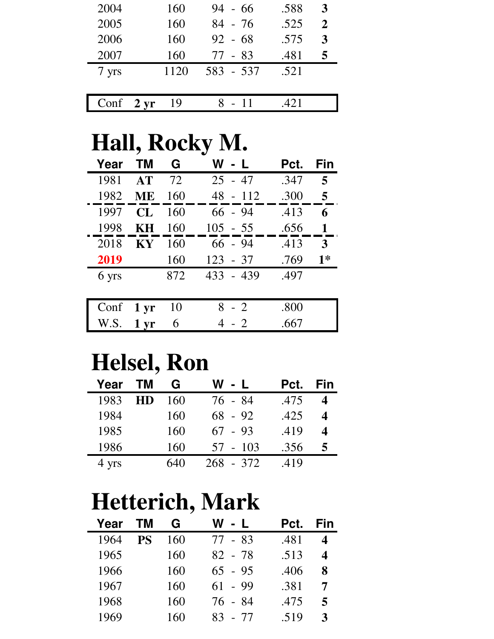| 2004  | 160             | $94 - 66$ | .588 | 3 |
|-------|-----------------|-----------|------|---|
| 2005  | 160             | $84 - 76$ | .525 | 2 |
| 2006  | 160             | $92 - 68$ | .575 | 3 |
| 2007  | 160             | 77 - 83   | .481 | 5 |
| 7 yrs | 1120            | 583 - 537 | .521 |   |
|       |                 |           |      |   |
| Conf  | $2 \, yr$<br>19 | $-11$     | 42.1 |   |

### **Hall, Rocky M.**

| Year  | <b>TM</b>       | G   | W - L      | Pct. | Fin  |
|-------|-----------------|-----|------------|------|------|
| 1981  | AT              | 72  | $25 - 47$  | .347 | 5    |
| 1982  | <b>ME</b>       | 160 | $48 - 112$ | .300 | 5    |
| 1997  | CL              | 160 | $66 - 94$  | .413 | 6    |
| 1998  | KН              | 160 | $105 - 55$ | .656 | 1    |
| 2018  | <b>KY</b>       | 160 | $66 - 94$  | .413 | 3    |
| 2019  |                 | 160 | $123 - 37$ | .769 | $1*$ |
| 6 yrs |                 | 872 | 433 - 439  | .497 |      |
|       |                 |     |            |      |      |
| Conf  | $1 \mathrm{yr}$ | 10  | $8 - 2$    | .800 |      |
| W.S.  | 1 <sub>vr</sub> | 6   | $4 - 2$    | .667 |      |

### **Helsel, Ron**

| Year  | <b>TM</b> | G   | W - L       | Pct. | Fin |
|-------|-----------|-----|-------------|------|-----|
| 1983  | <b>HD</b> | 160 | 76 - 84     | .475 |     |
| 1984  |           | 160 | $68 - 92$   | .425 |     |
| 1985  |           | 160 | $67 - 93$   | .419 | 4   |
| 1986  |           | 160 | 57 - 103    | .356 | 5   |
| 4 yrs |           | 640 | $268 - 372$ | .419 |     |

## **Hetterich, Mark**

| <b>TM</b> | G   | W - L     | Pct. | Fin          |
|-----------|-----|-----------|------|--------------|
| <b>PS</b> | 160 | 77 - 83   | .481 |              |
|           | 160 | 82 - 78   | .513 | 4            |
|           | 160 | $65 - 95$ | .406 | 8            |
|           | 160 | $61 - 99$ | .381 |              |
|           | 160 | 76 - 84   | .475 | 5            |
|           | 160 | 83 - 77   | .519 | $\mathbf{3}$ |
|           |     |           |      |              |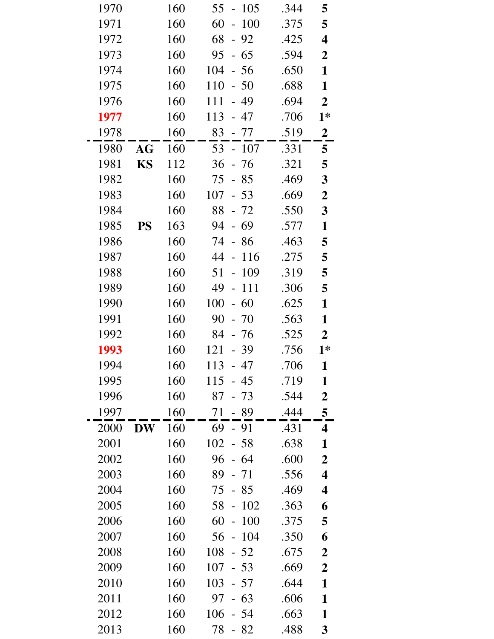| 1970 |           | 160 | 55<br>105<br>$\overline{\phantom{0}}$  | .344 | 5                       |
|------|-----------|-----|----------------------------------------|------|-------------------------|
| 1971 |           | 160 | 100<br>60<br>$\frac{1}{2}$             | .375 | 5                       |
| 1972 |           | 160 | 68<br>$-92$                            | .425 | $\overline{\mathbf{4}}$ |
| 1973 |           | 160 | 95<br>$-65$                            | .594 | $\boldsymbol{2}$        |
| 1974 |           | 160 | 104<br>$-56$                           | .650 | $\mathbf{1}$            |
| 1975 |           | 160 | 110<br>$-50$                           | .688 | $\mathbf{1}$            |
| 1976 |           | 160 | 111<br>- 49                            | .694 | $\boldsymbol{2}$        |
| 1977 |           | 160 | 113<br>- 47                            | .706 | $1*$                    |
| 1978 |           | 160 | 83<br>- 77                             | .519 | $\boldsymbol{2}$        |
| 1980 | AG        | 160 | $53 - 107$                             | .331 | 5                       |
| 1981 | <b>KS</b> | 112 | 36<br>$-76$                            | .321 | 5                       |
| 1982 |           | 160 | 75<br>$-85$                            | .469 | $\mathbf{3}$            |
| 1983 |           | 160 | 107<br>$-53$                           | .669 | $\boldsymbol{2}$        |
| 1984 |           | 160 | 88<br>$-72$                            | .550 | $\mathbf{3}$            |
| 1985 | <b>PS</b> | 163 | 94<br>- 69                             | .577 | $\mathbf{1}$            |
| 1986 |           | 160 | 74<br>86<br>$\overline{a}$             | .463 | 5                       |
| 1987 |           | 160 | 44<br>116<br>$\overline{\phantom{0}}$  | .275 | 5                       |
| 1988 |           | 160 | 109<br>51<br>$\overline{a}$            | .319 | 5                       |
| 1989 |           | 160 | 49<br>111<br>$\overline{\phantom{0}}$  | .306 | 5                       |
| 1990 |           | 160 | 100<br>60<br>$\mathbb{L}^{\mathbb{N}}$ | .625 | $\mathbf{1}$            |
| 1991 |           | 160 | 90<br>$-70$                            | .563 | $\mathbf{1}$            |
| 1992 |           | 160 | 84<br>- 76                             | .525 | $\boldsymbol{2}$        |
| 1993 |           | 160 | 121<br>$-39$                           | .756 | $1*$                    |
| 1994 |           | 160 | 113<br>47                              | .706 | $\mathbf{1}$            |
| 1995 |           | 160 | $115 - 45$                             | .719 | 1                       |
| 1996 |           | 160 | 87<br>- 73                             | .544 | $\boldsymbol{2}$        |
| 1997 |           | 160 | 71<br>- 89                             | .444 | 5                       |
| 2000 | <b>DW</b> | 160 | 69<br>$-91$                            | .431 | 4                       |
| 2001 |           | 160 | $102 - 58$                             | .638 | $\mathbf{1}$            |
| 2002 |           | 160 | 96<br>$-64$                            | .600 | $\boldsymbol{2}$        |
| 2003 |           | 160 | 89<br>$-71$                            | .556 | $\overline{\mathbf{4}}$ |
| 2004 |           | 160 | 75<br>$-85$                            | .469 | $\overline{\mathbf{4}}$ |
| 2005 |           | 160 | 102<br>58<br>$\frac{1}{2}$             | .363 | 6                       |
| 2006 |           | 160 | 60<br>100<br>$\equiv$                  | .375 | 5                       |
| 2007 |           | 160 | 104<br>56<br>$\blacksquare$            | .350 | 6                       |
| 2008 |           | 160 | 108<br>$-52$                           | .675 | $\boldsymbol{2}$        |
| 2009 |           | 160 | 107<br>$-53$                           | .669 | $\overline{2}$          |
| 2010 |           | 160 | 103<br>- 57                            | .644 | $\mathbf{1}$            |
| 2011 |           | 160 | 97<br>$-63$                            | .606 | $\mathbf{1}$            |
| 2012 |           | 160 | 106<br>- 54                            | .663 | $\mathbf{1}$            |
| 2013 |           | 160 | 78<br>$-82$                            | .488 | $\boldsymbol{3}$        |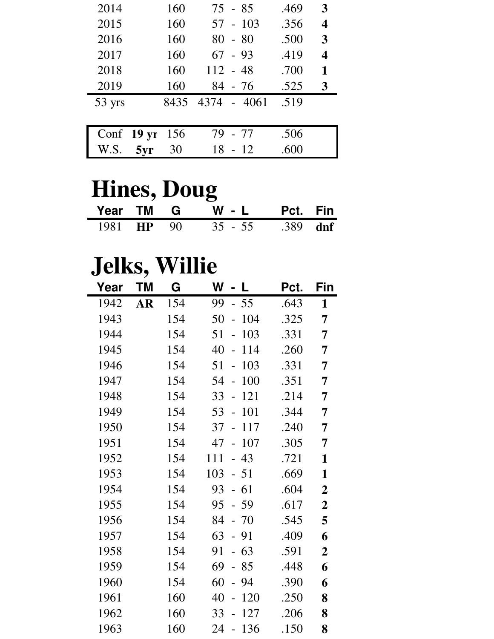| 2014                 | 160  | $75 - 85$   | .469 | 3                       |
|----------------------|------|-------------|------|-------------------------|
| 2015                 | 160  | $57 - 103$  | .356 | $\overline{\mathbf{4}}$ |
| 2016                 | 160  | $80 - 80$   | .500 | 3                       |
| 2017                 | 160  | $67 - 93$   | .419 | $\overline{\mathbf{4}}$ |
| 2018                 | 160  | $112 - 48$  | .700 | 1                       |
| 2019                 | 160  | 84 - 76     | .525 | 3                       |
| 53 yrs               | 8435 | 4374 - 4061 | .519 |                         |
|                      |      |             |      |                         |
| Conf $19 \text{ yr}$ | 156  | - 77<br>79  | .506 |                         |

## **Hines, Doug**

|  | Year TM G W - L Pct. Fin   |  |
|--|----------------------------|--|
|  | 1981 HP 90 35 - 55 389 dnf |  |

W.S. **5yr** 30 18 - 12 .600

## **Jelks, Willie**

| Year | ТM        | G   | W<br>- L                             | Pct. | Fin              |
|------|-----------|-----|--------------------------------------|------|------------------|
| 1942 | <b>AR</b> | 154 | 99<br>$-55$                          | .643 | $\mathbf{1}$     |
| 1943 |           | 154 | 50<br>104<br>$\overline{a}$          | .325 | 7                |
| 1944 |           | 154 | 51<br>103<br>$\overline{a}$          | .331 | 7                |
| 1945 |           | 154 | 40<br>114<br>$\overline{a}$          | .260 | 7                |
| 1946 |           | 154 | 103<br>51<br>$\frac{1}{2}$           | .331 | 7                |
| 1947 |           | 154 | 54<br>100<br>$\overline{a}$          | .351 | 7                |
| 1948 |           | 154 | 33<br>121<br>$\overline{a}$          | .214 | 7                |
| 1949 |           | 154 | 101<br>53<br>$\frac{1}{2}$           | .344 | 7                |
| 1950 |           | 154 | 37<br>117<br>$\overline{a}$          | .240 | 7                |
| 1951 |           | 154 | 107<br>47<br>$\overline{a}$          | .305 | 7                |
| 1952 |           | 154 | $-43$<br>111                         | .721 | 1                |
| 1953 |           | 154 | 103<br>- 51                          | .669 | 1                |
| 1954 |           | 154 | 93<br>$-61$                          | .604 | $\boldsymbol{2}$ |
| 1955 |           | 154 | 95<br>$-59$                          | .617 | $\boldsymbol{2}$ |
| 1956 |           | 154 | 84<br>- 70                           | .545 | 5                |
| 1957 |           | 154 | 63<br>$-91$                          | .409 | 6                |
| 1958 |           | 154 | 63<br>91<br>$\overline{\phantom{0}}$ | .591 | $\boldsymbol{2}$ |
| 1959 |           | 154 | 69<br>85<br>$\overline{\phantom{0}}$ | .448 | 6                |
| 1960 |           | 154 | 60<br>$-94$                          | .390 | 6                |
| 1961 |           | 160 | 40<br>120<br>$\overline{a}$          | .250 | 8                |
| 1962 |           | 160 | 127<br>33<br>$\overline{a}$          | .206 | 8                |
| 1963 |           | 160 | 24<br>136<br>$\blacksquare$          | .150 | 8                |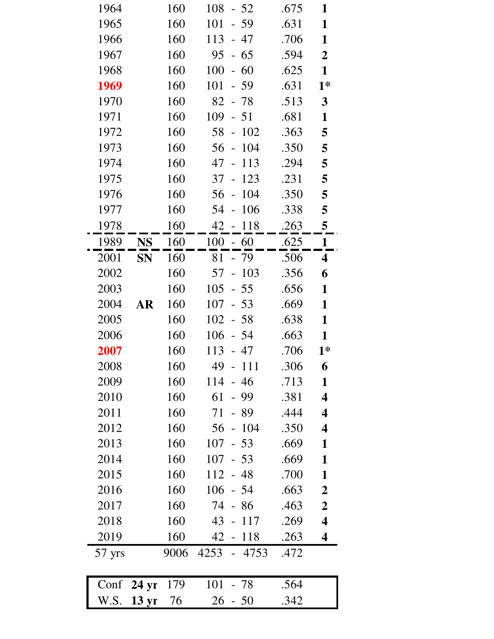| 1964   |                      | 160  | 108<br>$-52$                           | .675 | 1                       |
|--------|----------------------|------|----------------------------------------|------|-------------------------|
| 1965   |                      | 160  | 101<br>$-59$                           | .631 | $\mathbf{1}$            |
| 1966   |                      | 160  | 113<br>- 47                            | .706 | $\mathbf{1}$            |
| 1967   |                      | 160  | 95<br>$-65$                            | .594 | $\overline{2}$          |
| 1968   |                      | 160  | 100<br>$-60$                           | .625 | $\mathbf{1}$            |
| 1969   |                      | 160  | 101<br>$-59$                           | .631 | $1*$                    |
| 1970   |                      | 160  | 82<br>$-78$                            | .513 | $\mathbf{3}$            |
| 1971   |                      | 160  | 109<br>$-51$                           | .681 | $\mathbf{1}$            |
| 1972   |                      | 160  | 58<br>102<br>$\mathbb{L}^{\mathbb{N}}$ | .363 | 5                       |
| 1973   |                      | 160  | $-104$<br>56                           | .350 | 5                       |
| 1974   |                      | 160  | 47<br>113<br>$\mathbb{L}^{\mathbb{N}}$ | .294 | 5                       |
| 1975   |                      | 160  | 123<br>37<br>$\overline{\phantom{a}}$  | .231 | 5                       |
| 1976   |                      | 160  | 104<br>56<br>$\equiv$                  | .350 | 5                       |
| 1977   |                      | 160  | 106<br>54<br>$\mathbb{L}^{\mathbb{N}}$ | .338 | 5                       |
| 1978   |                      | 160  | 42 - 118                               | .263 | 5                       |
| 1989   | <b>NS</b>            | 160  | $100 - 60$                             | .625 | $\mathbf{1}$            |
| 2001   | <b>SN</b>            | 160  | - 79<br>81                             | .506 | $\overline{\mathbf{4}}$ |
| 2002   |                      | 160  | $-103$<br>57                           | .356 | 6                       |
| 2003   |                      | 160  | 105<br>$-55$                           | .656 | $\mathbf{1}$            |
| 2004   | <b>AR</b>            | 160  | 107<br>$-53$                           | .669 | $\mathbf{1}$            |
| 2005   |                      | 160  | 102<br>$-58$                           | .638 | $\mathbf{1}$            |
| 2006   |                      | 160  | 106<br>$-54$                           | .663 | $\mathbf{1}$            |
| 2007   |                      | 160  | 113<br>- 47                            | .706 | $1*$                    |
| 2008   |                      | 160  | 49<br>111<br>$\overline{\phantom{a}}$  | .306 | 6                       |
| 2009   |                      | 160  | 114<br>- 46                            | .713 | $\mathbf{1}$            |
| 2010   |                      | 160  | 61<br>$-99$                            | .381 | $\overline{\mathbf{4}}$ |
| 2011   |                      | 160  | 71<br>- 89                             | .444 | $\overline{\mathbf{4}}$ |
| 2012   |                      | 160  | $-104$<br>56                           | .350 | $\overline{\mathbf{4}}$ |
| 2013   |                      | 160  | 107<br>$-53$                           | .669 | $\mathbf{1}$            |
| 2014   |                      | 160  | 107<br>$-53$                           | .669 | $\mathbf{1}$            |
| 2015   |                      | 160  | $112 - 48$                             | .700 | $\mathbf{1}$            |
| 2016   |                      | 160  | 106<br>- 54                            | .663 | $\boldsymbol{2}$        |
| 2017   |                      | 160  | 74<br>$-86$                            | .463 | $\boldsymbol{2}$        |
| 2018   |                      | 160  | $43 - 117$                             | .269 | $\overline{\mathbf{4}}$ |
| 2019   |                      | 160  | 42<br>$-118$                           | .263 | $\overline{\mathbf{4}}$ |
| 57 yrs |                      | 9006 | 4253 - 4753                            | .472 |                         |
|        | Conf $24 \text{ yr}$ | 179  | 101<br>- 78                            | .564 |                         |

W.S. **13 yr** 76 26 - 50 .342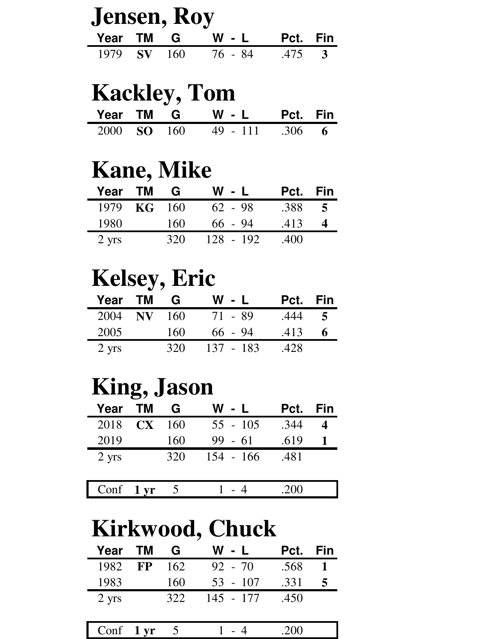| <b>Jensen, Roy</b> |  |  |               |                 |  |  |
|--------------------|--|--|---------------|-----------------|--|--|
|                    |  |  | Year TM G W-L | <b>Pct.</b> Fin |  |  |
| 1979 SV 160        |  |  | 76 - 84       | $.475$ 3        |  |  |

### **Kackley, Tom**

|  | Year TM G W - L Pct. Fin           |  |
|--|------------------------------------|--|
|  | 2000 <b>SO</b> 160 49 - 111 .306 6 |  |

### **Kane, Mike**

| Year TM         | G          | $W - L$   | Pct. Fin |   |
|-----------------|------------|-----------|----------|---|
| 1979            | $KG = 160$ | $62 - 98$ | .388     | 5 |
| 1980            | 160        | $66 - 94$ | .413     |   |
| $2 \text{ yrs}$ | 320        | 128 - 192 | .400     |   |

#### **Kelsey, Eric**

| Year TM         | G     | W - L       | Pct. Fin |     |
|-----------------|-------|-------------|----------|-----|
| 2004 NV         | - 160 | 71 - 89     | .444     | - 5 |
| 2005            | 160   | $66 - 94$   | .413     |     |
| $2 \text{ yrs}$ | 320   | $137 - 183$ | .428     |     |

### **King, Jason**

| Year                | <b>TM</b> | G   | W - L       | Pct. | Fin |
|---------------------|-----------|-----|-------------|------|-----|
| 2018                | <b>CX</b> | 160 | $55 - 105$  | .344 |     |
| 2019                |           | 160 | $99 - 61$   | .619 |     |
| $2 \text{ yrs}$     |           | 320 | $154 - 166$ | .481 |     |
|                     |           |     |             |      |     |
| Conf $1 \text{ yr}$ |           |     |             | .200 |     |

# **Kirkwood, Chuck**

| Year TM         |          | G     | W - L      | Pct. Fin |                |
|-----------------|----------|-------|------------|----------|----------------|
| 1982            | $\bf FP$ | - 162 | $92 - 70$  | .568     | $\blacksquare$ |
| 1983            |          | 160   | $53 - 107$ | .331     | 5              |
| $2 \text{ yrs}$ |          | 322   | 145 - 177  | .450     |                |

|   |          |   | ~ ~ |
|---|----------|---|-----|
| I | ---<br>— | - | ш   |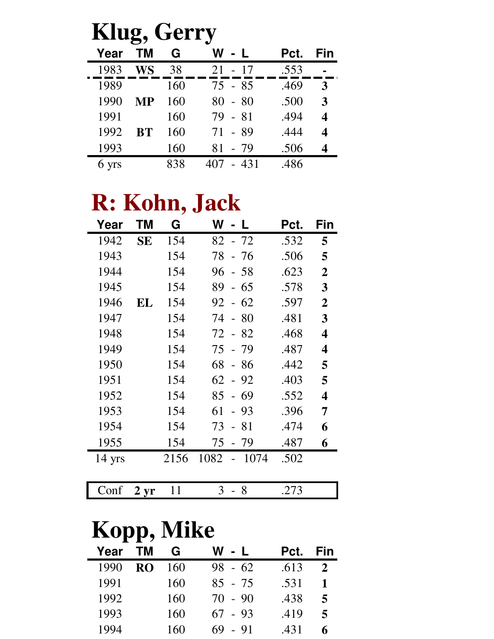| Klug, Gerry |           |     |           |      |     |  |  |
|-------------|-----------|-----|-----------|------|-----|--|--|
| Year        | <b>TM</b> | G   | W<br>- L  | Pct. | Fin |  |  |
| 1983        | WS        | 38  | $21 - 17$ | .553 |     |  |  |
| 1989        |           | 160 | 75 - 85   | .469 | 3   |  |  |
| 1990        | МP        | 160 | $80 - 80$ | .500 | 3   |  |  |
| 1991        |           | 160 | 79 - 81   | .494 |     |  |  |
| 1992        | <b>BT</b> | 160 | 71 - 89   | .444 |     |  |  |
| 1993        |           | 160 | 81 - 79   | .506 |     |  |  |
| 6 yrs       |           | 838 | - 431     | .486 |     |  |  |

## **R: Kohn, Jack**

| Year     | ΤM        | G    | W<br>- L                    | Pct. | Fin              |
|----------|-----------|------|-----------------------------|------|------------------|
| 1942     | <b>SE</b> | 154  | 82 - 72                     | .532 | 5                |
| 1943     |           | 154  | 78<br>- 76                  | .506 | 5                |
| 1944     |           | 154  | 96<br>$-58$                 | .623 | $\overline{2}$   |
| 1945     |           | 154  | 89<br>-65<br>$\blacksquare$ | .578 | 3                |
| 1946     | EL        | 154  | 62<br>92<br>$\overline{a}$  | .597 | $\boldsymbol{2}$ |
| 1947     |           | 154  | 74<br>$-80$                 | .481 | 3                |
| 1948     |           | 154  | 72 - 82                     | .468 | 4                |
| 1949     |           | 154  | $-79$<br>75                 | .487 | 4                |
| 1950     |           | 154  | 68<br>- 86                  | .442 | 5                |
| 1951     |           | 154  | 62<br>$-92$                 | .403 | 5                |
| 1952     |           | 154  | 85<br>69<br>$\overline{a}$  | .552 | 4                |
| 1953     |           | 154  | 61<br>93<br>$\overline{a}$  | .396 | 7                |
| 1954     |           | 154  | 73<br>-81<br>$\overline{a}$ | .474 | 6                |
| 1955     |           | 154  | 75<br>- 79                  | .487 | 6                |
| $14$ yrs |           | 2156 | 1082<br>1074                | .502 |                  |
|          |           |      |                             |      |                  |

| <b>Kopp, Mike</b> |  |
|-------------------|--|

Conf **2 yr** 11 3 - 8 .273

|      | .              |     |           |      |     |
|------|----------------|-----|-----------|------|-----|
| Year | TM.            | G   | W - L     | Pct. | Fin |
| 1990 | R <sub>O</sub> | 160 | $98 - 62$ | .613 |     |
| 1991 |                | 160 | $85 - 75$ | .531 |     |
| 1992 |                | 160 | $70 - 90$ | .438 | 5   |
| 1993 |                | 160 | $67 - 93$ | .419 | 5   |
| 1994 |                | 160 | $69 - 91$ | .431 |     |
|      |                |     |           |      |     |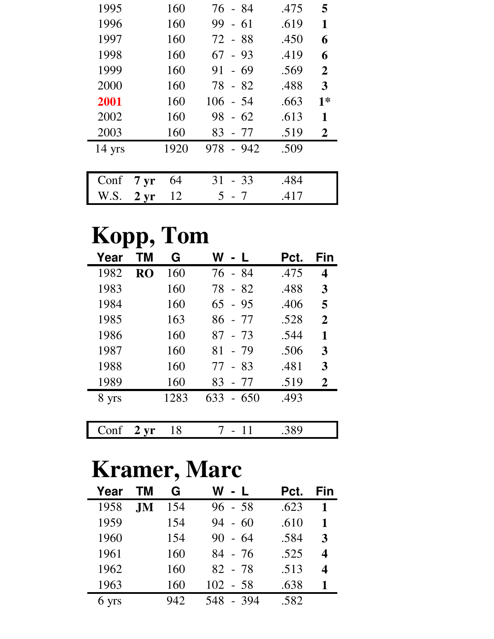| 1995     |                    | 160  | 76 - 84       | .475 | 5              |
|----------|--------------------|------|---------------|------|----------------|
| 1996     |                    | 160  | 99<br>$-61$   | .619 | 1              |
| 1997     |                    | 160  | 72 - 88       | .450 | 6              |
| 1998     |                    | 160  | $67 - 93$     | .419 | 6              |
| 1999     |                    | 160  | $-69$<br>91   | .569 | $\mathbf{2}$   |
| 2000     |                    | 160  | 78 - 82       | .488 | 3              |
| 2001     |                    | 160  | $106 - 54$    | .663 | $1*$           |
| 2002     |                    | 160  | 98<br>$-62$   | .613 | 1              |
| 2003     |                    | 160  | 83<br>- 77    | .519 | $\overline{2}$ |
| $14$ yrs |                    | 1920 | 978<br>$-942$ | .509 |                |
|          |                    |      |               |      |                |
| Conf     | $7 \mathrm{yr}$    | 64   | 31<br>$-33$   | .484 |                |
| W.S.     | $2 \, \mathrm{yr}$ | 12   | 5 - 7         | .417 |                |

| Kopp, Tom |                |      |               |      |                |
|-----------|----------------|------|---------------|------|----------------|
| Year      | ΤM             | G    | W - L         | Pct. | Fin            |
| 1982      | R <sub>O</sub> | 160  | 76 - 84       | .475 | 4              |
| 1983      |                | 160  | 78 - 82       | .488 | 3              |
| 1984      |                | 160  | $65 - 95$     | .406 | 5              |
| 1985      |                | 163  | $86 - 77$     | .528 | $\overline{2}$ |
| 1986      |                | 160  | $87 - 73$     | .544 | 1              |
| 1987      |                | 160  | 81<br>- 79    | .506 | 3              |
| 1988      |                | 160  | - 83<br>77    | .481 | 3              |
| 1989      |                | 160  | 83<br>- 77    | .519 | $\overline{2}$ |
| 8 yrs     |                | 1283 | 633<br>$-650$ | .493 |                |
|           |                |      |               |      |                |
|           | $2 \,\rm yr$   | 18   |               | .389 |                |

## **Kramer, Marc**

| Year  | тм        | G   | W<br>$-1$   | Pct. | Fin |
|-------|-----------|-----|-------------|------|-----|
| 1958  | <b>JM</b> | 154 | $96 - 58$   | .623 | 1   |
| 1959  |           | 154 | $-60$<br>94 | .610 | 1   |
| 1960  |           | 154 | $90 - 64$   | .584 | 3   |
| 1961  |           | 160 | 84 - 76     | .525 | 4   |
| 1962  |           | 160 | 82 - 78     | .513 | 4   |
| 1963  |           | 160 | $102 - 58$  | .638 | 1   |
| 6 yrs |           | 942 | 548 - 394   | .582 |     |
|       |           |     |             |      |     |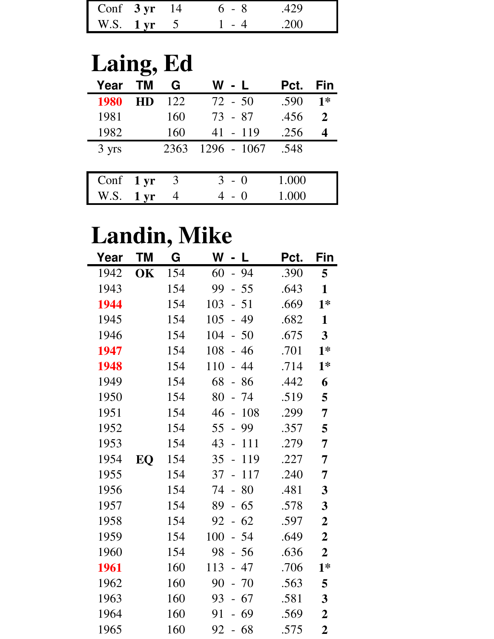| Conf $3 \text{ yr}$ 14 |  | 6 - 8 | -429  |
|------------------------|--|-------|-------|
| W.S. $1 \text{ yr}$    |  |       | - 200 |

## **Laing, Ed**

| Year                | <b>TM</b>       | G    | W - L       | Pct.  | Fin          |
|---------------------|-----------------|------|-------------|-------|--------------|
| 1980                | <b>HD</b>       | 122  | $72 - 50$   | .590  | $1*$         |
| 1981                |                 | 160  | $73 - 87$   | .456  | $\mathbf{2}$ |
| 1982                |                 | 160  | $41 - 119$  | .256  |              |
| 3 yrs               |                 | 2363 | 1296 - 1067 | .548  |              |
|                     |                 |      |             |       |              |
| Conf $1 \text{ yr}$ |                 | 3    | $3 - 0$     | 1.000 |              |
| W.S.                | 1 <sub>yr</sub> | 4    | - ()        | 1.000 |              |

## **Landin, Mike**

| Year | <b>TM</b> | G   | W<br>$-1$                             | Pct. | Fin                     |
|------|-----------|-----|---------------------------------------|------|-------------------------|
| 1942 | OK        | 154 | 60<br>$-94$                           | .390 | 5                       |
| 1943 |           | 154 | 99<br>$-55$                           | .643 | $\mathbf{1}$            |
| 1944 |           | 154 | 103<br>$-51$                          | .669 | $1*$                    |
| 1945 |           | 154 | $-49$<br>105                          | .682 | $\mathbf{1}$            |
| 1946 |           | 154 | 104<br>$-50$                          | .675 | $\overline{\mathbf{3}}$ |
| 1947 |           | 154 | 108<br>$-46$                          | .701 | $1*$                    |
| 1948 |           | 154 | 110<br>44<br>$\equiv$                 | .714 | $1*$                    |
| 1949 |           | 154 | 68<br>$-86$                           | .442 | 6                       |
| 1950 |           | 154 | 80<br>$-74$                           | .519 | 5                       |
| 1951 |           | 154 | 46<br>$-108$                          | .299 | 7                       |
| 1952 |           | 154 | 55<br>99<br>$\overline{\phantom{0}}$  | .357 | 5                       |
| 1953 |           | 154 | 43<br>111<br>$\overline{a}$           | .279 | 7                       |
| 1954 | EQ        | 154 | 35<br>119<br>$\overline{a}$           | .227 | 7                       |
| 1955 |           | 154 | 37<br>117<br>$\overline{\phantom{a}}$ | .240 | 7                       |
| 1956 |           | 154 | 74<br>80<br>$\mathbb{L}^{\mathbb{N}}$ | .481 | $\mathbf{3}$            |
| 1957 |           | 154 | 89<br>$-65$                           | .578 | $\mathbf{3}$            |
| 1958 |           | 154 | $-62$<br>92                           | .597 | $\boldsymbol{2}$        |
| 1959 |           | 154 | 100<br>$-54$                          | .649 | $\boldsymbol{2}$        |
| 1960 |           | 154 | 98<br>$-56$                           | .636 | $\overline{2}$          |
| 1961 |           | 160 | 113<br>$-47$                          | .706 | $1*$                    |
| 1962 |           | 160 | 90<br>$-70$                           | .563 | 5                       |
| 1963 |           | 160 | $-67$<br>93                           | .581 | $\mathbf{3}$            |
| 1964 |           | 160 | 91<br>$-69$                           | .569 | $\boldsymbol{2}$        |
| 1965 |           | 160 | $-68$<br>92                           | .575 | $\boldsymbol{2}$        |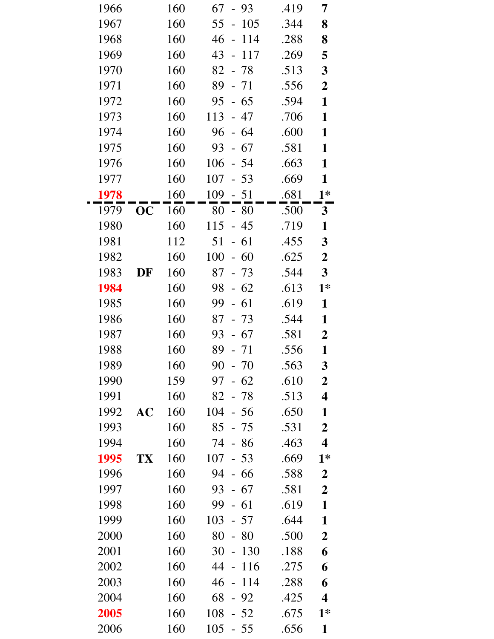| 1966 |    | 160 | 67<br>$-93$                            | .419 | 7                       |
|------|----|-----|----------------------------------------|------|-------------------------|
| 1967 |    | 160 | 55<br>105<br>$\frac{1}{2}$             | .344 | 8                       |
| 1968 |    | 160 | 46<br>114<br>$\mathbb{L}^{\mathbb{N}}$ | .288 | 8                       |
| 1969 |    | 160 | 43<br>117<br>$\frac{1}{2}$             | .269 | 5                       |
| 1970 |    | 160 | $82 - 78$                              | .513 | $\mathbf{3}$            |
| 1971 |    | 160 | 89<br>$-71$                            | .556 | $\boldsymbol{2}$        |
| 1972 |    | 160 | 95<br>$-65$                            | .594 | $\mathbf{1}$            |
| 1973 |    | 160 | 113<br>$-47$                           | .706 | $\mathbf{1}$            |
| 1974 |    | 160 | 96<br>$-64$                            | .600 | $\mathbf{1}$            |
| 1975 |    | 160 | 93<br>$-67$                            | .581 | $\mathbf{1}$            |
| 1976 |    | 160 | 106<br>$-54$                           | .663 | $\mathbf{1}$            |
| 1977 |    | 160 | 107<br>$-53$                           | .669 | $\mathbf{1}$            |
| 1978 |    | 160 | 109<br>$-51$                           | .681 | $1*$                    |
| 1979 | OC | 160 | $80 - 80$                              | .500 | 3 <sup>1</sup>          |
| 1980 |    | 160 | 115<br>$-45$                           | .719 | $\mathbf{1}$            |
| 1981 |    | 112 | $-61$<br>51                            | .455 | $\mathbf{3}$            |
| 1982 |    | 160 | 100<br>$-60$                           | .625 | $\boldsymbol{2}$        |
| 1983 | DF | 160 | 87<br>$-73$                            | .544 | $\mathbf{3}$            |
| 1984 |    | 160 | $-62$<br>98                            | .613 | $1*$                    |
| 1985 |    | 160 | 99<br>$-61$                            | .619 | $\mathbf{1}$            |
| 1986 |    | 160 | 87<br>$-73$                            | .544 | $\mathbf{1}$            |
| 1987 |    | 160 | $-67$<br>93                            | .581 | $\boldsymbol{2}$        |
| 1988 |    | 160 | 89<br>$-71$                            | .556 | $\mathbf{1}$            |
| 1989 |    | 160 | 90<br>70                               | .563 | 3                       |
| 1990 |    | 159 | $-62$<br>97                            | .610 | $\boldsymbol{2}$        |
| 1991 |    | 160 | 82<br>- 78                             | .513 | $\overline{\mathbf{4}}$ |
| 1992 | AC | 160 | 104<br>$-56$                           | .650 | $\mathbf{1}$            |
| 1993 |    | 160 | 85<br>- 75                             | .531 | $\overline{2}$          |
| 1994 |    | 160 | 74<br>$-86$                            | .463 | $\overline{\mathbf{4}}$ |
| 1995 | TX | 160 | 107<br>$-53$                           | .669 | $1*$                    |
| 1996 |    | 160 | 94<br>$-66$                            | .588 | $\boldsymbol{2}$        |
| 1997 |    | 160 | 93<br>$-67$                            | .581 | $\overline{2}$          |
| 1998 |    | 160 | 99<br>$-61$                            | .619 | $\mathbf{1}$            |
| 1999 |    | 160 | 103<br>$-57$                           | .644 | $\mathbf{1}$            |
| 2000 |    | 160 | 80<br>-80                              | .500 | $\boldsymbol{2}$        |
| 2001 |    | 160 | 30<br>130<br>$\overline{\phantom{a}}$  | .188 | 6                       |
| 2002 |    | 160 | 44<br>116<br>$\overline{a}$            | .275 | 6                       |
| 2003 |    | 160 | 46<br>114<br>$\frac{1}{2}$             | .288 | 6                       |
| 2004 |    | 160 | 68<br>$-92$                            | .425 | $\overline{\mathbf{4}}$ |
| 2005 |    | 160 | 108<br>$-52$                           | .675 | $1*$                    |
| 2006 |    | 160 | 105<br>$-55$                           | .656 | $\mathbf{1}$            |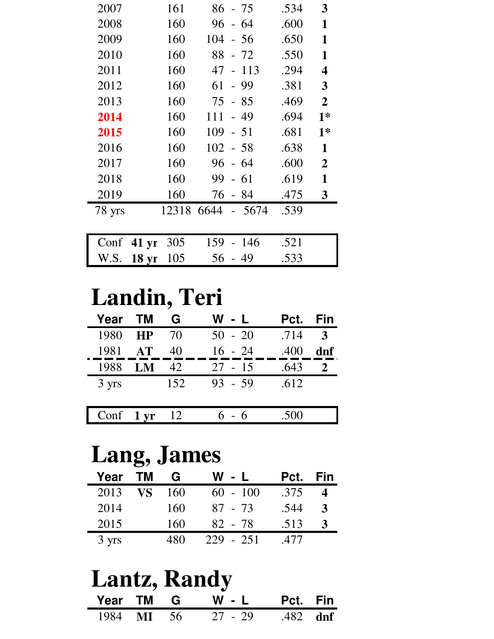| 2007   | 161   | 86 - 75        | .534 | 3              |
|--------|-------|----------------|------|----------------|
| 2008   | 160   | - 64<br>96     | .600 | 1              |
| 2009   | 160   | 104<br>- 56    | .650 | 1              |
| 2010   | 160   | 88<br>$-72$    | .550 | 1              |
| 2011   | 160   | 47<br>$-113$   | .294 | 4              |
| 2012   | 160   | - 99<br>61     | .381 | 3              |
| 2013   | 160   | 75 - 85        | .469 | $\overline{2}$ |
| 2014   | 160   | $-49$<br>111   | .694 | $1*$           |
| 2015   | 160   | 109<br>$-51$   | .681 | $1*$           |
| 2016   | 160   | $102 - 58$     | .638 | 1              |
| 2017   | 160   | 96<br>- 64     | .600 | $\overline{2}$ |
| 2018   | 160   | 99<br>$-61$    | .619 | 1              |
| 2019   | 160   | 76<br>- 84     | .475 | 3              |
| 78 yrs | 12318 | 6644<br>- 5674 | .539 |                |
|        |       |                |      |                |

|                | Conf 41 yr 305 159 - 146 .521 |  |
|----------------|-------------------------------|--|
| W.S. 18 yr 105 | $56 - 49$ .533                |  |

## **Landin, Teri**

| Year                | <b>TM</b> | G   | W - L     | Pct. Fin |              |
|---------------------|-----------|-----|-----------|----------|--------------|
| 1980                | <b>HP</b> | 70  | $50 - 20$ | .714     | $\mathbf{3}$ |
| 1981                | AT        | 40  | $16 - 24$ | .400     | dnf          |
| 1988                | LM        | 42  | $27 - 15$ | .643     |              |
| 3 yrs               |           | 152 | $93 - 59$ | .612     |              |
|                     |           |     |           |          |              |
| Conf $1 \text{ yr}$ |           | 12  | $6 - 6$   | .500     |              |
|                     |           |     |           |          |              |

## **Lang, James**

| Year  | <b>TM</b> | G   | W - L         | Pct. | Fin |
|-------|-----------|-----|---------------|------|-----|
| 2013  | VS        | 160 | $60 - 100$    | .375 |     |
| 2014  |           | 160 | $87 - 73$     | .544 | 3   |
| 2015  |           | 160 | 82 - 78       | .513 |     |
| 3 yrs |           | 480 | $-251$<br>229 | .477 |     |

|  | <b>Lantz, Randy</b>         |  |
|--|-----------------------------|--|
|  | Year TM G W - L Pct. Fin    |  |
|  | 1984 MI 56 27 - 29 .482 dnf |  |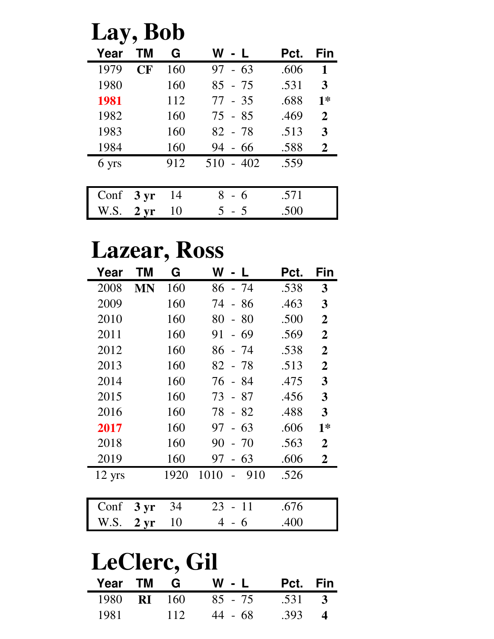| Lay, Bob |                 |     |             |      |                |
|----------|-----------------|-----|-------------|------|----------------|
| Year     | ΤM              | G   | W - L       | Pct. | Fin            |
| 1979     | CF              | 160 | $97 - 63$   | .606 | $\mathbf{1}$   |
| 1980     |                 | 160 | $85 - 75$   | .531 | 3              |
| 1981     |                 | 112 | $77 - 35$   | .688 | $1*$           |
| 1982     |                 | 160 | $75 - 85$   | .469 | $\mathbf{2}$   |
| 1983     |                 | 160 | $82 - 78$   | .513 | 3              |
| 1984     |                 | 160 | $94 - 66$   | .588 | $\overline{2}$ |
| 6 yrs    |                 | 912 | $510 - 402$ | .559 |                |
|          |                 |     |             |      |                |
| Conf     | $3 \mathrm{yr}$ | 14  | 8<br>- 6    | .571 |                |
| W.S.     | $2 \, yr$       | 10  | $5 - 5$     | .500 |                |

## **Lazear, Ross**

| Year                | ΤM                | G    | W<br>$\mathbf{L}$            | Pct. | Fin            |  |
|---------------------|-------------------|------|------------------------------|------|----------------|--|
| 2008                | MN                | 160  | 86<br>$-74$                  | .538 | 3              |  |
| 2009                |                   | 160  | 74<br>- 86<br>$\overline{a}$ | .463 | 3              |  |
| 2010                |                   | 160  | 80<br>80<br>$\overline{a}$   | .500 | $\overline{2}$ |  |
| 2011                |                   | 160  | 91<br>- 69                   | .569 | $\overline{2}$ |  |
| 2012                |                   | 160  | 86<br>- 74                   | .538 | $\overline{2}$ |  |
| 2013                |                   | 160  | 82<br>$-78$                  | .513 | $\overline{2}$ |  |
| 2014                |                   | 160  | 76<br>-84                    | .475 | 3              |  |
| 2015                |                   | 160  | 73<br>-87<br>$\overline{a}$  | .456 | 3              |  |
| 2016                |                   | 160  | 78<br>$-82$                  | .488 | 3              |  |
| 2017                |                   | 160  | 63<br>97<br>$\overline{a}$   | .606 | $1*$           |  |
| 2018                |                   | 160  | 90<br>-70                    | .563 | $\overline{2}$ |  |
| 2019                |                   | 160  | 63<br>97<br>$\overline{a}$   | .606 | $\overline{2}$ |  |
| $12 \text{ yrs}$    |                   | 1920 | 1010<br>910                  | .526 |                |  |
| Conf                | 3 <sub>yr</sub>   | 34   | -11<br>23                    | .676 |                |  |
| W.S.                | $2 \,\mathrm{yr}$ | 10   | 4<br>-6<br>$\overline{a}$    | .400 |                |  |
| <b>LeClerc, Gil</b> |                   |      |                              |      |                |  |
| Year                | ΤM                | G    | W                            | Pct. | Fin            |  |

|      |  | 1980 <b>RI</b> 160 85 - 75 .531 3 |                |  |
|------|--|-----------------------------------|----------------|--|
| 1981 |  | $112 \t 44 - 68$                  | $.393 \quad 4$ |  |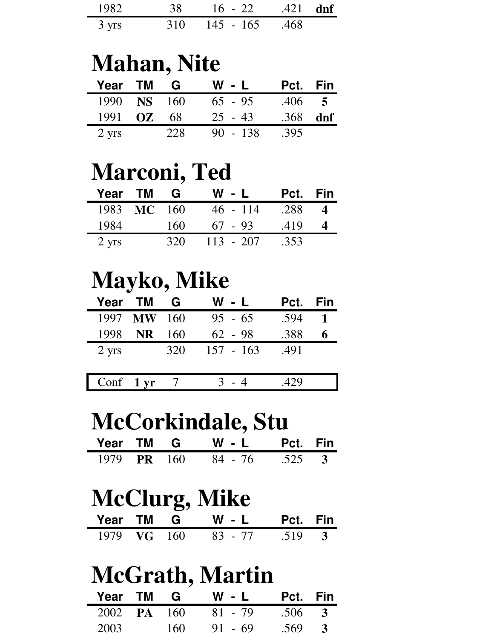| 1982            | 38 | $16 - 22$ .421 dnf        |  |
|-----------------|----|---------------------------|--|
| $3 \text{ yrs}$ |    | $310 \t 145 - 165 \t 468$ |  |

#### **Mahan, Nite**

| Year TM         |                    | G   | W - L      | Pct. Fin |                |
|-----------------|--------------------|-----|------------|----------|----------------|
|                 | 1990 <b>NS</b> 160 |     | $65 - 95$  | .406     | $\overline{5}$ |
| 1991            | OZ.                | 68  | $25 - 43$  | .368     | dnf            |
| $2 \text{ yrs}$ |                    | 228 | $90 - 138$ | .395     |                |

### **Marconi, Ted**

| Year TM         |             | G   | W - L       | Pct. Fin |          |
|-----------------|-------------|-----|-------------|----------|----------|
|                 | 1983 MC 160 |     | $46 - 114$  | .288     | $\Delta$ |
| 1984            |             | 160 | $67 - 93$   | .419     |          |
| $2 \text{ yrs}$ |             | 32O | $113 - 207$ | .353     |          |

### **Mayko, Mike**

| <b>Year</b> TM  |             | G   | W - L       | Pct. | Fin |
|-----------------|-------------|-----|-------------|------|-----|
|                 | 1997 MW 160 |     | $95 - 65$   | .594 |     |
| 1998            | <b>NR</b>   | 160 | $62 - 98$   | .388 | 6   |
| $2 \text{ yrs}$ |             | 320 | $157 - 163$ | .491 |     |
|                 |             |     |             |      |     |
| Conf 1 yr       |             |     |             | .429 |     |

#### **McCorkindale, Stu**

|  | Year TM G W - L Pct. Fin   |  |
|--|----------------------------|--|
|  | 1979 PR 160 84 - 76 .525 3 |  |

### **McClurg, Mike**

|  | Year TM G W - L Pct. Fin   |  |
|--|----------------------------|--|
|  | 1979 VG 160 83 - 77 .519 3 |  |

## **McGrath, Martin**

| Year TM G          |      | W - L     | Pct. Fin   |  |
|--------------------|------|-----------|------------|--|
| 2002 <b>PA</b> 160 |      | $81 - 79$ | $.506 - 3$ |  |
| 2003               | 160- | $91 - 69$ | .569       |  |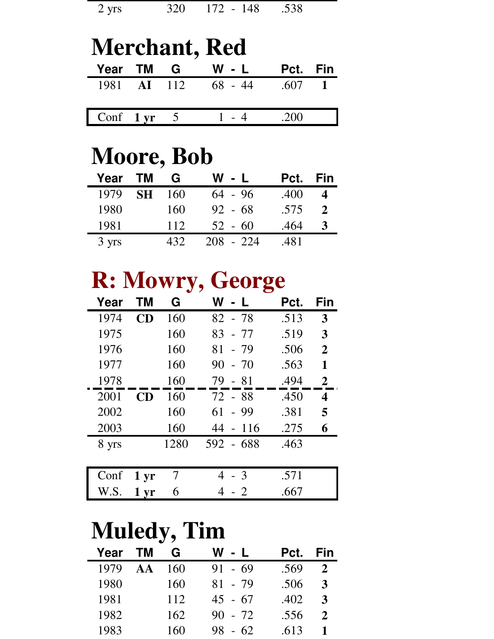#### **Merchant, Red Year TM G W - L Pct. Fin** 1981 **AI** 112 68 - 44 .607 **1** Conf **1 yr** 5 1 - 4 .200

### **Moore, Bob**

| Year  | <b>TM</b> | G   | W - L       | Pct. | Fin          |
|-------|-----------|-----|-------------|------|--------------|
| 1979  | <b>SH</b> | 160 | $64 - 96$   | .400 | 4            |
| 1980  |           | 160 | $92 - 68$   | .575 | $\mathbf{2}$ |
| 1981  |           | 112 | $52 - 60$   | .464 | 3            |
| 3 yrs |           | 432 | $208 - 224$ | .481 |              |

## **R: Mowry, George**

| Year  | ΤM              | G    | W             | Pct. | Fin            |
|-------|-----------------|------|---------------|------|----------------|
| 1974  | <b>CD</b>       | 160  | 82 - 78       | .513 | 3              |
| 1975  |                 | 160  | $83 - 77$     | .519 | 3              |
| 1976  |                 | 160  | $81 - 79$     | .506 | $\overline{2}$ |
| 1977  |                 | 160  | $90 - 70$     | .563 | 1              |
| 1978  |                 | 160  | 79 - 81       | .494 | $\overline{2}$ |
| 2001  | CD              | 160  | 72 - 88       | .450 | 4              |
| 2002  |                 | 160  | $61 - 99$     | .381 | 5              |
| 2003  |                 | 160  | 44 - 116      | .275 | 6              |
| 8 yrs |                 | 1280 | 592 - 688     | .463 |                |
|       |                 |      |               |      |                |
| Conf  | 1 <sub>vr</sub> |      | $\mathcal{R}$ | .571 |                |

W.S. **1 yr** 6 4 - 2 .667

## **Muledy, Tim**

| Year | <b>TM</b>    | G   | W - L       | Pct. | Fin                   |
|------|--------------|-----|-------------|------|-----------------------|
| 1979 | $\mathbf{A}$ | 160 | $91 - 69$   | .569 | $\mathcal{D}_{\cdot}$ |
| 1980 |              | 160 | $81 - 79$   | .506 | 3                     |
| 1981 |              | 112 | $45 - 67$   | .402 | 3                     |
| 1982 |              | 162 | $90 - 72$   | .556 | $\mathbf{2}$          |
| 1983 |              | 160 | $-62$<br>98 | .613 |                       |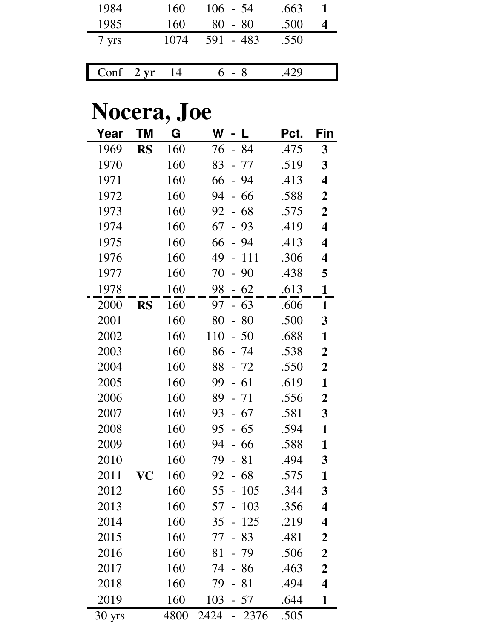| 1984                | 160  | $106 - 54$ | .663 |  |
|---------------------|------|------------|------|--|
| 1985                | 160  | $80 - 80$  | .500 |  |
| 7 yrs               | 1074 | 591 - 483  | .550 |  |
|                     |      |            |      |  |
| Conf $2 \text{ yr}$ | 14   | $6 - 8$    | 429  |  |

## **Nocera, Joe**

| Year   | <b>TM</b> | G    | W<br>L                                | Pct. | Fin                     |
|--------|-----------|------|---------------------------------------|------|-------------------------|
| 1969   | <b>RS</b> | 160  | 76<br>- 84                            | .475 | $\mathbf{3}$            |
| 1970   |           | 160  | 83<br>77<br>$\overline{a}$            | .519 | $\mathbf{3}$            |
| 1971   |           | 160  | 94<br>66<br>$\qquad \qquad -$         | .413 | $\overline{\mathbf{4}}$ |
| 1972   |           | 160  | 94<br>66<br>$\frac{1}{2}$             | .588 | $\boldsymbol{2}$        |
| 1973   |           | 160  | 68<br>92<br>$\equiv$                  | .575 | $\overline{2}$          |
| 1974   |           | 160  | 67<br>93<br>$\frac{1}{2}$             | .419 | 4                       |
| 1975   |           | 160  | 66<br>94<br>$\overline{a}$            | .413 | $\overline{\mathbf{4}}$ |
| 1976   |           | 160  | 49<br>111<br>$\frac{1}{2}$            | .306 | $\overline{\mathbf{4}}$ |
| 1977   |           | 160  | 70<br>90<br>$\qquad \qquad -$         | .438 | 5                       |
| 1978   |           | 160  | $-62$<br>98                           | .613 | $\mathbf{1}$            |
| 2000   | <b>RS</b> | 160  | 97<br>$-63$                           | .606 | 1                       |
| 2001   |           | 160  | 80<br>80<br>$\frac{1}{2}$             | .500 | 3                       |
| 2002   |           | 160  | 110<br>50<br>$\overline{\phantom{0}}$ | .688 | $\mathbf{1}$            |
| 2003   |           | 160  | 86<br>- 74                            | .538 | $\boldsymbol{2}$        |
| 2004   |           | 160  | 88<br>$-72$                           | .550 | $\boldsymbol{2}$        |
| 2005   |           | 160  | 99<br>61                              | .619 | $\mathbf{1}$            |
| 2006   |           | 160  | 89<br>- 71                            | .556 | $\boldsymbol{2}$        |
| 2007   |           | 160  | 93<br>67<br>$\frac{1}{2}$             | .581 | $\overline{\mathbf{3}}$ |
| 2008   |           | 160  | 95<br>65<br>$\overline{a}$            | .594 | $\mathbf{1}$            |
| 2009   |           | 160  | 94<br>- 66                            | .588 | $\mathbf{1}$            |
| 2010   |           | 160  | 79<br>81                              | .494 | $\mathbf{3}$            |
| 2011   | VC        | 160  | 68<br>92                              | .575 | $\mathbf{1}$            |
| 2012   |           | 160  | 55<br>105                             | .344 | 3                       |
| 2013   |           | 160  | 57<br>103                             | .356 | 4                       |
| 2014   |           | 160  | 35<br>125                             | .219 | 4                       |
| 2015   |           | 160  | 77<br>83                              | .481 | $\boldsymbol{2}$        |
| 2016   |           | 160  | 81<br>79                              | .506 | $\boldsymbol{2}$        |
| 2017   |           | 160  | 74<br>86<br>$\overline{\phantom{0}}$  | .463 | $\boldsymbol{2}$        |
| 2018   |           | 160  | 79<br>81                              | .494 | $\overline{\mathbf{4}}$ |
| 2019   |           | 160  | 103<br>- 57                           | .644 | $\mathbf{1}$            |
| 30 yrs |           | 4800 | 2424<br>2376                          | .505 |                         |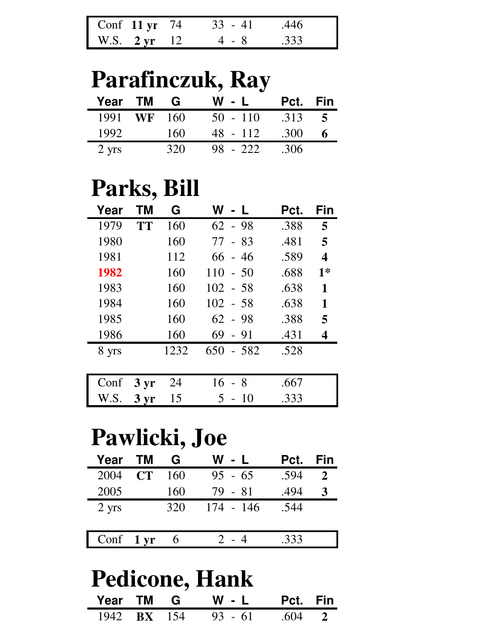| Conf 11 $yr$ 74        | $33 - 41$ | .446 |
|------------------------|-----------|------|
| W.S. $2 \text{ yr}$ 12 | 4 - 8     | .333 |

### **Parafinczuk, Ray**

| Year            | <b>TM</b> | G   | W - L      | Pct. | Fin |
|-----------------|-----------|-----|------------|------|-----|
| 1991            | <b>WF</b> | 160 | $50 - 110$ | .313 | 5   |
| 1992            |           | 160 | 48 - 112   | .300 |     |
| $2 \text{ yrs}$ |           | 320 | 98 - 222   | .306 |     |

### **Parks, Bill**

| Year  | ΤM              | G    | W             | Pct. | Fin  |
|-------|-----------------|------|---------------|------|------|
| 1979  | <b>TT</b>       | 160  | $62 - 98$     | .388 | 5    |
| 1980  |                 | 160  | $77 - 83$     | .481 | 5    |
| 1981  |                 | 112  | $66 - 46$     | .589 | 4    |
| 1982  |                 | 160  | $110 - 50$    | .688 | $1*$ |
| 1983  |                 | 160  | $102 - 58$    | .638 | 1    |
| 1984  |                 | 160  | $102 - 58$    | .638 | 1    |
| 1985  |                 | 160  | $62 - 98$     | .388 | 5    |
| 1986  |                 | 160  | 69<br>$-91$   | .431 | 4    |
| 8 yrs |                 | 1232 | 650<br>$-582$ | .528 |      |
|       |                 |      |               |      |      |
| Conf  | $3 \, yr$       | 24   | 16<br>- 8     | .667 |      |
| W.S.  | 3 <sub>yr</sub> | 15   | 5<br>$-10$    | .333 |      |

### **Pawlicki, Joe**

| Year      | <b>TM</b> | G   | W - L       | Pct. | Fin |
|-----------|-----------|-----|-------------|------|-----|
| 2004      | CT        | 160 | $95 - 65$   | .594 |     |
| 2005      |           | 160 | $79 - 81$   | .494 | 3   |
| 2 yrs     |           | 320 | $174 - 146$ | .544 |     |
|           |           |     |             |      |     |
| Conf 1 yr |           | -6  |             | .333 |     |

## **Pedicone, Hank**

| Year TM G |  | W - L Pct. Fin                        |  |
|-----------|--|---------------------------------------|--|
|           |  | $1942$ <b>BX</b> $154$ 93 - 61 .604 2 |  |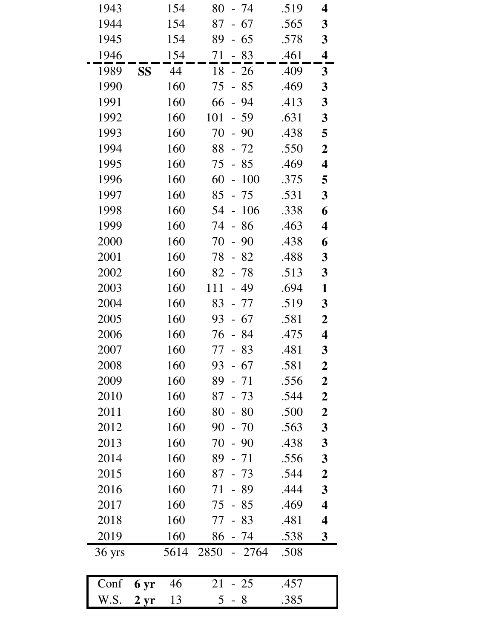| 1943   |           | 154  | - 74<br>80                           | .519 | 4                       |
|--------|-----------|------|--------------------------------------|------|-------------------------|
| 1944   |           | 154  | 87<br>- 67                           | .565 | 3                       |
| 1945   |           | 154  | 89<br>- 65                           | .578 | $\mathbf{3}$            |
| 1946   |           | 154  | 83<br>71<br>$\overline{\phantom{0}}$ | .461 | $\overline{\mathbf{4}}$ |
| 1989   | <b>SS</b> | 44   | 18<br>$-26$                          | .409 | $\mathbf{3}$            |
| 1990   |           | 160  | 75<br>$-85$                          | .469 | $\mathbf{3}$            |
| 1991   |           | 160  | $-94$<br>66                          | .413 | $\overline{\mathbf{3}}$ |
| 1992   |           | 160  | 101<br>$-59$                         | .631 | $\mathbf{3}$            |
| 1993   |           | 160  | 70<br>90<br>$\blacksquare$           | .438 | 5                       |
| 1994   |           | 160  | 88<br>- 72                           | .550 | $\boldsymbol{2}$        |
| 1995   |           | 160  | 75<br>$-85$                          | .469 | 4                       |
| 1996   |           | 160  | 60<br>100<br>$\frac{1}{2}$           | .375 | 5                       |
| 1997   |           | 160  | 85<br>$-75$                          | .531 | $\mathbf{3}$            |
| 1998   |           | 160  | 106<br>54<br>$\frac{1}{2}$           | .338 | 6                       |
| 1999   |           | 160  | 74<br>$-86$                          | .463 | 4                       |
| 2000   |           | 160  | 70<br>$-90$                          | .438 | 6                       |
| 2001   |           | 160  | 78<br>- 82                           | .488 | $\mathbf{3}$            |
| 2002   |           | 160  | 82<br>$-78$                          | .513 | $\mathbf{3}$            |
| 2003   |           | 160  | 111<br>- 49                          | .694 | $\mathbf{1}$            |
| 2004   |           | 160  | 83<br>- 77                           | .519 | 3                       |
| 2005   |           | 160  | - 67<br>93                           | .581 | $\overline{2}$          |
| 2006   |           | 160  | - 84<br>76                           | .475 | 4                       |
| 2007   |           | 160  | 83<br>77                             | .481 | $\mathbf{3}$            |
| 2008   |           | 160  | 93<br>$-67$                          | .581 | $\overline{2}$          |
| 2009   |           | 160  | 89<br>$-71$                          | .556 | $\boldsymbol{2}$        |
| 2010   |           | 160  | 87<br>$-73$                          | .544 | $\boldsymbol{2}$        |
| 2011   |           | 160  | 80<br>$-80$                          | .500 | $\boldsymbol{2}$        |
| 2012   |           | 160  | 90<br>$-70$                          | .563 | $\mathbf{3}$            |
| 2013   |           | 160  | 70<br>$-90$                          | .438 | $\boldsymbol{3}$        |
| 2014   |           | 160  | 89<br>- 71                           | .556 | $\mathbf{3}$            |
| 2015   |           | 160  | 87<br>$-73$                          | .544 | $\boldsymbol{2}$        |
| 2016   |           | 160  | 71<br>- 89                           | .444 | 3                       |
| 2017   |           | 160  | 85<br>75<br>$\overline{a}$           | .469 | $\overline{\mathbf{4}}$ |
| 2018   |           | 160  | 77<br>83<br>$\frac{1}{2}$            | .481 | 4                       |
| 2019   |           | 160  | 86<br>- 74                           | .538 | $\mathbf{3}$            |
| 36 yrs |           | 5614 | 2850<br>2764                         | .508 |                         |
| Conf   | 6 yr      | 46   | 21<br>$-25$                          | .457 |                         |

W.S. 2 yr 13 5 - 8 .385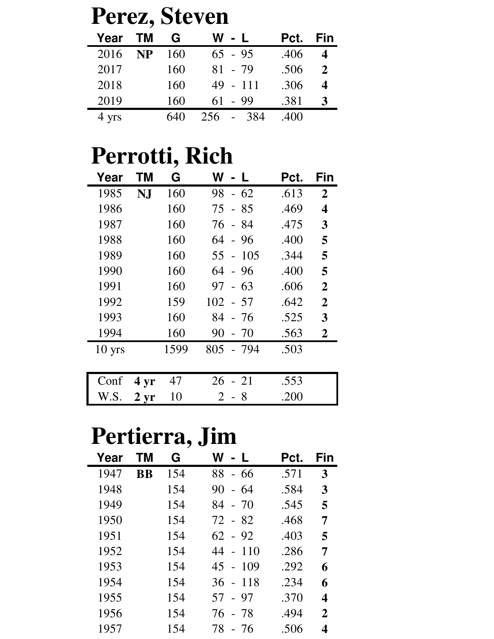| Perez, Steven |                                                                     |              |  |  |  |  |
|---------------|---------------------------------------------------------------------|--------------|--|--|--|--|
|               | Pct. Fin                                                            |              |  |  |  |  |
|               | .406                                                                | 4            |  |  |  |  |
|               | .506                                                                | $\mathbf{2}$ |  |  |  |  |
|               | .306                                                                | 4            |  |  |  |  |
|               | .381                                                                | 3            |  |  |  |  |
|               | .400                                                                |              |  |  |  |  |
|               | W - L<br>$65 - 95$<br>$81 - 79$<br>$49 - 111$<br>$61 - 99$<br>- 384 |              |  |  |  |  |

## **Perrotti, Rich**

| Year     | <b>TM</b>       | G    | W - L                              | Pct. | Fin            |
|----------|-----------------|------|------------------------------------|------|----------------|
| 1985     | NJ              | 160  | 98<br>$-62$                        | .613 | $\overline{2}$ |
| 1986     |                 | 160  | 75<br>$-85$                        | .469 | 4              |
| 1987     |                 | 160  | 76 - 84                            | .475 | 3              |
| 1988     |                 | 160  | $64 - 96$                          | .400 | 5              |
| 1989     |                 | 160  | 55 - 105                           | .344 | 5              |
| 1990     |                 | 160  | 64 - 96                            | .400 | 5              |
| 1991     |                 | 160  | 97<br>$-63$                        | .606 | $\overline{2}$ |
| 1992     |                 | 159  | $102 - 57$                         | .642 | $\overline{2}$ |
| 1993     |                 | 160  | 84<br>- 76                         | .525 | 3              |
| 1994     |                 | 160  | 90<br>$-70$                        | .563 | $\overline{2}$ |
| $10$ yrs |                 | 1599 | 805<br>- 794                       | .503 |                |
|          |                 |      |                                    |      |                |
| Conf     | 4 <sub>yr</sub> | 47   | 26<br>$-21$                        | .553 |                |
| W.S.     | $2 \,\rm yr$    | 10   | 2<br>8<br>$\overline{\phantom{a}}$ | .200 |                |

## **Pertierra, Jim**

| Year | ΤM        | G   | W<br>- 11                               | Pct. | Fin |
|------|-----------|-----|-----------------------------------------|------|-----|
| 1947 | <b>BB</b> | 154 | 88<br>- 66                              | .571 | 3   |
| 1948 |           | 154 | 90<br>-64<br>$\overline{\phantom{a}}$   | .584 | 3   |
| 1949 |           | 154 | 84<br>$-70$                             | .545 | 5   |
| 1950 |           | 154 | 72 - 82                                 | .468 | 7   |
| 1951 |           | 154 | 62 - 92                                 | .403 | 5   |
| 1952 |           | 154 | 44<br>11 <sub>0</sub><br>$\overline{a}$ | .286 | 7   |
| 1953 |           | 154 | -109<br>45<br>$\sim$ $-$                | .292 | 6   |
| 1954 |           | 154 | $36 -$<br>-118                          | .234 | 6   |
| 1955 |           | 154 | - 97<br>57                              | .370 | 4   |
| 1956 |           | 154 | 76 - 78                                 | .494 | 2   |
| 1957 |           | 154 | 78<br>- 76                              | .506 | 4   |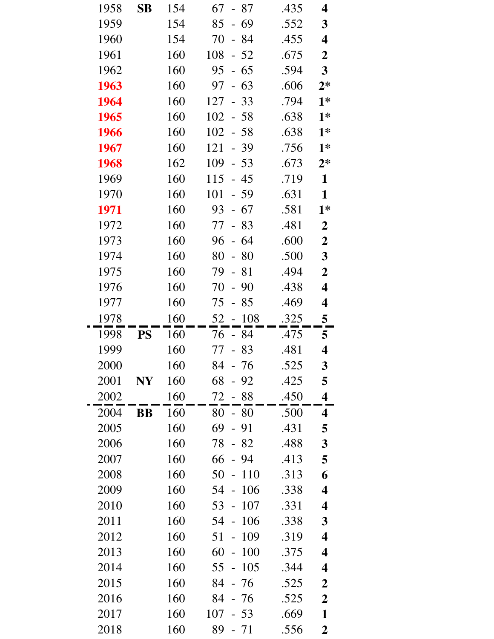| 1958 | SВ        | 154 | 67<br>- 87                            | .435 | 4                       |
|------|-----------|-----|---------------------------------------|------|-------------------------|
| 1959 |           | 154 | 85<br>$-69$                           | .552 | 3                       |
| 1960 |           | 154 | 70<br>$-84$                           | .455 | 4                       |
| 1961 |           | 160 | 108<br>$-52$                          | .675 | $\boldsymbol{2}$        |
| 1962 |           | 160 | 95<br>$-65$                           | .594 | $\overline{\mathbf{3}}$ |
| 1963 |           | 160 | 97<br>$-63$                           | .606 | $2*$                    |
| 1964 |           | 160 | 127<br>$-33$                          | .794 | $1*$                    |
| 1965 |           | 160 | 102<br>$-58$                          | .638 | $1*$                    |
| 1966 |           | 160 | 102<br>$-58$                          | .638 | $1*$                    |
| 1967 |           | 160 | 121<br>$-39$                          | .756 | $1*$                    |
| 1968 |           | 162 | 109<br>$-53$                          | .673 | $2*$                    |
| 1969 |           | 160 | 115<br>$-45$                          | .719 | $\mathbf{1}$            |
| 1970 |           | 160 | 101<br>$-59$                          | .631 | $\mathbf{1}$            |
| 1971 |           | 160 | 93<br>$-67$                           | .581 | $1*$                    |
| 1972 |           | 160 | 77<br>$-83$                           | .481 | $\boldsymbol{2}$        |
| 1973 |           | 160 | 96<br>$-64$                           | .600 | $\boldsymbol{2}$        |
| 1974 |           | 160 | 80<br>$-80$                           | .500 | $\mathbf{3}$            |
| 1975 |           | 160 | 79<br>$-81$                           | .494 | $\boldsymbol{2}$        |
| 1976 |           | 160 | 70<br>$-90$                           | .438 | 4                       |
| 1977 |           | 160 | 75<br>$-85$                           | .469 | 4                       |
| 1978 |           | 160 | 108<br>52<br>$\frac{1}{2}$            | .325 | 5                       |
| 1998 | <b>PS</b> | 160 | - 84<br>76                            | .475 | 5                       |
| 1999 |           | 160 | $77 - 83$                             | .481 | 4                       |
| 2000 |           | 160 | 84<br>76                              | .525 | $\boldsymbol{3}$        |
| 2001 | NY        | 160 | 68<br>$-92$                           | .425 | 5                       |
| 2002 |           | 160 | - 88<br>72                            | .450 | $\overline{\mathbf{4}}$ |
| 2004 | <b>BB</b> | 160 | $-80$<br>80                           | .500 | 4                       |
| 2005 |           | 160 | 69<br>- 91                            | .431 | 5                       |
| 2006 |           | 160 | 78<br>$-82$                           | .488 | 3                       |
| 2007 |           | 160 | 66<br>94                              | .413 | 5                       |
| 2008 |           | 160 | 50<br>110<br>$\overline{\phantom{0}}$ | .313 | 6                       |
| 2009 |           | 160 | 106<br>54<br>$\overline{\phantom{0}}$ | .338 | $\overline{\mathbf{4}}$ |
| 2010 |           | 160 | 107<br>53<br>$\overline{\phantom{0}}$ | .331 | 4                       |
| 2011 |           | 160 | 54<br>106<br>$\equiv$                 | .338 | 3                       |
| 2012 |           | 160 | 109<br>51                             | .319 | $\overline{\mathbf{4}}$ |
| 2013 |           | 160 | 60<br>100<br>$\frac{1}{2}$            | .375 | 4                       |
| 2014 |           | 160 | 105<br>55<br>$\overline{a}$           | .344 | $\overline{\mathbf{4}}$ |
| 2015 |           | 160 | 84<br>- 76                            | .525 | $\boldsymbol{2}$        |
| 2016 |           | 160 | 84<br>- 76                            | .525 | $\boldsymbol{2}$        |
| 2017 |           |     |                                       |      |                         |
|      |           | 160 | 107<br>53                             | .669 | $\mathbf{1}$            |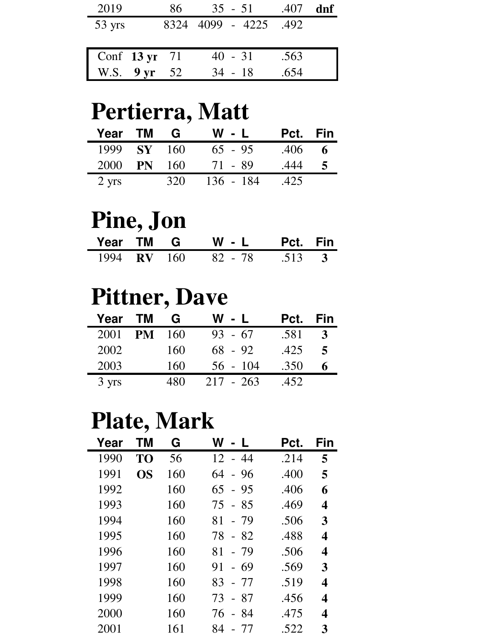| 2019             | 86           | $35 - 51$   | .407 | dnf |
|------------------|--------------|-------------|------|-----|
| $53 \text{ yrs}$ | 8324         | 4099 - 4225 | .492 |     |
|                  |              |             |      |     |
| Conf 13 yr 71    |              | $40 - 31$   | .563 |     |
|                  | W.S. 9 yr 52 | $34 - 18$   | .654 |     |

### **Pertierra, Matt**

| Year TM         |               | <b>G</b> | $W - L$   | Pct. Fin |   |
|-----------------|---------------|----------|-----------|----------|---|
| 1999            | <b>SY</b> 160 |          | $65 - 95$ | .406     | 6 |
| 2000            | <b>PN</b>     | 160      | 71 - 89   | .444     |   |
| $2 \text{ yrs}$ |               | 320      | 136 - 184 | .425     |   |

### **Pine, Jon**

|  | Year TM G W-L Pct. Fin           |  |
|--|----------------------------------|--|
|  | 1994 <b>RV</b> 160 82 - 78 513 3 |  |

### **Pittner, Dave**

| Year TM |           | G   | W - L       | Pct. | <b>Fin</b>     |
|---------|-----------|-----|-------------|------|----------------|
| 2001    | <b>PM</b> | 160 | $93 - 67$   | .581 | 3              |
| 2002    |           | 160 | $68 - 92$   | .425 | $\overline{5}$ |
| 2003    |           | 160 | $56 - 104$  | .350 | 6              |
| 3 yrs   |           | 480 | $217 - 263$ | .452 |                |

### **Plate, Mark**

| Year | ΤM | G   | W<br>$\mathbf{I}$           | Pct. | Fin |
|------|----|-----|-----------------------------|------|-----|
| 1990 | TO | 56  | $12 - 44$                   | .214 | 5   |
| 1991 | OS | 160 | 64<br>$-96$                 | .400 | 5   |
| 1992 |    | 160 | 65<br>- 95                  | .406 | 6   |
| 1993 |    | 160 | - 85<br>75                  | .469 | 4   |
| 1994 |    | 160 | 81<br>- 79                  | .506 | 3   |
| 1995 |    | 160 | $-82$<br>78                 | .488 | 4   |
| 1996 |    | 160 | 81<br>- 79                  | .506 | 4   |
| 1997 |    | 160 | -69<br>91<br>$\blacksquare$ | .569 | 3   |
| 1998 |    | 160 | 83<br>- 77                  | .519 | 4   |
| 1999 |    | 160 | - 87<br>73                  | .456 | 4   |
| 2000 |    | 160 | 76<br>- 84                  | .475 | 4   |
| 2001 |    | 161 | 84<br>- 77                  | .522 | 3   |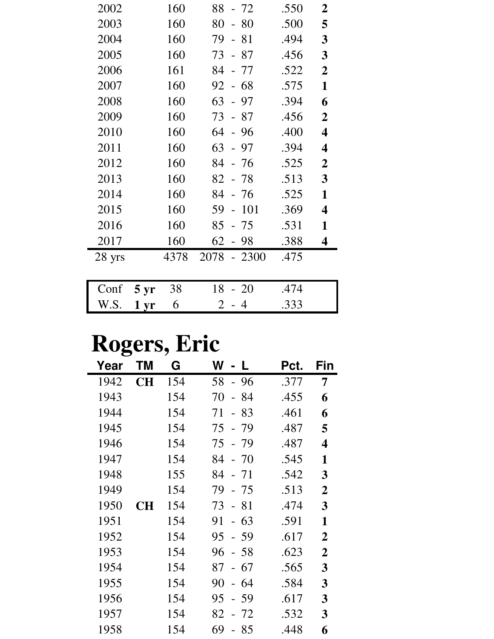| Conf   | $5 \,\mathrm{yr}$ | 38   | 18<br>$-20$                 | .474 |                         |
|--------|-------------------|------|-----------------------------|------|-------------------------|
| 28 yrs |                   | 4378 | 2078<br>$-2300$             | .475 |                         |
| 2017   |                   | 160  | 62<br>- 98                  | .388 | 4                       |
| 2016   |                   | 160  | 85<br>- 75                  | .531 | 1                       |
| 2015   |                   | 160  | 59<br>101<br>$\overline{a}$ | .369 | $\overline{\mathbf{4}}$ |
| 2014   |                   | 160  | 84<br>- 76                  | .525 | 1                       |
| 2013   |                   | 160  | 82<br>- 78                  | .513 | 3                       |
| 2012   |                   | 160  | 84<br>- 76                  | .525 | $\overline{2}$          |
| 2011   |                   | 160  | 63<br>$-97$                 | .394 | 4                       |
| 2010   |                   | 160  | -96<br>64<br>$\overline{a}$ | .400 | $\overline{\mathbf{4}}$ |
| 2009   |                   | 160  | - 87<br>73                  | .456 | $\overline{2}$          |
| 2008   |                   | 160  | 63<br>- 97                  | .394 | 6                       |
| 2007   |                   | 160  | 92<br>- 68                  | .575 | 1                       |
| 2006   |                   | 161  | 84<br>- 77                  | .522 | $\overline{2}$          |
| 2005   |                   | 160  | 73<br>- 87                  | .456 | 3                       |
| 2004   |                   | 160  | 79<br>$-81$                 | .494 | 3                       |
| 2003   |                   | 160  | 80<br>-80<br>$\frac{1}{2}$  | .500 | 5                       |
| 2002   |                   | 160  | 88<br>$-72$                 | .550 | $\overline{2}$          |

W.S. **1 yr** 6 2 - 4 .333

## **Rogers, Eric**

| Year | ΤM        | G   | W<br>$\mathbf{L}$          | Pct. | Fin              |
|------|-----------|-----|----------------------------|------|------------------|
| 1942 | <b>CH</b> | 154 | 58<br>$-96$                | .377 | 7                |
| 1943 |           | 154 | 70<br>84<br>$\equiv$       | .455 | 6                |
| 1944 |           | 154 | 71<br>83<br>$\overline{a}$ | .461 | 6                |
| 1945 |           | 154 | 75<br>- 79                 | .487 | 5                |
| 1946 |           | 154 | 75<br>- 79                 | .487 | 4                |
| 1947 |           | 154 | 84<br>$-70$                | .545 | 1                |
| 1948 |           | 155 | 84<br>$-71$                | .542 | 3                |
| 1949 |           | 154 | 79<br>- 75                 | .513 | $\overline{2}$   |
| 1950 | <b>CH</b> | 154 | 73<br>- 81                 | .474 | 3                |
| 1951 |           | 154 | 91<br>$-63$                | .591 | 1                |
| 1952 |           | 154 | 95<br>- 59                 | .617 | $\overline{2}$   |
| 1953 |           | 154 | 96<br>$-58$                | .623 | $\boldsymbol{2}$ |
| 1954 |           | 154 | 87<br>67<br>$\overline{a}$ | .565 | 3                |
| 1955 |           | 154 | 90<br>64<br>$\equiv$       | .584 | 3                |
| 1956 |           | 154 | 95<br>59<br>$\overline{a}$ | .617 | 3                |
| 1957 |           | 154 | 82<br>72                   | .532 | 3                |
| 1958 |           | 154 | 69<br>85                   | .448 | 6                |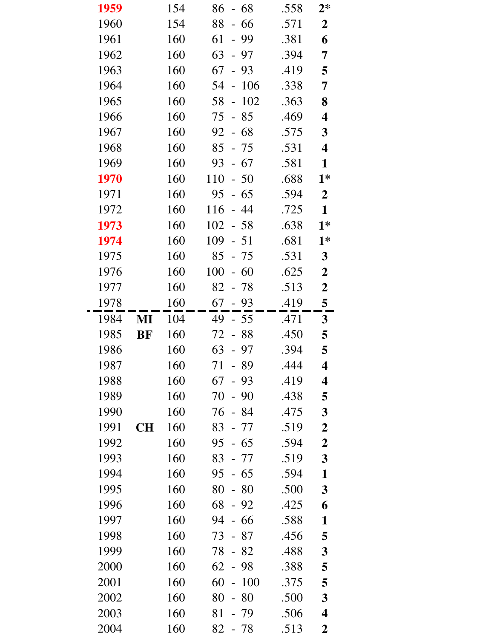| 1959 |           | 154 | 68<br>86<br>$\sim$                    | .558 | $2*$                    |
|------|-----------|-----|---------------------------------------|------|-------------------------|
| 1960 |           | 154 | 88<br>66<br>$\overline{\phantom{a}}$  | .571 | $\boldsymbol{2}$        |
| 1961 |           | 160 | 61<br>- 99                            | .381 | 6                       |
| 1962 |           | 160 | 63<br>$-97$                           | .394 | 7                       |
| 1963 |           | 160 | 67<br>$-93$                           | .419 | 5                       |
| 1964 |           | 160 | 106<br>54<br>$\overline{\phantom{a}}$ | .338 | $\overline{7}$          |
| 1965 |           | 160 | 102<br>58<br>$\overline{\phantom{0}}$ | .363 | 8                       |
| 1966 |           | 160 | 75<br>$-85$                           | .469 | $\overline{\mathbf{4}}$ |
| 1967 |           | 160 | 68<br>92<br>$\equiv$                  | .575 | $\mathbf{3}$            |
| 1968 |           | 160 | $85 - 75$                             | .531 | $\overline{\mathbf{4}}$ |
| 1969 |           | 160 | $-67$<br>93                           | .581 | $\mathbf{1}$            |
| 1970 |           | 160 | 110<br>$-50$                          | .688 | $1*$                    |
| 1971 |           | 160 | $-65$<br>95                           | .594 | $\overline{2}$          |
| 1972 |           | 160 | 116<br>$-44$                          | .725 | $\mathbf{1}$            |
| 1973 |           | 160 | $102 - 58$                            | .638 | $1*$                    |
| 1974 |           | 160 | 109<br>$-51$                          | .681 | $1*$                    |
| 1975 |           | 160 | 85<br>$-75$                           | .531 | $\mathbf{3}$            |
| 1976 |           | 160 | 100<br>$-60$                          | .625 | $\boldsymbol{2}$        |
| 1977 |           | 160 | 82<br>- 78                            | .513 | $\boldsymbol{2}$        |
| 1978 |           | 160 | $67 - 93$                             | .419 | 5                       |
| 1984 | MI        | 104 | 49<br>$-55$                           | .471 | $3\overline{)}$         |
| 1985 | <b>BF</b> | 160 | 72<br>$-88$                           | .450 | 5                       |
| 1986 |           | 160 | 63<br>$-97$                           | .394 | 5                       |
| 1987 |           | 160 | 89<br>71                              | .444 | 4                       |
| 1988 |           | 160 | $-93$<br>67                           | .419 | $\overline{\mathbf{4}}$ |
| 1989 |           | 160 | 70<br>90<br>$\blacksquare$            | .438 | 5                       |
| 1990 |           | 160 | 76<br>- 84                            | .475 | $\mathbf{3}$            |
| 1991 | <b>CH</b> | 160 | 83<br>- 77                            | .519 | $\boldsymbol{2}$        |
| 1992 |           | 160 | 95<br>$-65$                           | .594 | $\boldsymbol{2}$        |
| 1993 |           | 160 | 83<br>- 77                            | .519 | $\overline{\mathbf{3}}$ |
| 1994 |           | 160 | $-65$<br>95                           | .594 | $\mathbf{1}$            |
| 1995 |           | 160 | 80<br>$-80$                           | .500 | $\mathbf{3}$            |
| 1996 |           | 160 | 68<br>$-92$                           | .425 | 6                       |
| 1997 |           | 160 | 94<br>$-66$                           | .588 | 1                       |
| 1998 |           | 160 | 87<br>73                              | .456 | 5                       |
| 1999 |           | 160 | 78<br>$-82$                           | .488 | 3                       |
| 2000 |           | 160 | 62<br>- 98                            | .388 | 5                       |
| 2001 |           | 160 | 60<br>100<br>$\frac{1}{2}$            | .375 | 5                       |
| 2002 |           | 160 | 80<br>80<br>$\overline{\phantom{0}}$  | .500 | 3                       |
| 2003 |           | 160 | 81<br>79                              | .506 | $\overline{\mathbf{4}}$ |
| 2004 |           | 160 | 82<br>$-78$                           | .513 | $\boldsymbol{2}$        |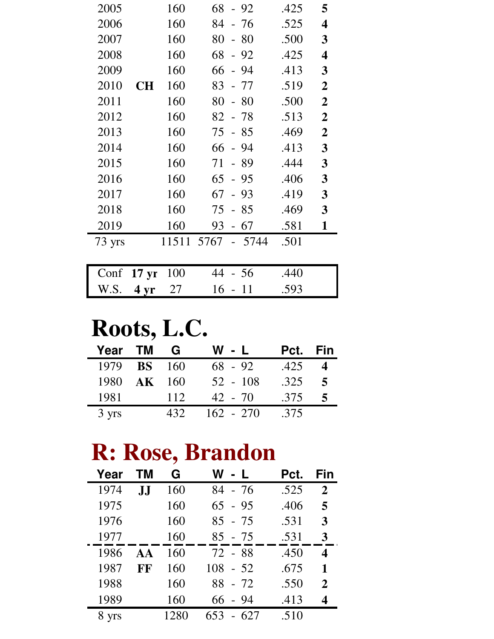| 2005                 |           | 160   | 68<br>$-92$                | .425 | 5                       |
|----------------------|-----------|-------|----------------------------|------|-------------------------|
| 2006                 |           | 160   | 84<br>- 76                 | .525 | 4                       |
| 2007                 |           | 160   | 80<br>- 80                 | .500 | 3                       |
| 2008                 |           | 160   | 68<br>$-92$                | .425 | $\overline{\mathbf{4}}$ |
| 2009                 |           | 160   | 66<br>- 94                 | .413 | 3                       |
| 2010                 | <b>CH</b> | 160   | 83<br>- 77                 | .519 | $\boldsymbol{2}$        |
| 2011                 |           | 160   | 80<br>- 80                 | .500 | $\boldsymbol{2}$        |
| 2012                 |           | 160   | 82<br>- 78                 | .513 | $\overline{2}$          |
| 2013                 |           | 160   | $-85$<br>75                | .469 | $\boldsymbol{2}$        |
| 2014                 |           | 160   | 94<br>66<br>$\sim$         | .413 | 3                       |
| 2015                 |           | 160   | 89<br>71                   | .444 | 3                       |
| 2016                 |           | 160   | 65<br>- 95                 | .406 | 3                       |
| 2017                 |           | 160   | 67<br>$-93$                | .419 | 3                       |
| 2018                 |           | 160   | 75<br>$-85$                | .469 | 3                       |
| 2019                 |           | 160   | 67<br>93<br>$\overline{a}$ | .581 | 1                       |
| 73 yrs               |           | 11511 | 5767<br>5744               | .501 |                         |
|                      |           |       |                            |      |                         |
| Conf $17 \text{ yr}$ |           | 100   | 44<br>- 56                 | .440 |                         |

### **Roots, L.C.**

| Year TM            | G        | W - L       | Pct. Fin |   |
|--------------------|----------|-------------|----------|---|
| 1979 <b>BS</b> 160 |          | $68 - 92$   | .425     |   |
| 1980               | $AK$ 160 | $52 - 108$  | .325     | 5 |
| 1981               | 112      | $42 - 70$   | .375     |   |
| 3 yrs              | 432      | $162 - 270$ | .375     |   |

W.S. **4 yr** 27 16 - 11 .593

## **R: Rose, Brandon**

| Year  | TМ | G    | W l<br>- L | Pct. | Fin          |
|-------|----|------|------------|------|--------------|
| 1974  | JJ | 160  | 84 - 76    | .525 | $\mathbf{2}$ |
| 1975  |    | 160  | $65 - 95$  | .406 | 5            |
| 1976  |    | 160  | 85 - 75    | .531 | 3            |
| 1977  |    | 160  | $85 - 75$  | .531 | 3            |
| 1986  | AA | 160  | 72 - 88    | .450 | 4            |
| 1987  | FF | 160  | $108 - 52$ | .675 | 1            |
| 1988  |    | 160  | 88 - 72    | .550 | $\mathbf 2$  |
| 1989  |    | 160  | - 94<br>66 | .413 |              |
| 8 yrs |    | 1280 | 653        | .510 |              |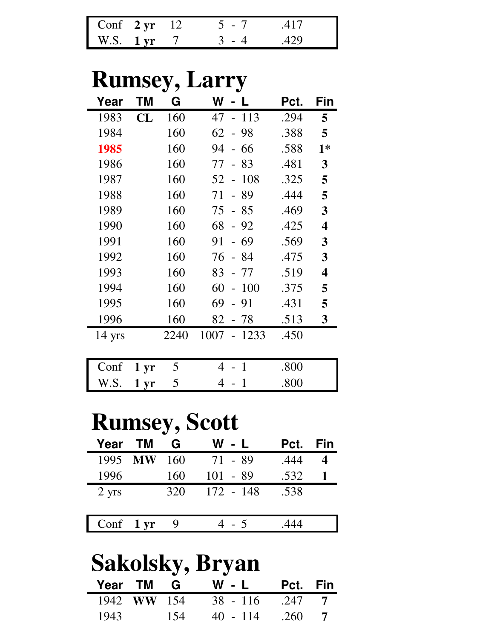| Conf $2 \text{ yr}$ 12 |  | 5 - 7   | 417   |
|------------------------|--|---------|-------|
| $W.S.$ 1 yr            |  | $3 - 4$ | - 429 |

## **Rumsey, Larry**

| Year             | ΤM | G    | W                                     | Pct. | Fin  |
|------------------|----|------|---------------------------------------|------|------|
| 1983             | CL | 160  | 47<br>113<br>$\overline{\phantom{0}}$ | .294 | 5    |
| 1984             |    | 160  | 62<br>-98<br>$\overline{a}$           | .388 | 5    |
| 1985             |    | 160  | 94<br>66<br>$\overline{a}$            | .588 | $1*$ |
| 1986             |    | 160  | 83<br>77<br>$\overline{a}$            | .481 | 3    |
| 1987             |    | 160  | 108<br>52<br>$\overline{a}$           | .325 | 5    |
| 1988             |    | 160  | 89<br>71<br>$\overline{a}$            | .444 | 5    |
| 1989             |    | 160  | 75<br>85<br>$\blacksquare$            | .469 | 3    |
| 1990             |    | 160  | 68<br>$-92$                           | .425 | 4    |
| 1991             |    | 160  | 91<br>69<br>$\equiv$                  | .569 | 3    |
| 1992             |    | 160  | 76<br>- 84                            | .475 | 3    |
| 1993             |    | 160  | 83<br>- 77                            | .519 | 4    |
| 1994             |    | 160  | 60<br>100<br>$\overline{\phantom{a}}$ | .375 | 5    |
| 1995             |    | 160  | 69<br>- 91                            | .431 | 5    |
| 1996             |    | 160  | 82<br>-78                             | .513 | 3    |
| $14 \text{ yrs}$ |    | 2240 | 1007<br>1233                          | .450 |      |
|                  |    |      |                                       |      |      |

| Conf $1 \text{ yr}$ 5 |  | - 800 |
|-----------------------|--|-------|
| W.S. $1 \text{ yr}$ 5 |  | - 800 |

### **Rumsey, Scott**

| Year                | <b>TM</b> | G   | W - L      | Pct. Fin |  |
|---------------------|-----------|-----|------------|----------|--|
| 1995 MW             |           | 160 | 71 - 89    | .444     |  |
| 1996                |           | 160 | $101 - 89$ | .532     |  |
| $2 \text{ yrs}$     |           | 320 | 172 - 148  | .538     |  |
|                     |           |     |            |          |  |
| Conf $1 \text{ yr}$ |           | 9   | $-5$       |          |  |

#### **Sakolsky, Bryan Year TM G W - L Pct. Fin**

|      | $\overline{1}$ cal INI C |     | $\mathbf{v}$ $\mathbf{v}$ $\mathbf{v}$ $\mathbf{v}$ $\mathbf{v}$ | F VL. 111 |  |
|------|--------------------------|-----|------------------------------------------------------------------|-----------|--|
|      | 1942 WW 154              |     | 38 - 116 .247 7                                                  |           |  |
| 1943 |                          | 154 | $40 - 114$ .260 7                                                |           |  |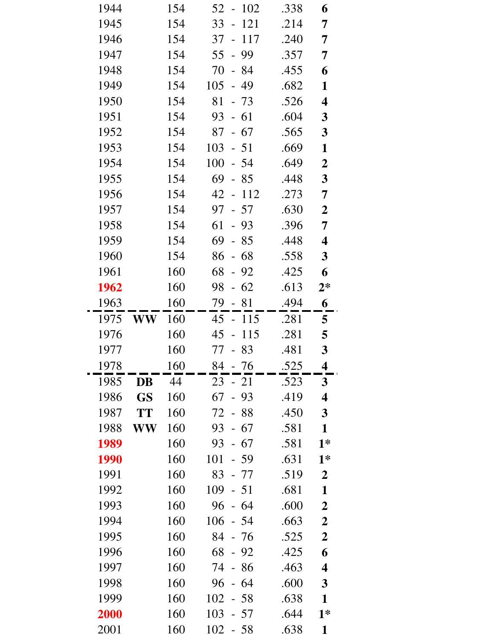| 1944 |           | 154 | 52<br>102<br>$\overline{\phantom{0}}$ | .338 | 6                |
|------|-----------|-----|---------------------------------------|------|------------------|
| 1945 |           | 154 | 121<br>33<br>$\overline{a}$           | .214 | 7                |
| 1946 |           | 154 | 37<br>117<br>$\blacksquare$           | .240 | 7                |
| 1947 |           | 154 | 99<br>55<br>$\frac{1}{2}$             | .357 | 7                |
| 1948 |           | 154 | 70<br>- 84                            | .455 | 6                |
| 1949 |           | 154 | 49<br>105<br>$\frac{1}{2}$            | .682 | $\mathbf{1}$     |
| 1950 |           | 154 | 81<br>$-73$                           | .526 | 4                |
| 1951 |           | 154 | 93<br>$-61$                           | .604 | $\mathbf{3}$     |
| 1952 |           | 154 | $-67$<br>87                           | .565 | $\mathbf{3}$     |
| 1953 |           | 154 | $103 - 51$                            | .669 | $\mathbf{1}$     |
| 1954 |           | 154 | 100<br>$-54$                          | .649 | $\boldsymbol{2}$ |
| 1955 |           | 154 | 69<br>$-85$                           | .448 | $\mathbf{3}$     |
| 1956 |           | 154 | 42 -<br>112                           | .273 | 7                |
| 1957 |           | 154 | $-57$<br>97                           | .630 | $\boldsymbol{2}$ |
| 1958 |           | 154 | 61<br>$-93$                           | .396 | 7                |
| 1959 |           | 154 | 69<br>85<br>$\overline{\phantom{a}}$  | .448 | 4                |
| 1960 |           | 154 | 68<br>86<br>$\Box$                    | .558 | 3                |
| 1961 |           | 160 | 68<br>$-92$                           | .425 | 6                |
| 1962 |           | 160 | 62<br>98<br>$\overline{a}$            | .613 | $2*$             |
| 1963 |           | 160 | 79 - 81                               | .494 | 6                |
| 1975 | <b>WW</b> | 160 | $45 - 115$                            | .281 | 5                |
| 1976 |           | 160 | 115<br>45<br>$\frac{1}{2}$            | .281 | 5                |
| 1977 |           | 160 | 77 - 83                               | .481 | $\mathbf{3}$     |
| 1978 |           | 160 | 84<br>76                              | .525 | 4                |
| 1985 | DB        | 44  | $23 - 21$                             | .523 | $\mathbf{3}$     |
| 1986 | <b>GS</b> | 160 | 67<br>93                              | .419 | 4                |
| 1987 | <b>TT</b> | 160 | 72<br>$-88$                           | .450 | $\mathbf{3}$     |
| 1988 | WW        | 160 | 93<br>- 67                            | .581 | $\mathbf{1}$     |
| 1989 |           | 160 | 93<br>$-67$                           | .581 | $1*$             |
| 1990 |           | 160 | 101<br>$-59$                          | .631 | $1*$             |
| 1991 |           | 160 | 83<br>- 77                            | .519 | $\boldsymbol{2}$ |
| 1992 |           | 160 | 109<br>$-51$                          | .681 | $\mathbf{1}$     |
| 1993 |           | 160 | 96<br>- 64                            | .600 | $\boldsymbol{2}$ |
| 1994 |           | 160 | 106<br>$-54$                          | .663 | $\boldsymbol{2}$ |
| 1995 |           | 160 | 84<br>- 76                            | .525 | $\boldsymbol{2}$ |
| 1996 |           | 160 | 68<br>$-92$                           | .425 | 6                |
| 1997 |           | 160 | 74<br>$-86$                           | .463 | 4                |
| 1998 |           | 160 | 96<br>-64                             | .600 | $\mathbf{3}$     |
| 1999 |           | 160 | 102<br>$-58$                          | .638 | $\mathbf{1}$     |
| 2000 |           | 160 | 103<br>57                             | .644 | $1*$             |
| 2001 |           | 160 | 102<br>$-58$                          | .638 | $\mathbf{1}$     |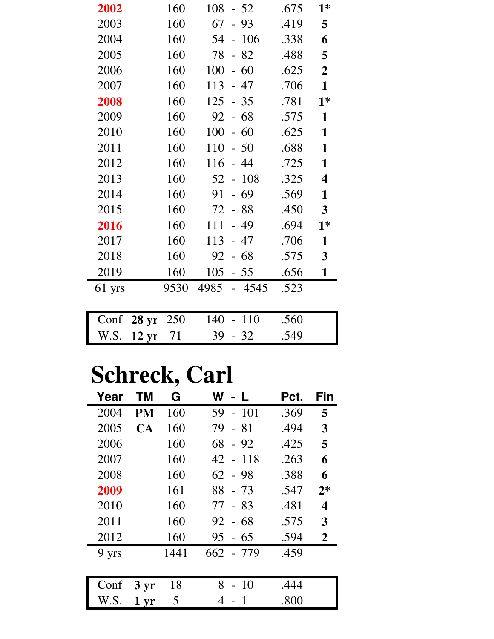| 2002   |                  | 160  | 108<br>$-52$                | .675 | $1*$                    |
|--------|------------------|------|-----------------------------|------|-------------------------|
| 2003   |                  | 160  | 67<br>93                    | .419 | 5                       |
| 2004   |                  | 160  | 106<br>54<br>$\overline{a}$ | .338 | 6                       |
| 2005   |                  | 160  | 78<br>$-82$                 | .488 | 5                       |
| 2006   |                  | 160  | 100<br>60<br>$\frac{1}{2}$  | .625 | $\overline{2}$          |
| 2007   |                  | 160  | 113<br>47<br>$\overline{a}$ | .706 | $\mathbf{1}$            |
| 2008   |                  | 160  | $125 - 35$                  | .781 | $1*$                    |
| 2009   |                  | 160  | $-68$<br>92                 | .575 | $\mathbf{1}$            |
| 2010   |                  | 160  | 100<br>60<br>$\overline{a}$ | .625 | $\mathbf{1}$            |
| 2011   |                  | 160  | 110<br>$-50$                | .688 | $\mathbf{1}$            |
| 2012   |                  | 160  | 116<br>- 44                 | .725 | $\mathbf{1}$            |
| 2013   |                  | 160  | 52<br>108                   | .325 | $\overline{\mathbf{4}}$ |
| 2014   |                  | 160  | 69<br>91<br>$\overline{a}$  | .569 | $\mathbf{1}$            |
| 2015   |                  | 160  | 72<br>$-88$                 | .450 | $\overline{\mathbf{3}}$ |
| 2016   |                  | 160  | 49<br>111<br>$\frac{1}{2}$  | .694 | $1*$                    |
| 2017   |                  | 160  | 113<br>- 47                 | .706 | $\mathbf{1}$            |
| 2018   |                  | 160  | $-68$<br>92                 | .575 | $\mathbf{3}$            |
| 2019   |                  | 160  | 105<br>$-55$                | .656 | $\mathbf{1}$            |
| 61 yrs |                  | 9530 | 4985<br>4545                | .523 |                         |
|        |                  |      |                             |      |                         |
| Conf   | <b>28 yr</b>     | 250  | $-110$<br>140               | .560 |                         |
| W.S.   | 12 <sub>yr</sub> | 71   | 39<br>$-32$                 | .549 |                         |

## **Schreck, Carl**

| Year  | ΤM              | G    | W<br>- L     | Pct. | Fin  |
|-------|-----------------|------|--------------|------|------|
| 2004  | <b>PM</b>       | 160  | 59<br>$-101$ | .369 | 5    |
| 2005  | CA              | 160  | 79<br>- 81   | .494 | 3    |
| 2006  |                 | 160  | 68<br>$-92$  | .425 | 5    |
| 2007  |                 | 160  | 42 - 118     | .263 | 6    |
| 2008  |                 | 160  | $62 - 98$    | .388 | 6    |
| 2009  |                 | 161  | $88 - 73$    | .547 | $2*$ |
| 2010  |                 | 160  | 77<br>- 83   | .481 | 4    |
| 2011  |                 | 160  | 92 - 68      | .575 | 3    |
| 2012  |                 | 160  | 95 - 65      | .594 | 2    |
| 9 yrs |                 | 1441 | 662 - 779    | .459 |      |
|       |                 |      |              |      |      |
| Conf  | $3 \, yr$       | 18   | 8<br>-10     | .444 |      |
| W.S.  | $1 \mathrm{yr}$ | 5    | 4            | .800 |      |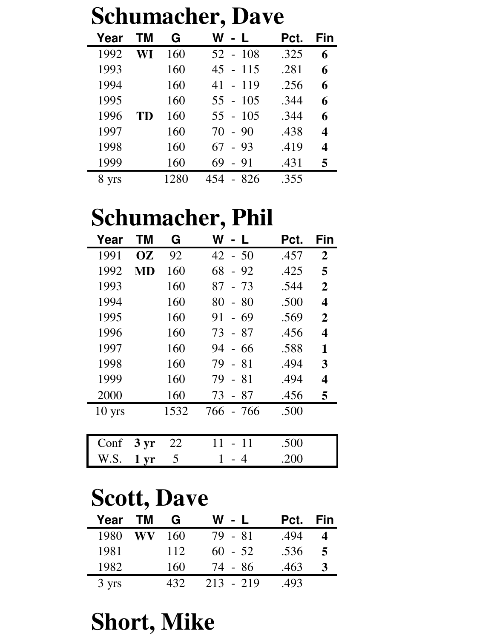| <b>Schumacher, Dave</b> |           |      |                                     |      |     |  |
|-------------------------|-----------|------|-------------------------------------|------|-----|--|
| Year                    | ΤM        | G    | W<br>$\mathbf{L}$<br>$\blacksquare$ | Pct. | Fin |  |
| 1992                    | WI        | 160  | $52 - 108$                          | .325 | 6   |  |
| 1993                    |           | 160  | $45 - 115$                          | .281 | 6   |  |
| 1994                    |           | 160  | $41 - 119$                          | .256 | 6   |  |
| 1995                    |           | 160  | $55 - 105$                          | .344 | 6   |  |
| 1996                    | <b>TD</b> | 160  | $55 - 105$                          | .344 | 6   |  |
| 1997                    |           | 160  | $70 - 90$                           | .438 | 4   |  |
| 1998                    |           | 160  | $67 - 93$                           | .419 | 4   |  |
| 1999                    |           | 160  | $-91$<br>69                         | .431 |     |  |
| 8 yrs                   |           | 1280 | 454 - 826                           | .355 |     |  |

### **Schumacher, Phil**

| Year     | ΤM                | G    | W - L                      | Pct. | Fin              |
|----------|-------------------|------|----------------------------|------|------------------|
| 1991     | <b>OZ</b>         | 92   | $42 - 50$                  | .457 | $\boldsymbol{2}$ |
| 1992     | MD                | 160  | 68<br>$-92$                | .425 | 5                |
| 1993     |                   | 160  | 87<br>$-73$                | .544 | $\overline{2}$   |
| 1994     |                   | 160  | 80<br>80<br>$\mathbb{L}^2$ | .500 | 4                |
| 1995     |                   | 160  | 91<br>$-69$                | .569 | $\overline{2}$   |
| 1996     |                   | 160  | - 87<br>73                 | .456 | 4                |
| 1997     |                   | 160  | 94<br>- 66                 | .588 | 1                |
| 1998     |                   | 160  | 79<br>- 81                 | .494 | 3                |
| 1999     |                   | 160  | 79<br>-81<br>$\Box$        | .494 | 4                |
| 2000     |                   | 160  | - 87<br>73                 | .456 | 5                |
| $10$ yrs |                   | 1532 | 766 - 766                  | .500 |                  |
|          |                   |      |                            |      |                  |
| Conf     | $3 \,\mathrm{yr}$ | 22   | 11<br>11                   | .500 |                  |
| W.S.     | 1 <sub>yr</sub>   | 5    | $\overline{4}$             | .200 |                  |

### **Scott, Dave**

| Year  | <b>TM</b> | G    | W - L       | Pct. | Fin |
|-------|-----------|------|-------------|------|-----|
| 1980  | WV        | 160  | 79 - 81     | .494 |     |
| 1981  |           | 112  | $60 - 52$   | .536 | 5   |
| 1982  |           | 160  | 74 - 86     | .463 | 3   |
| 3 yrs |           | 432. | $213 - 219$ | .493 |     |

### **Short, Mike**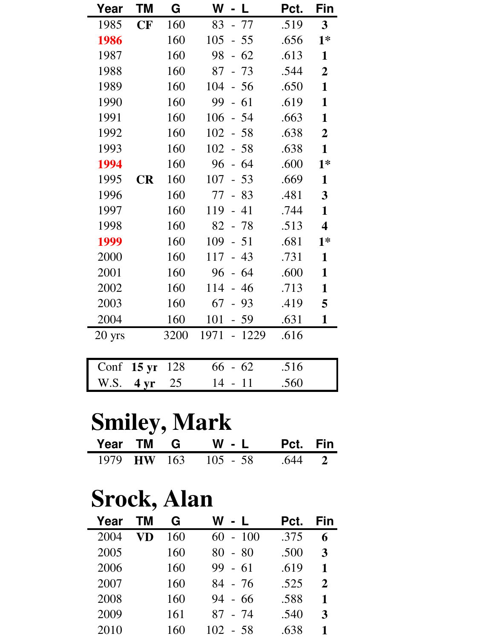| Year     | ΤM              | G    | W<br>- L                              | Pct. | Fin                     |
|----------|-----------------|------|---------------------------------------|------|-------------------------|
| 1985     | CF              | 160  | - 77<br>83                            | .519 | $\mathbf{3}$            |
| 1986     |                 | 160  | 105<br>$-55$                          | .656 | $1*$                    |
| 1987     |                 | 160  | 98<br>$-62$                           | .613 | $\mathbf{1}$            |
| 1988     |                 | 160  | 87<br>$-73$                           | .544 | $\overline{2}$          |
| 1989     |                 | 160  | 104<br>$-56$                          | .650 | $\mathbf{1}$            |
| 1990     |                 | 160  | 99<br>61<br>$\mathbb{L}^{\mathbb{R}}$ | .619 | 1                       |
| 1991     |                 | 160  | 106<br>- 54                           | .663 | 1                       |
| 1992     |                 | 160  | 102<br>$-58$                          | .638 | $\boldsymbol{2}$        |
| 1993     |                 | 160  | 102<br>$-58$                          | .638 | $\mathbf{1}$            |
| 1994     |                 | 160  | 96<br>$-64$                           | .600 | $1*$                    |
| 1995     | <b>CR</b>       | 160  | 107<br>$-53$                          | .669 | $\mathbf{1}$            |
| 1996     |                 | 160  | 77<br>$-83$                           | .481 | 3                       |
| 1997     |                 | 160  | 119<br>$-41$                          | .744 | $\mathbf{1}$            |
| 1998     |                 | 160  | 82<br>$-78$                           | .513 | $\overline{\mathbf{4}}$ |
| 1999     |                 | 160  | 109<br>$-51$                          | .681 | $1*$                    |
| 2000     |                 | 160  | 117<br>43<br>$\overline{a}$           | .731 | 1                       |
| 2001     |                 | 160  | $-64$<br>96                           | .600 | 1                       |
| 2002     |                 | 160  | 114<br>$-46$                          | .713 | 1                       |
| 2003     |                 | 160  | 67<br>$-93$                           | .419 | 5                       |
| 2004     |                 | 160  | 101<br>$-59$                          | .631 | $\mathbf{1}$            |
| $20$ yrs |                 | 3200 | 1971<br>1229<br>$\equiv$              | .616 |                         |
|          |                 |      |                                       |      |                         |
| Conf     | $15 \text{ yr}$ | 128  | 66<br>$-62$                           | .516 |                         |

### **Smiley, Mark**

|  | Year TM G W - L Pct. Fin    |  |
|--|-----------------------------|--|
|  | 1979 HW 163 105 - 58 .644 2 |  |

W.S. **4 yr** 25 14 - 11 .560

## **Srock, Alan**

| Year | ΤM | G   | W<br>$-L$    | Pct. | Fin |
|------|----|-----|--------------|------|-----|
| 2004 |    | 160 | $-100$<br>60 | .375 | 6   |
| 2005 |    | 160 | $-80$<br>80  | .500 | 3   |
| 2006 |    | 160 | 99<br>$-61$  | .619 | 1   |
| 2007 |    | 160 | 84 - 76      | .525 | 2   |
| 2008 |    | 160 | 94<br>- 66   | .588 | 1   |
| 2009 |    | 161 | 87 - 74      | .540 | 3   |
| 2010 |    | 160 | 102<br>- 58  | .638 |     |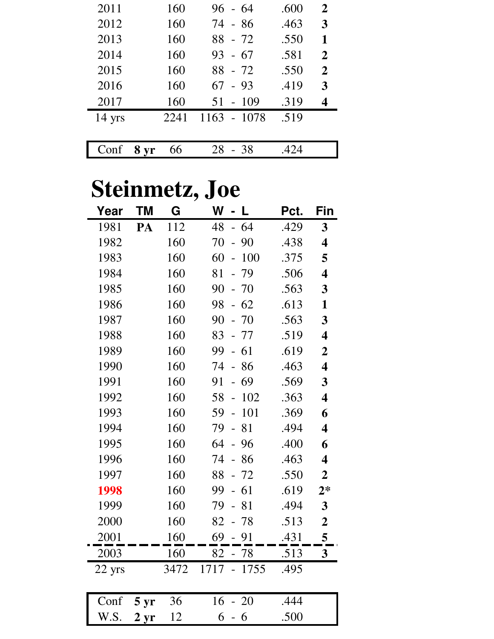| 2011             |      | 160  | $96 - 64$   | .600 | $\overline{2}$ |
|------------------|------|------|-------------|------|----------------|
| 2012             |      | 160  | 74 - 86     | .463 | 3              |
| 2013             |      | 160  | 88 - 72     | .550 | 1              |
| 2014             |      | 160  | $93 - 67$   | .581 | $\overline{2}$ |
| 2015             |      | 160  | $88 - 72$   | .550 | $\mathbf{2}$   |
| 2016             |      | 160  | $67 - 93$   | .419 | 3              |
| 2017             |      | 160  | $51 - 109$  | .319 | 4              |
| $14 \text{ yrs}$ |      | 2241 | 1163 - 1078 | .519 |                |
|                  |      |      |             |      |                |
| Conf             | 8 yr | 66   | 28<br>$-38$ | .424 |                |

# **Steinmetz, Joe**

| Year   | ΤM           | G    | W<br>L                                   | Pct. | Fin                     |
|--------|--------------|------|------------------------------------------|------|-------------------------|
| 1981   | PA           | 112  | $-64$<br>48                              | .429 | 3                       |
| 1982   |              | 160  | 70<br>90<br>$\overline{a}$               | .438 | $\overline{\mathbf{4}}$ |
| 1983   |              | 160  | 60<br>100<br>$\overline{a}$              | .375 | 5                       |
| 1984   |              | 160  | 79<br>81<br>$\overline{\phantom{0}}$     | .506 | $\overline{\mathbf{4}}$ |
| 1985   |              | 160  | 90<br>$-70$                              | .563 | 3                       |
| 1986   |              | 160  | 62<br>98<br>$\overline{\phantom{0}}$     | .613 | 1                       |
| 1987   |              | 160  | 90<br>70                                 | .563 | 3                       |
| 1988   |              | 160  | 83<br>- 77                               | .519 | $\overline{\mathbf{4}}$ |
| 1989   |              | 160  | 99<br>61                                 | .619 | $\overline{2}$          |
| 1990   |              | 160  | 74<br>-86<br>$\overline{a}$              | .463 | $\overline{\mathbf{4}}$ |
| 1991   |              | 160  | 69<br>91                                 | .569 | 3                       |
| 1992   |              | 160  | 58<br>102<br>$\overline{\phantom{0}}$    | .363 | $\overline{\mathbf{4}}$ |
| 1993   |              | 160  | 59<br>101<br>$\overline{a}$              | .369 | 6                       |
| 1994   |              | 160  | 79<br>81<br>$\overline{a}$               | .494 | $\overline{\mathbf{4}}$ |
| 1995   |              | 160  | 64<br>96<br>$\overline{a}$               | .400 | 6                       |
| 1996   |              | 160  | 74<br>86<br>$\overline{a}$               | .463 | $\overline{\mathbf{4}}$ |
| 1997   |              | 160  | $-72$<br>88                              | .550 | $\overline{2}$          |
| 1998   |              | 160  | 99<br>61<br>$\overline{\phantom{0}}$     | .619 | $2*$                    |
| 1999   |              | 160  | 79<br>81                                 | .494 | $\overline{\mathbf{3}}$ |
| 2000   |              | 160  | 82<br>$-78$                              | .513 | $\boldsymbol{2}$        |
| 2001   |              | 160  | 69<br>$-91$                              | .431 | 5                       |
| 2003   |              | 160  | 82<br>$-78$                              | .513 | $\overline{\mathbf{3}}$ |
| 22 yrs |              | 3472 | 1717<br>1755<br>$\overline{\phantom{a}}$ | .495 |                         |
|        |              |      |                                          |      |                         |
| Conf   | 5 yr         | 36   | 16<br><b>20</b>                          | .444 |                         |
| W.S.   | $2 \,\rm yr$ | 12   | 6<br>6<br>-                              | .500 |                         |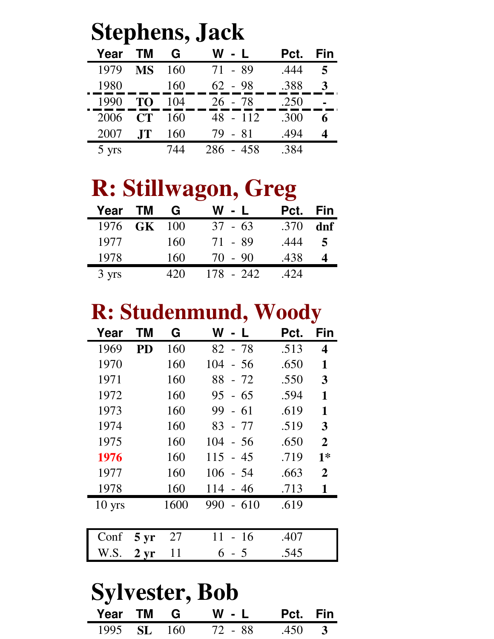| <b>Stephens, Jack</b> |           |     |           |      |            |  |  |
|-----------------------|-----------|-----|-----------|------|------------|--|--|
| Year                  | <b>TM</b> | G   | W - L     | Pct. | <b>Fin</b> |  |  |
| 1979                  | <b>MS</b> | 160 | $71 - 89$ | .444 | $\sqrt{2}$ |  |  |
| 1980                  |           | 160 | $62 - 98$ | .388 | 3          |  |  |
| 1990                  | TO        | 104 | $26 - 78$ | .250 |            |  |  |
| 2006                  | CT        | 160 | 48 - 112  | .300 | 6          |  |  |
| 2007                  | <b>JT</b> | 160 | $79 - 81$ | .494 |            |  |  |
| 5 yrs                 |           | 744 | 286 - 458 | .384 |            |  |  |

## **R: Stillwagon, Greg**

| Year TM     | G   | W - L     | Pct. Fin |     |
|-------------|-----|-----------|----------|-----|
| 1976 GK 100 |     | $37 - 63$ | .370     | dnf |
| 1977        | 160 | 71 - 89   | .444     | 5   |
| 1978        | 160 | $70 - 90$ | .438     |     |
| 3 yrs       | 42O | 178 - 242 | .424     |     |

### **R: Studenmund, Woody**

| Year             | ΤM                | G    | W<br>$\mathcal{L}$ | Pct. | Fin            |
|------------------|-------------------|------|--------------------|------|----------------|
| 1969             | <b>PD</b>         | 160  | $82 - 78$          | .513 | 4              |
| 1970             |                   | 160  | 104<br>$-56$       | .650 | 1              |
| 1971             |                   | 160  | 88<br>$-72$        | .550 | 3              |
| 1972             |                   | 160  | $95 - 65$          | .594 | 1              |
| 1973             |                   | 160  | 99<br>$-61$        | .619 | 1              |
| 1974             |                   | 160  | 83 - 77            | .519 | 3              |
| 1975             |                   | 160  | 104<br>- 56        | .650 | $\mathbf{2}$   |
| 1976             |                   | 160  | 115<br>- 45        | .719 | $1*$           |
| 1977             |                   | 160  | 106<br>- 54        | .663 | $\overline{2}$ |
| 1978             |                   | 160  | 114<br>$-46$       | .713 | 1              |
| $10 \text{ yrs}$ |                   | 1600 | 990<br>$-610$      | .619 |                |
|                  |                   |      |                    |      |                |
| Conf             | $5 \,\mathrm{yr}$ | 27   | 11<br>-16          | .407 |                |
| W.S.             | $2 \,\rm yr$      | 11   | 5<br>6             | .545 |                |

#### **Sylvester, Bob Year TM G W - L Pct. Fin**<br>1995 SL 160 72 - 88 .450 3 1995 **SL** 160 72 - 88 .450 **3**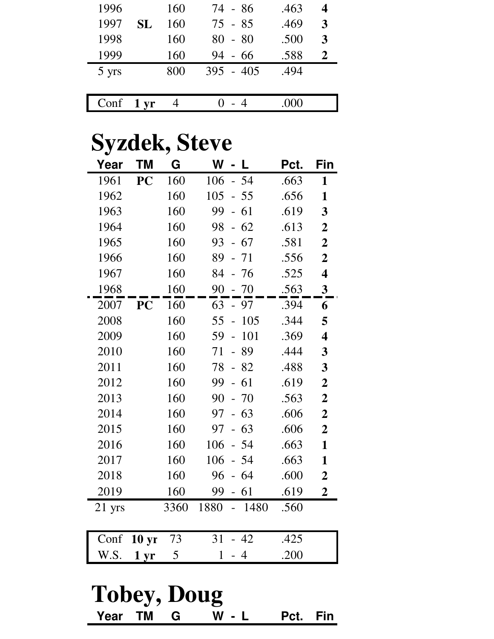| 1996  |                 | 160 | 74 - 86     | .463 |   |
|-------|-----------------|-----|-------------|------|---|
| 1997  | <b>SL</b>       | 160 | $75 - 85$   | .469 | 3 |
| 1998  |                 | 160 | $80 - 80$   | .500 | 3 |
| 1999  |                 | 160 | - 66<br>94  | .588 |   |
| 5 yrs |                 | 800 | $395 - 405$ | .494 |   |
|       |                 |     |             |      |   |
| Conf  | $1 \mathrm{yr}$ |     |             |      |   |

### **Syzdek, Steve**

| Year     | <b>TM</b>    | G    | W<br>L                                | Pct. | Fin                     |
|----------|--------------|------|---------------------------------------|------|-------------------------|
| 1961     | PC           | 160  | 106<br>$-54$                          | .663 | 1                       |
| 1962     |              | 160  | 105<br>$-55$                          | .656 | $\mathbf{1}$            |
| 1963     |              | 160  | 99<br>$-61$                           | .619 | 3                       |
| 1964     |              | 160  | $-62$<br>98                           | .613 | $\boldsymbol{2}$        |
| 1965     |              | 160  | 67<br>93<br>$\overline{\phantom{0}}$  | .581 | $\mathbf 2$             |
| 1966     |              | 160  | 89<br>$-71$                           | .556 | $\boldsymbol{2}$        |
| 1967     |              | 160  | 84<br>- 76                            | .525 | $\overline{\mathbf{4}}$ |
| 1968     |              | 160  | 90<br>$-70$                           | .563 | $\mathbf{3}$            |
| 2007     | <b>PC</b>    | 160  | 63<br>$-97$                           | .394 | 6                       |
| 2008     |              | 160  | 55<br>105                             | .344 | 5                       |
| 2009     |              | 160  | 59<br>101<br>$\overline{\phantom{0}}$ | .369 | $\overline{\mathbf{4}}$ |
| 2010     |              | 160  | 71<br>89                              | .444 | 3                       |
| 2011     |              | 160  | 78<br>$-82$                           | .488 | 3                       |
| 2012     |              | 160  | 61<br>99<br>$\overline{a}$            | .619 | $\boldsymbol{2}$        |
| 2013     |              | 160  | 90<br>$-70$                           | .563 | $\boldsymbol{2}$        |
| 2014     |              | 160  | 97<br>$-63$                           | .606 | $\mathbf 2$             |
| 2015     |              | 160  | $-63$<br>97                           | .606 | $\overline{2}$          |
| 2016     |              | 160  | 106<br>54                             | .663 | $\mathbf{1}$            |
| 2017     |              | 160  | 106<br>$-54$                          | .663 | $\mathbf{1}$            |
| 2018     |              | 160  | 96<br>-64                             | .600 | $\overline{2}$          |
| 2019     |              | 160  | 99<br>$-61$                           | .619 | $\overline{2}$          |
| $21$ yrs |              | 3360 | 1880<br>1480<br>$\overline{a}$        | .560 |                         |
|          |              |      |                                       |      |                         |
| Conf     | <b>10 yr</b> | 73   | 31<br>42                              | .425 |                         |
| W.S.     | 1 yr         | 5    | $\mathbf{1}$<br>$\overline{4}$        | .200 |                         |
|          |              |      |                                       |      |                         |

#### **Tobey, Doug Year TM G W - L Pct. Fin**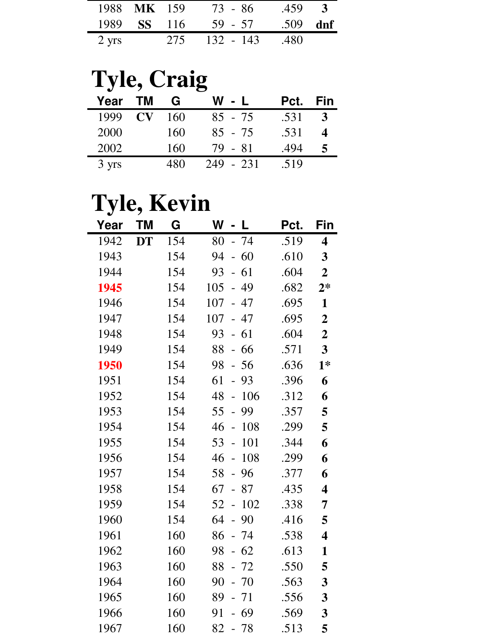|       | 1988 MK 159        |     | 73 - 86   | .459       | $\mathbf{3}$ |
|-------|--------------------|-----|-----------|------------|--------------|
|       | 1989 <b>SS</b> 116 |     | 59 - 57   | $.509$ dnf |              |
| 2 yrs |                    | 275 | 132 - 143 | .480       |              |

# **Tyle, Craig**

| Year  | <b>TM</b>              | G   | W<br>$\sim$ 1. | Pct. | Fin |
|-------|------------------------|-----|----------------|------|-----|
| 1999  | $\mathbf{C}\mathbf{V}$ | 160 | $85 - 75$      | .531 |     |
| 2000  |                        | 160 | $85 - 75$      | .531 |     |
| 2002  |                        | 160 | 79 - 81        | .494 |     |
| 3 yrs |                        | 480 | 249 - 231      | .519 |     |

## **Tyle, Kevin**

| Year | <b>TM</b> | G   | W   | $\blacksquare$             | L     | Pct. | Fin                     |
|------|-----------|-----|-----|----------------------------|-------|------|-------------------------|
| 1942 | <b>DT</b> | 154 | 80  |                            | - 74  | .519 | $\overline{\mathbf{4}}$ |
| 1943 |           | 154 | 94  | $\overline{\phantom{0}}$   | 60    | .610 | 3                       |
| 1944 |           | 154 | 93  | $\mathbf{L}^{\mathcal{A}}$ | 61    | .604 | $\overline{2}$          |
| 1945 |           | 154 | 105 | $\equiv$                   | 49    | .682 | $2*$                    |
| 1946 |           | 154 | 107 |                            | $-47$ | .695 | $\mathbf{1}$            |
| 1947 |           | 154 | 107 |                            | $-47$ | .695 | $\boldsymbol{2}$        |
| 1948 |           | 154 | 93  |                            | $-61$ | .604 | $\boldsymbol{2}$        |
| 1949 |           | 154 | 88  |                            | $-66$ | .571 | $\overline{\mathbf{3}}$ |
| 1950 |           | 154 | 98  |                            | $-56$ | .636 | $1*$                    |
| 1951 |           | 154 | 61  | $\overline{a}$             | 93    | .396 | 6                       |
| 1952 |           | 154 | 48  | $\frac{1}{2}$              | 106   | .312 | 6                       |
| 1953 |           | 154 | 55  | $\overline{a}$             | 99    | .357 | 5                       |
| 1954 |           | 154 | 46  | $\overline{a}$             | 108   | .299 | 5                       |
| 1955 |           | 154 | 53  | $\overline{a}$             | 101   | .344 | 6                       |
| 1956 |           | 154 | 46  | $\overline{a}$             | 108   | .299 | 6                       |
| 1957 |           | 154 | 58  | $\overline{a}$             | 96    | .377 | 6                       |
| 1958 |           | 154 | 67  | $\overline{\phantom{0}}$   | 87    | .435 | $\overline{\mathbf{4}}$ |
| 1959 |           | 154 | 52  | $\overline{a}$             | 102   | .338 | 7                       |
| 1960 |           | 154 | 64  | $\overline{a}$             | 90    | .416 | 5                       |
| 1961 |           | 160 | 86  |                            | - 74  | .538 | $\overline{\mathbf{4}}$ |
| 1962 |           | 160 | 98  |                            | $-62$ | .613 | $\mathbf{1}$            |
| 1963 |           | 160 | 88  | $\overline{\phantom{0}}$   | 72    | .550 | 5                       |
| 1964 |           | 160 | 90  | $\overline{\phantom{0}}$   | 70    | .563 | 3                       |
| 1965 |           | 160 | 89  |                            | 71    | .556 | 3                       |
| 1966 |           | 160 | 91  |                            | 69    | .569 | 3                       |
| 1967 |           | 160 | 82  |                            | $-78$ | .513 | 5                       |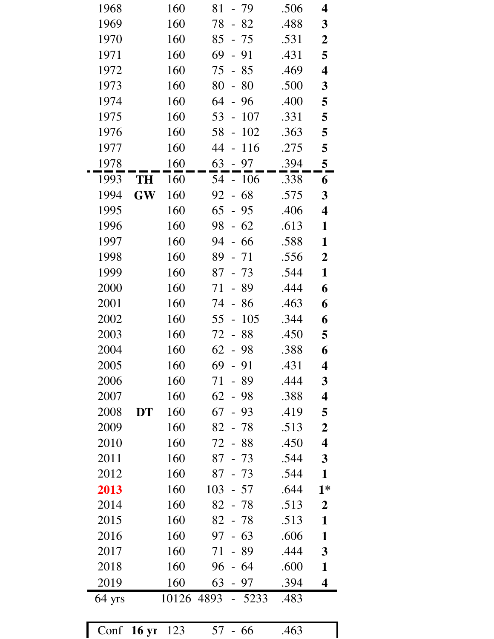| 1968   |                      | 160   | 81<br>- 79                            | .506 | 4                       |
|--------|----------------------|-------|---------------------------------------|------|-------------------------|
| 1969   |                      | 160   | $-82$<br>78                           | .488 | 3                       |
| 1970   |                      | 160   | 85<br>- 75                            | .531 | $\boldsymbol{2}$        |
| 1971   |                      | 160   | 69<br>$-91$                           | .431 | 5                       |
| 1972   |                      | 160   | 75<br>$-85$                           | .469 | $\overline{\mathbf{4}}$ |
| 1973   |                      | 160   | 80<br>80<br>$\equiv$                  | .500 | $\mathbf{3}$            |
| 1974   |                      | 160   | 64<br>- 96                            | .400 | 5                       |
| 1975   |                      | 160   | 53<br>$-107$                          | .331 | 5                       |
| 1976   |                      | 160   | 102<br>58<br>$\overline{a}$           | .363 | 5                       |
| 1977   |                      | 160   | $-116$<br>44                          | .275 | 5                       |
| 1978   |                      | 160   | 63<br>$-97$                           | .394 | 5                       |
| 1993   | TH                   | 160   | $-106$<br>54                          | .338 | 6                       |
| 1994   | <b>GW</b>            | 160   | 92<br>$-68$                           | .575 | $\mathbf{3}$            |
| 1995   |                      | 160   | 65<br>- 95                            | .406 | $\overline{\mathbf{4}}$ |
| 1996   |                      | 160   | 98<br>$-62$                           | .613 | 1                       |
| 1997   |                      | 160   | 94<br>- 66                            | .588 | $\mathbf{1}$            |
| 1998   |                      | 160   | 89<br>$-71$                           | .556 | $\boldsymbol{2}$        |
| 1999   |                      | 160   | 87<br>$-73$                           | .544 | $\mathbf{1}$            |
| 2000   |                      | 160   | 71<br>- 89                            | .444 | 6                       |
| 2001   |                      | 160   | 74<br>$-86$                           | .463 | 6                       |
| 2002   |                      | 160   | 105<br>55<br>$\frac{1}{2}$            | .344 | 6                       |
| 2003   |                      | 160   | 88<br>72<br>$\mathbb{L}^{\mathbb{N}}$ | .450 | 5                       |
| 2004   |                      | 160   | $62 - 98$                             | .388 | 6                       |
| 2005   |                      | 160   | 69<br>91                              | .431 | 4                       |
| 2006   |                      | 160   | 71<br>- 89                            | .444 | 3                       |
| 2007   |                      | 160   | 62<br>- 98                            | .388 | $\overline{\mathbf{4}}$ |
| 2008   | <b>DT</b>            | 160   | 67<br>$-93$                           | .419 | 5                       |
| 2009   |                      | 160   | - 78<br>82                            | .513 | $\boldsymbol{2}$        |
| 2010   |                      | 160   | 72<br>- 88                            | .450 | $\overline{\mathbf{4}}$ |
| 2011   |                      | 160   | 87<br>$-73$                           | .544 | 3                       |
| 2012   |                      | 160   | 87<br>$-73$                           | .544 | $\mathbf{1}$            |
| 2013   |                      | 160   | 103<br>$-57$                          | .644 | $1*$                    |
| 2014   |                      | 160   | 82<br>- 78                            | .513 | $\boldsymbol{2}$        |
| 2015   |                      | 160   | 82<br>- 78                            | .513 | $\mathbf{1}$            |
| 2016   |                      | 160   | 97<br>$-63$                           | .606 | 1                       |
| 2017   |                      | 160   | 71<br>- 89                            | .444 | 3                       |
| 2018   |                      | 160   | 96<br>- 64                            | .600 | $\mathbf{1}$            |
| 2019   |                      | 160   | 63<br>- 97                            | .394 | 4                       |
| 64 yrs |                      | 10126 | 4893<br>$-5233$                       | .483 |                         |
|        | Conf $16 \text{ yr}$ | 123   | 57 - 66                               | .463 |                         |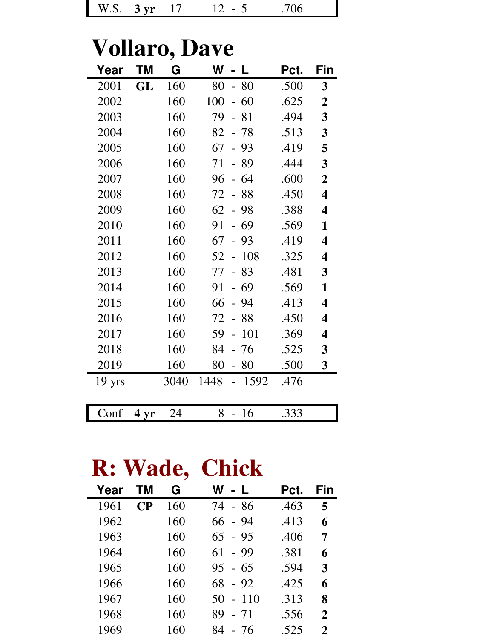| W.S.<br>$-3 \, \text{vr}$ |  | 70 I D |
|---------------------------|--|--------|
|---------------------------|--|--------|

## **Vollaro, Dave**

| Year             | ΤM   | G    | W<br>L                               | Pct. | Fin                     |
|------------------|------|------|--------------------------------------|------|-------------------------|
| 2001             | GL   | 160  | 80<br>80<br>$\overline{\phantom{0}}$ | .500 | 3                       |
| 2002             |      | 160  | 100<br>60<br>$\overline{a}$          | .625 | $\boldsymbol{2}$        |
| 2003             |      | 160  | 79<br>81                             | .494 | $\overline{\mathbf{3}}$ |
| 2004             |      | 160  | 82<br>78                             | .513 | 3                       |
| 2005             |      | 160  | 67<br>93                             | .419 | 5                       |
| 2006             |      | 160  | 71<br>89<br>$\overline{a}$           | .444 | 3                       |
| 2007             |      | 160  | 96<br>-64<br>$\overline{a}$          | .600 | $\overline{2}$          |
| 2008             |      | 160  | 88<br>72                             | .450 | $\overline{\mathbf{4}}$ |
| 2009             |      | 160  | 62<br>98<br>$\frac{1}{2}$            | .388 | $\overline{\mathbf{4}}$ |
| 2010             |      | 160  | 69<br>91                             | .569 | 1                       |
| 2011             |      | 160  | 67<br>93<br>$\overline{a}$           | .419 | $\overline{\mathbf{4}}$ |
| 2012             |      | 160  | 108<br>52<br>$\overline{a}$          | .325 | 4                       |
| 2013             |      | 160  | 83<br>77                             | .481 | 3                       |
| 2014             |      | 160  | 69<br>91<br>$\overline{a}$           | .569 | $\mathbf{1}$            |
| 2015             |      | 160  | 66<br>94                             | .413 | $\overline{\mathbf{4}}$ |
| 2016             |      | 160  | 72<br>88<br>$\overline{a}$           | .450 | $\overline{\mathbf{4}}$ |
| 2017             |      | 160  | 101<br>59<br>$\overline{a}$          | .369 | 4                       |
| 2018             |      | 160  | 84<br>76                             | .525 | 3                       |
| 2019             |      | 160  | 80<br>80<br>$\frac{1}{2}$            | .500 | $\mathbf{3}$            |
| $19 \text{ yrs}$ |      | 3040 | 1448<br>1592<br>$\overline{a}$       | .476 |                         |
|                  |      |      |                                      |      |                         |
| Conf             | 4 yr | 24   | 8<br>16                              | .333 |                         |

## **R: Wade, Chick**

| Year | TМ | G   | W - L        | Pct. | Fin          |
|------|----|-----|--------------|------|--------------|
| 1961 | CР | 160 | 74 - 86      | .463 | 5            |
| 1962 |    | 160 | - 94<br>66   | .413 | 6            |
| 1963 |    | 160 | 65<br>- 95   | .406 | 7            |
| 1964 |    | 160 | - 99<br>61   | .381 | 6            |
| 1965 |    | 160 | $95 - 65$    | .594 | 3            |
| 1966 |    | 160 | 68<br>$-92$  | .425 | 6            |
| 1967 |    | 160 | $-110$<br>50 | .313 | 8            |
| 1968 |    | 160 | 89<br>$-71$  | .556 | $\mathbf{2}$ |
| 1969 |    | 160 | 84<br>- 76   | .525 | 2            |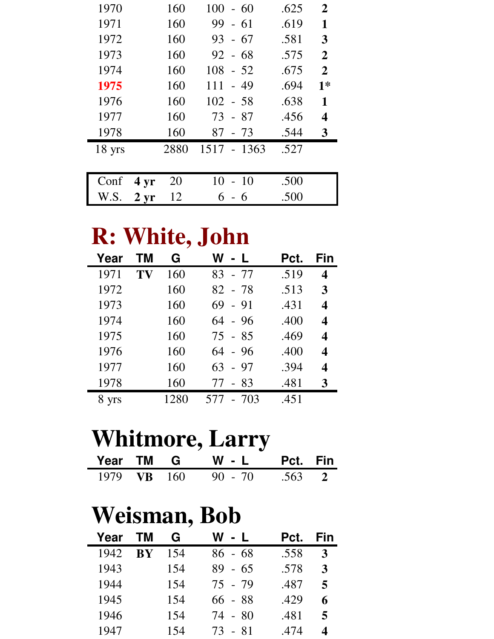| 1970     |                  | 160  | $100 - 60$   | .625 | $\mathbf{2}$   |
|----------|------------------|------|--------------|------|----------------|
| 1971     |                  | 160  | $99 - 61$    | .619 | 1              |
| 1972     |                  | 160  | 93<br>- 67   | .581 | 3              |
| 1973     |                  | 160  | $92 - 68$    | .575 | $\overline{2}$ |
| 1974     |                  | 160  | $108 - 52$   | .675 | $\overline{2}$ |
| 1975     |                  | 160  | 111<br>$-49$ | .694 | $1*$           |
| 1976     |                  | 160  | $102 - 58$   | .638 | $\mathbf{1}$   |
| 1977     |                  | 160  | 73 - 87      | .456 | 4              |
| 1978     |                  | 160  | 87<br>- 73   | .544 | 3              |
| $18$ yrs |                  | 2880 | 1517 - 1363  | .527 |                |
|          |                  |      |              |      |                |
| Conf     | 4 <sub>yr</sub>  | 20   | 10<br>$-10$  | .500 |                |
| W.S.     | $2 \, \text{yr}$ | 12   | 6            | .500 |                |

### **R: White, John**

| Year  | тм | G    | W l<br>$-1$   | Pct. | Fin |
|-------|----|------|---------------|------|-----|
| 1971  | TV | 160  | 83 - 77       | .519 | 4   |
| 1972  |    | 160  | 82 - 78       | .513 | 3   |
| 1973  |    | 160  | $69 - 91$     | .431 | 4   |
| 1974  |    | 160  | $64 - 96$     | .400 | 4   |
| 1975  |    | 160  | 75 - 85       | .469 | 4   |
| 1976  |    | 160  | $64 - 96$     | .400 | 4   |
| 1977  |    | 160  | 63<br>- 97    | .394 | 4   |
| 1978  |    | 160  | - 83<br>77    | .481 | 3   |
| 8 yrs |    | 1280 | $-703$<br>577 | .451 |     |

### **Whitmore, Larry**

|             |  | Year TM G W - L Pct. Fin |  |
|-------------|--|--------------------------|--|
| 1979 VB 160 |  | $90 - 70$ .563 2         |  |

## **Weisman, Bob**

| Year | <b>TM</b> | G   | W - L        | Pct. | Fin |
|------|-----------|-----|--------------|------|-----|
| 1942 | <b>BY</b> | 154 | $86 - 68$    | .558 | 3   |
| 1943 |           | 154 | 89.<br>$-65$ | .578 | 3   |
| 1944 |           | 154 | 75 - 79      | .487 | 5   |
| 1945 |           | 154 | 66 - 88      | .429 | 6   |
| 1946 |           | 154 | 74 - 80      | .481 | 5   |
| 1947 |           | 154 | 73 - 81      | .474 | ◢   |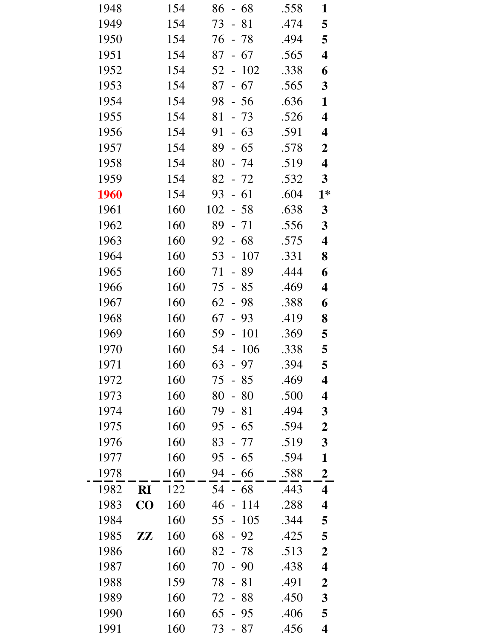| 1948 |                        | 154 | $-68$<br>86                          | .558 | 1                       |
|------|------------------------|-----|--------------------------------------|------|-------------------------|
| 1949 |                        | 154 | 73<br>$-81$                          | .474 | 5                       |
| 1950 |                        | 154 | 76<br>$-78$                          | .494 | 5                       |
| 1951 |                        | 154 | 67<br>87<br>$\blacksquare$           | .565 | $\overline{\mathbf{4}}$ |
| 1952 |                        | 154 | 102<br>52 -                          | .338 | 6                       |
| 1953 |                        | 154 | 87<br>67<br>$\frac{1}{2}$            | .565 | $\mathbf{3}$            |
| 1954 |                        | 154 | 98<br>$-56$                          | .636 | 1                       |
| 1955 |                        | 154 | 81<br>$-73$                          | .526 | $\overline{\mathbf{4}}$ |
| 1956 |                        | 154 | $-63$<br>91                          | .591 | $\overline{\mathbf{4}}$ |
| 1957 |                        | 154 | 89<br>$-65$                          | .578 | $\boldsymbol{2}$        |
| 1958 |                        | 154 | 80<br>$-74$                          | .519 | $\overline{\mathbf{4}}$ |
| 1959 |                        | 154 | 82<br>- 72                           | .532 | $\mathbf{3}$            |
| 1960 |                        | 154 | $-61$<br>93                          | .604 | $1*$                    |
| 1961 |                        | 160 | 102<br>$-58$                         | .638 | $\mathbf{3}$            |
| 1962 |                        | 160 | 89<br>$-71$                          | .556 | $\overline{\mathbf{3}}$ |
| 1963 |                        | 160 | $-68$<br>92                          | .575 | $\overline{\mathbf{4}}$ |
| 1964 |                        | 160 | 53<br>107<br>$\equiv$                | .331 | 8                       |
| 1965 |                        | 160 | 71<br>- 89                           | .444 | 6                       |
| 1966 |                        | 160 | 75<br>85<br>$\equiv$                 | .469 | $\overline{\mathbf{4}}$ |
| 1967 |                        | 160 | $62 - 98$                            | .388 | 6                       |
| 1968 |                        | 160 | 67<br>$-93$                          | .419 | 8                       |
| 1969 |                        | 160 | 101<br>59<br>$\Box$                  | .369 | 5                       |
| 1970 |                        | 160 | 54 - 106                             | .338 | 5                       |
| 1971 |                        | 160 | 63<br>97                             | .394 | 5                       |
| 1972 |                        | 160 | 75<br>85                             | .469 | $\overline{\mathbf{4}}$ |
| 1973 |                        | 160 | 80<br>80                             | .500 | $\overline{\mathbf{4}}$ |
| 1974 |                        | 160 | 79<br>81                             | .494 | $\mathbf{3}$            |
| 1975 |                        | 160 | 95<br>65<br>$\overline{\phantom{0}}$ | .594 | $\boldsymbol{2}$        |
| 1976 |                        | 160 | 83<br>- 77                           | .519 | $\mathbf{3}$            |
| 1977 |                        | 160 | 95<br>65                             | .594 | 1                       |
| 1978 |                        | 160 | 94<br>66                             | .588 | $\boldsymbol{2}$        |
| 1982 | RI                     | 122 | 54<br>-68                            | .443 | 4                       |
| 1983 | $\bf CO$               | 160 | 114<br>46                            | .288 | $\boldsymbol{4}$        |
| 1984 |                        | 160 | 105<br>55                            | .344 | 5                       |
| 1985 | $\mathbf{Z}\mathbf{Z}$ | 160 | 68<br>92                             | .425 | 5                       |
| 1986 |                        | 160 | 82<br>78                             | .513 | $\boldsymbol{2}$        |
| 1987 |                        | 160 | 70<br>$-90$                          | .438 | $\overline{\mathbf{4}}$ |
| 1988 |                        | 159 | 78<br>81                             | .491 | $\boldsymbol{2}$        |
| 1989 |                        | 160 | 72<br>88                             | .450 | $\mathbf{3}$            |
| 1990 |                        | 160 | 65<br>95                             | .406 | 5                       |
| 1991 |                        | 160 | 73<br>87                             | .456 | 4                       |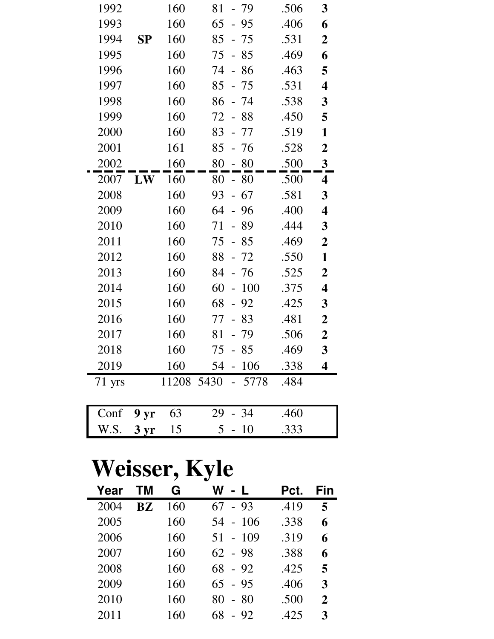| 1992   |                   | 160 | 81<br>- 79                       | .506 | 3                       |
|--------|-------------------|-----|----------------------------------|------|-------------------------|
| 1993   |                   | 160 | 65<br>$-95$                      | .406 | 6                       |
| 1994   | SP                | 160 | 85<br>$-75$                      | .531 | $\overline{2}$          |
| 1995   |                   | 160 | 75<br>85<br>$\frac{1}{2}$        | .469 | 6                       |
| 1996   |                   | 160 | 74<br>$-86$                      | .463 | 5                       |
| 1997   |                   | 160 | 85<br>- 75                       | .531 | $\overline{\mathbf{4}}$ |
| 1998   |                   | 160 | 86<br>- 74                       | .538 | $\mathbf{3}$            |
| 1999   |                   | 160 | 72<br>- 88                       | .450 | 5                       |
| 2000   |                   | 160 | 83<br>- 77                       | .519 | 1                       |
| 2001   |                   | 161 | 85<br>- 76                       | .528 | $\boldsymbol{2}$        |
| 2002   |                   | 160 | 80<br>$-80$                      | .500 | $\overline{\mathbf{3}}$ |
| 2007   | LW                | 160 | 80<br>- 80                       | .500 | $\overline{\mathbf{4}}$ |
| 2008   |                   | 160 | 93<br>$-67$                      | .581 | 3                       |
| 2009   |                   | 160 | 64<br>96<br>$\Box$               | .400 | $\overline{\mathbf{4}}$ |
| 2010   |                   | 160 | - 89<br>71                       | .444 | $\mathbf{3}$            |
| 2011   |                   | 160 | 75<br>$-85$                      | .469 | $\boldsymbol{2}$        |
| 2012   |                   | 160 | 88<br>$-72$                      | .550 | $\mathbf{1}$            |
| 2013   |                   | 160 | 84<br>- 76                       | .525 | $\boldsymbol{2}$        |
| 2014   |                   | 160 | 60<br>100<br>$\bar{\phantom{a}}$ | .375 | $\overline{\mathbf{4}}$ |
| 2015   |                   | 160 | 68<br>92<br>$-$                  | .425 | 3                       |
| 2016   |                   | 160 | 77<br>$-83$                      | .481 | $\boldsymbol{2}$        |
| 2017   |                   | 160 | 81<br>- 79                       | .506 | $\boldsymbol{2}$        |
| 2018   |                   | 160 | $75 - 85$                        | .469 | $\mathbf{3}$            |
| 2019   |                   | 160 | 54 -<br>106                      | .338 | 4                       |
| 71 yrs |                   |     | 11208 5430 - 5778                | .484 |                         |
|        |                   |     |                                  |      |                         |
| Conf   | $9 \,\mathrm{yr}$ | 63  | $-34$<br>29                      | .460 |                         |
| W.S.   | 3 <sub>yr</sub>   | 15  | 5 <sup>5</sup><br>$-10$          | .333 |                         |

## **Weisser, Kyle**

| Year | TМ | G   | $-1$<br>W   | Pct. | Fin          |
|------|----|-----|-------------|------|--------------|
| 2004 | RZ | 160 | $-93$<br>67 | .419 | 5            |
| 2005 |    | 160 | 54 - 106    | .338 | 6            |
| 2006 |    | 160 | $51 - 109$  | .319 | 6            |
| 2007 |    | 160 | $62 - 98$   | .388 | 6            |
| 2008 |    | 160 | 68<br>$-92$ | .425 | 5            |
| 2009 |    | 160 | $65 - 95$   | .406 | 3            |
| 2010 |    | 160 | $-80$<br>80 | .500 | $\mathbf{2}$ |
| 2011 |    | 160 | 68<br>- 92  | .425 | 3            |